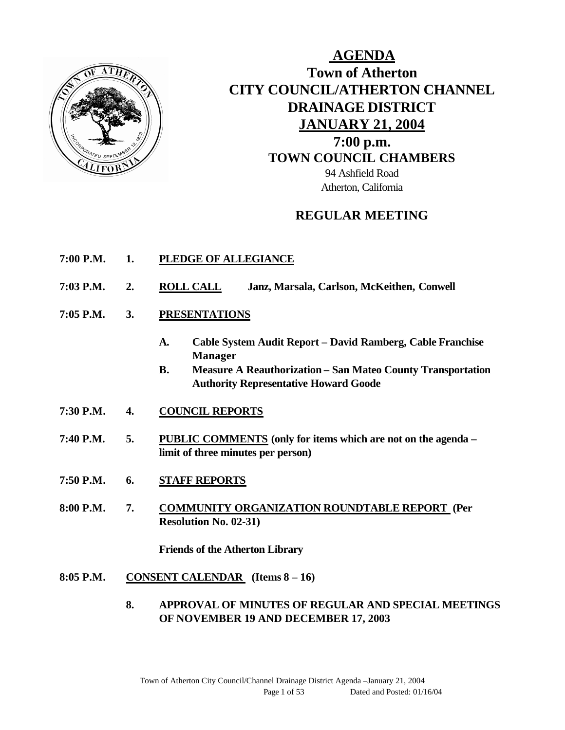

# **AGENDA Town of Atherton CITY COUNCIL/ATHERTON CHANNEL DRAINAGE DISTRICT JANUARY 21, 2004 7:00 p.m. TOWN COUNCIL CHAMBERS** 94 Ashfield Road Atherton, California

## **REGULAR MEETING**

- **7:00 P.M. 1. PLEDGE OF ALLEGIANCE**
- **7:03 P.M. 2. ROLL CALL Janz, Marsala, Carlson, McKeithen, Conwell**
- **7:05 P.M. 3. PRESENTATIONS** 
	- **A. Cable System Audit Report David Ramberg, Cable Franchise Manager**
	- **B. Measure A Reauthorization San Mateo County Transportation Authority Representative Howard Goode**
- **7:30 P.M. 4. COUNCIL REPORTS**
- **7:40 P.M. 5. PUBLIC COMMENTS (only for items which are not on the agenda – limit of three minutes per person)**
- **7:50 P.M. 6. STAFF REPORTS**
- **8:00 P.M. 7. COMMUNITY ORGANIZATION ROUNDTABLE REPORT (Per Resolution No. 02-31)**

**Friends of the Atherton Library**

- **8:05 P.M. CONSENT CALENDAR (Items 8 – 16)**
	- **8. APPROVAL OF MINUTES OF REGULAR AND SPECIAL MEETINGS OF NOVEMBER 19 AND DECEMBER 17, 2003**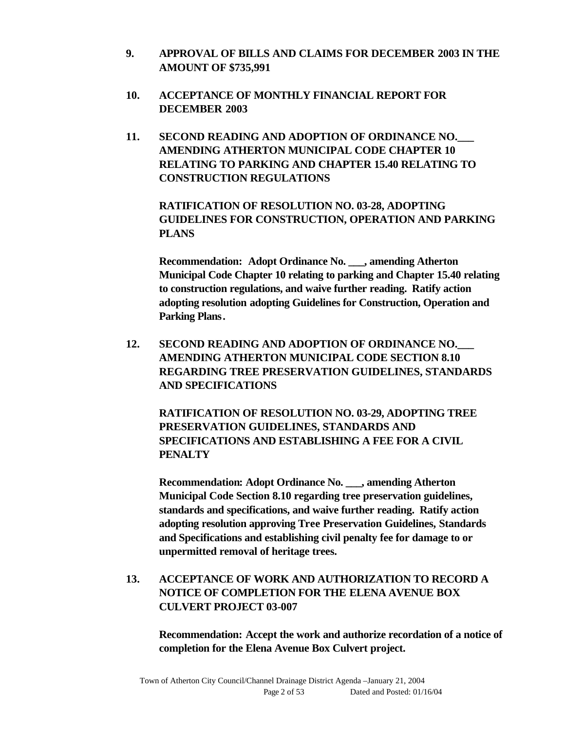- **9. APPROVAL OF BILLS AND CLAIMS FOR DECEMBER 2003 IN THE AMOUNT OF \$735,991**
- **10. ACCEPTANCE OF MONTHLY FINANCIAL REPORT FOR DECEMBER 2003**
- **11. SECOND READING AND ADOPTION OF ORDINANCE NO.\_\_\_ AMENDING ATHERTON MUNICIPAL CODE CHAPTER 10 RELATING TO PARKING AND CHAPTER 15.40 RELATING TO CONSTRUCTION REGULATIONS**

**RATIFICATION OF RESOLUTION NO. 03-28, ADOPTING GUIDELINES FOR CONSTRUCTION, OPERATION AND PARKING PLANS**

**Recommendation: Adopt Ordinance No. \_\_\_, amending Atherton Municipal Code Chapter 10 relating to parking and Chapter 15.40 relating to construction regulations, and waive further reading. Ratify action adopting resolution adopting Guidelines for Construction, Operation and Parking Plans.**

**12. SECOND READING AND ADOPTION OF ORDINANCE NO.\_\_\_ AMENDING ATHERTON MUNICIPAL CODE SECTION 8.10 REGARDING TREE PRESERVATION GUIDELINES, STANDARDS AND SPECIFICATIONS**

**RATIFICATION OF RESOLUTION NO. 03-29, ADOPTING TREE PRESERVATION GUIDELINES, STANDARDS AND SPECIFICATIONS AND ESTABLISHING A FEE FOR A CIVIL PENALTY**

**Recommendation: Adopt Ordinance No. \_\_\_, amending Atherton Municipal Code Section 8.10 regarding tree preservation guidelines, standards and specifications, and waive further reading. Ratify action adopting resolution approving Tree Preservation Guidelines, Standards and Specifications and establishing civil penalty fee for damage to or unpermitted removal of heritage trees.**

## **13. ACCEPTANCE OF WORK AND AUTHORIZATION TO RECORD A NOTICE OF COMPLETION FOR THE ELENA AVENUE BOX CULVERT PROJECT 03-007**

**Recommendation: Accept the work and authorize recordation of a notice of completion for the Elena Avenue Box Culvert project.**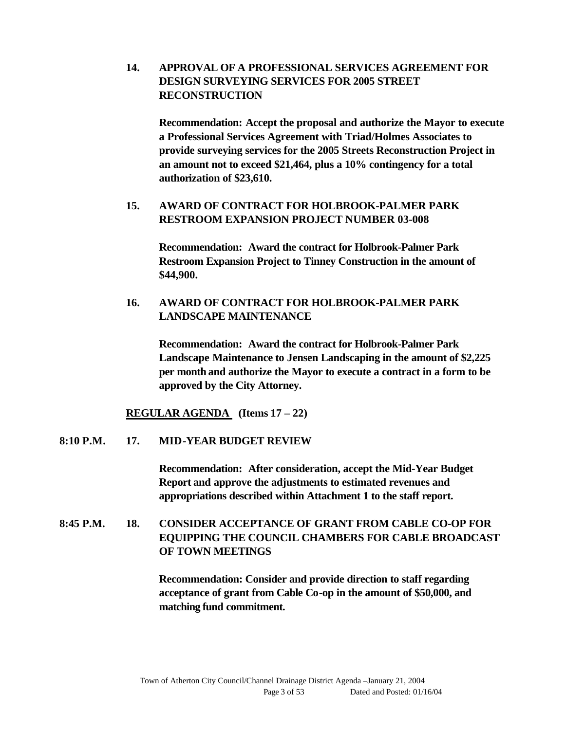**14. APPROVAL OF A PROFESSIONAL SERVICES AGREEMENT FOR DESIGN SURVEYING SERVICES FOR 2005 STREET RECONSTRUCTION**

**Recommendation: Accept the proposal and authorize the Mayor to execute a Professional Services Agreement with Triad/Holmes Associates to provide surveying services for the 2005 Streets Reconstruction Project in an amount not to exceed \$21,464, plus a 10% contingency for a total authorization of \$23,610.**

#### **15. AWARD OF CONTRACT FOR HOLBROOK-PALMER PARK RESTROOM EXPANSION PROJECT NUMBER 03-008**

**Recommendation: Award the contract for Holbrook-Palmer Park Restroom Expansion Project to Tinney Construction in the amount of \$44,900.**

### **16. AWARD OF CONTRACT FOR HOLBROOK-PALMER PARK LANDSCAPE MAINTENANCE**

**Recommendation: Award the contract for Holbrook-Palmer Park Landscape Maintenance to Jensen Landscaping in the amount of \$2,225 per month and authorize the Mayor to execute a contract in a form to be approved by the City Attorney.**

**REGULAR AGENDA (Items 17 – 22)**

#### **8:10 P.M. 17. MID-YEAR BUDGET REVIEW**

**Recommendation: After consideration, accept the Mid-Year Budget Report and approve the adjustments to estimated revenues and appropriations described within Attachment 1 to the staff report.**

## **8:45 P.M. 18. CONSIDER ACCEPTANCE OF GRANT FROM CABLE CO-OP FOR EQUIPPING THE COUNCIL CHAMBERS FOR CABLE BROADCAST OF TOWN MEETINGS**

**Recommendation: Consider and provide direction to staff regarding acceptance of grant from Cable Co-op in the amount of \$50,000, and matching fund commitment.**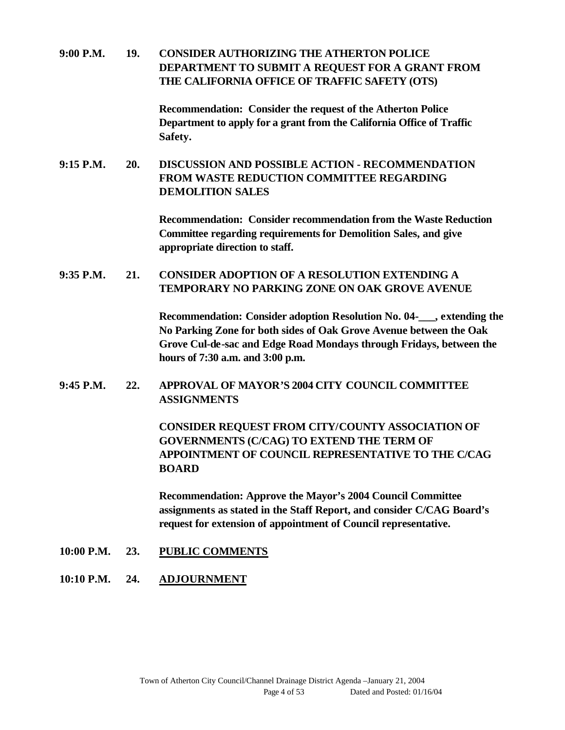**9:00 P.M. 19. CONSIDER AUTHORIZING THE ATHERTON POLICE DEPARTMENT TO SUBMIT A REQUEST FOR A GRANT FROM THE CALIFORNIA OFFICE OF TRAFFIC SAFETY (OTS)** 

> **Recommendation: Consider the request of the Atherton Police Department to apply for a grant from the California Office of Traffic Safety.**

**9:15 P.M. 20. DISCUSSION AND POSSIBLE ACTION - RECOMMENDATION FROM WASTE REDUCTION COMMITTEE REGARDING DEMOLITION SALES** 

> **Recommendation: Consider recommendation from the Waste Reduction Committee regarding requirements for Demolition Sales, and give appropriate direction to staff.**

### **9:35 P.M. 21. CONSIDER ADOPTION OF A RESOLUTION EXTENDING A TEMPORARY NO PARKING ZONE ON OAK GROVE AVENUE**

**Recommendation: Consider adoption Resolution No. 04-\_\_\_, extending the No Parking Zone for both sides of Oak Grove Avenue between the Oak Grove Cul-de-sac and Edge Road Mondays through Fridays, between the hours of 7:30 a.m. and 3:00 p.m.**

**9:45 P.M. 22. APPROVAL OF MAYOR'S 2004 CITY COUNCIL COMMITTEE ASSIGNMENTS**

> **CONSIDER REQUEST FROM CITY/COUNTY ASSOCIATION OF GOVERNMENTS (C/CAG) TO EXTEND THE TERM OF APPOINTMENT OF COUNCIL REPRESENTATIVE TO THE C/CAG BOARD**

> **Recommendation: Approve the Mayor's 2004 Council Committee assignments as stated in the Staff Report, and consider C/CAG Board's request for extension of appointment of Council representative.**

- **10:00 P.M. 23. PUBLIC COMMENTS**
- **10:10 P.M. 24. ADJOURNMENT**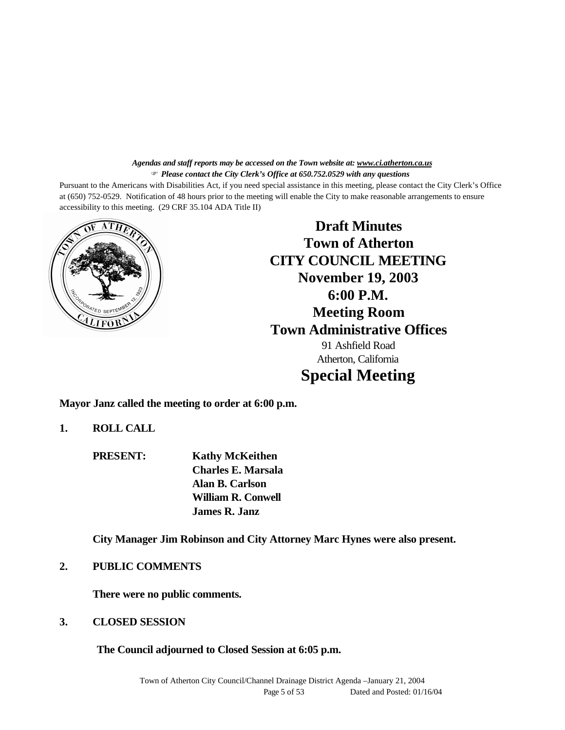#### *Agendas and staff reports may be accessed on the Town website at: www.ci.atherton.ca.us* F *Please contact the City Clerk's Office at 650.752.0529 with any questions*

Pursuant to the Americans with Disabilities Act, if you need special assistance in this meeting, please contact the City Clerk's Office at (650) 752-0529. Notification of 48 hours prior to the meeting will enable the City to make reasonable arrangements to ensure accessibility to this meeting. (29 CRF 35.104 ADA Title II)



**Draft Minutes Town of Atherton CITY COUNCIL MEETING November 19, 2003 6:00 P.M. Meeting Room Town Administrative Offices** 91 Ashfield Road Atherton, California **Special Meeting**

**Mayor Janz called the meeting to order at 6:00 p.m.**

**1. ROLL CALL**

**PRESENT: Kathy McKeithen Charles E. Marsala Alan B. Carlson William R. Conwell James R. Janz**

**City Manager Jim Robinson and City Attorney Marc Hynes were also present.**

#### **2. PUBLIC COMMENTS**

**There were no public comments.**

**3. CLOSED SESSION**

**The Council adjourned to Closed Session at 6:05 p.m.**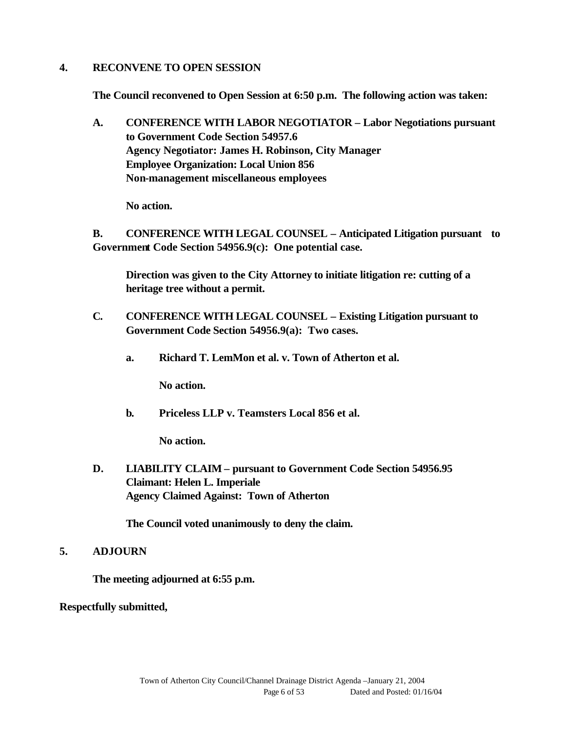#### **4. RECONVENE TO OPEN SESSION**

**The Council reconvened to Open Session at 6:50 p.m. The following action was taken:**

**A. CONFERENCE WITH LABOR NEGOTIATOR – Labor Negotiations pursuant to Government Code Section 54957.6 Agency Negotiator: James H. Robinson, City Manager Employee Organization: Local Union 856 Non-management miscellaneous employees**

**No action.**

**B. CONFERENCE WITH LEGAL COUNSEL – Anticipated Litigation pursuant to Government Code Section 54956.9(c): One potential case.**

**Direction was given to the City Attorney to initiate litigation re: cutting of a heritage tree without a permit.**

- **C. CONFERENCE WITH LEGAL COUNSEL Existing Litigation pursuant to Government Code Section 54956.9(a): Two cases.**
	- **a. Richard T. LemMon et al. v. Town of Atherton et al.**

**No action.**

**b. Priceless LLP v. Teamsters Local 856 et al.**

**No action.**

**D. LIABILITY CLAIM – pursuant to Government Code Section 54956.95 Claimant: Helen L. Imperiale Agency Claimed Against: Town of Atherton**

**The Council voted unanimously to deny the claim.**

#### **5. ADJOURN**

**The meeting adjourned at 6:55 p.m.**

**Respectfully submitted,**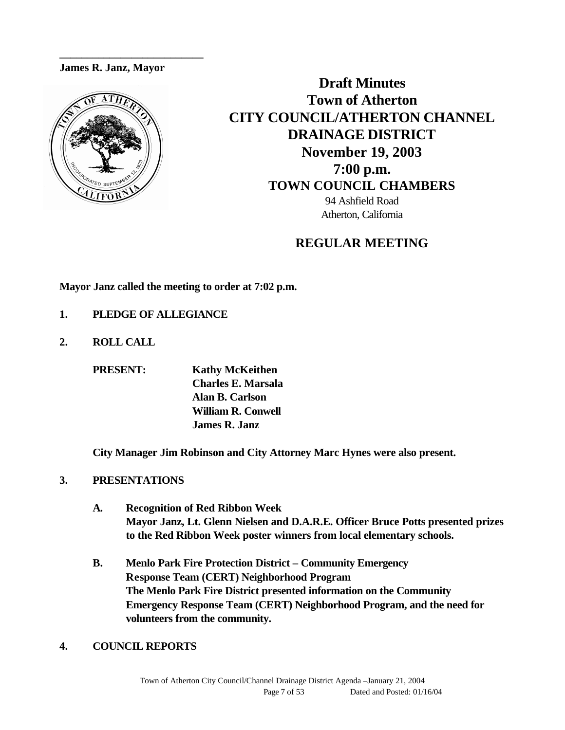#### **James R. Janz, Mayor**

**\_\_\_\_\_\_\_\_\_\_\_\_\_\_\_\_\_\_\_\_\_\_\_\_\_\_**



**Draft Minutes Town of Atherton CITY COUNCIL/ATHERTON CHANNEL DRAINAGE DISTRICT November 19, 2003 7:00 p.m. TOWN COUNCIL CHAMBERS** 94 Ashfield Road Atherton, California

## **REGULAR MEETING**

**Mayor Janz called the meeting to order at 7:02 p.m.**

- **1. PLEDGE OF ALLEGIANCE**
- **2. ROLL CALL**

**PRESENT: Kathy McKeithen Charles E. Marsala Alan B. Carlson William R. Conwell James R. Janz**

**City Manager Jim Robinson and City Attorney Marc Hynes were also present.**

#### **3. PRESENTATIONS**

- **A. Recognition of Red Ribbon Week Mayor Janz, Lt. Glenn Nielsen and D.A.R.E. Officer Bruce Potts presented prizes to the Red Ribbon Week poster winners from local elementary schools.**
- **B. Menlo Park Fire Protection District Community Emergency Response Team (CERT) Neighborhood Program The Menlo Park Fire District presented information on the Community Emergency Response Team (CERT) Neighborhood Program, and the need for volunteers from the community.**
- **4. COUNCIL REPORTS**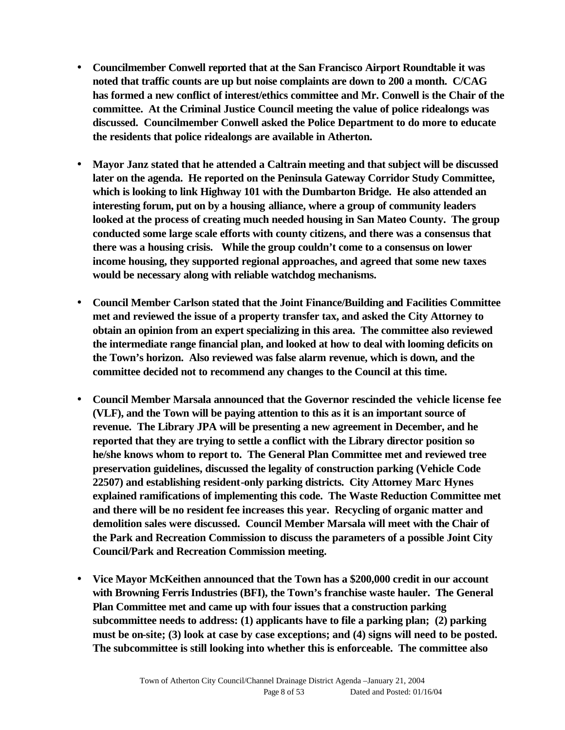- **Councilmember Conwell reported that at the San Francisco Airport Roundtable it was noted that traffic counts are up but noise complaints are down to 200 a month. C/CAG has formed a new conflict of interest/ethics committee and Mr. Conwell is the Chair of the committee. At the Criminal Justice Council meeting the value of police ridealongs was discussed. Councilmember Conwell asked the Police Department to do more to educate the residents that police ridealongs are available in Atherton.**
- **Mayor Janz stated that he attended a Caltrain meeting and that subject will be discussed later on the agenda. He reported on the Peninsula Gateway Corridor Study Committee, which is looking to link Highway 101 with the Dumbarton Bridge. He also attended an interesting forum, put on by a housing alliance, where a group of community leaders looked at the process of creating much needed housing in San Mateo County. The group conducted some large scale efforts with county citizens, and there was a consensus that there was a housing crisis. While the group couldn't come to a consensus on lower income housing, they supported regional approaches, and agreed that some new taxes would be necessary along with reliable watchdog mechanisms.**
- **Council Member Carlson stated that the Joint Finance/Building and Facilities Committee met and reviewed the issue of a property transfer tax, and asked the City Attorney to obtain an opinion from an expert specializing in this area. The committee also reviewed the intermediate range financial plan, and looked at how to deal with looming deficits on the Town's horizon. Also reviewed was false alarm revenue, which is down, and the committee decided not to recommend any changes to the Council at this time.**
- **Council Member Marsala announced that the Governor rescinded the vehicle license fee (VLF), and the Town will be paying attention to this as it is an important source of revenue. The Library JPA will be presenting a new agreement in December, and he reported that they are trying to settle a conflict with the Library director position so he/she knows whom to report to. The General Plan Committee met and reviewed tree preservation guidelines, discussed the legality of construction parking (Vehicle Code 22507) and establishing resident-only parking districts. City Attorney Marc Hynes explained ramifications of implementing this code. The Waste Reduction Committee met and there will be no resident fee increases this year. Recycling of organic matter and demolition sales were discussed. Council Member Marsala will meet with the Chair of the Park and Recreation Commission to discuss the parameters of a possible Joint City Council/Park and Recreation Commission meeting.**
- **Vice Mayor McKeithen announced that the Town has a \$200,000 credit in our account with Browning Ferris Industries (BFI), the Town's franchise waste hauler. The General Plan Committee met and came up with four issues that a construction parking subcommittee needs to address: (1) applicants have to file a parking plan; (2) parking must be on-site; (3) look at case by case exceptions; and (4) signs will need to be posted. The subcommittee is still looking into whether this is enforceable. The committee also**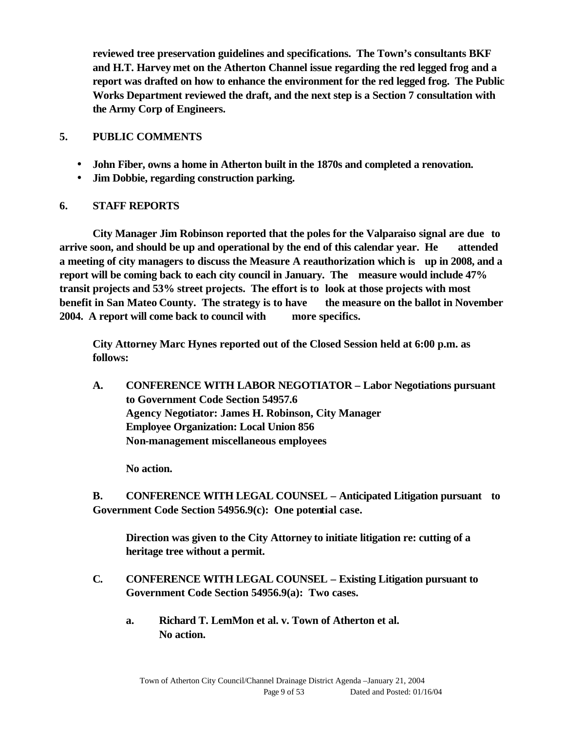**reviewed tree preservation guidelines and specifications. The Town's consultants BKF and H.T. Harvey met on the Atherton Channel issue regarding the red legged frog and a report was drafted on how to enhance the environment for the red legged frog. The Public Works Department reviewed the draft, and the next step is a Section 7 consultation with the Army Corp of Engineers.**

### **5. PUBLIC COMMENTS**

- **John Fiber, owns a home in Atherton built in the 1870s and completed a renovation.**
- **Jim Dobbie, regarding construction parking.**

### **6. STAFF REPORTS**

**City Manager Jim Robinson reported that the poles for the Valparaiso signal are due to arrive soon, and should be up and operational by the end of this calendar year. He attended a meeting of city managers to discuss the Measure A reauthorization which is up in 2008, and a report will be coming back to each city council in January. The measure would include 47% transit projects and 53% street projects. The effort is to look at those projects with most benefit in San Mateo County. The strategy is to have the measure on the ballot in November 2004. A report will come back to council with more specifics.** 

**City Attorney Marc Hynes reported out of the Closed Session held at 6:00 p.m. as follows:**

**A. CONFERENCE WITH LABOR NEGOTIATOR – Labor Negotiations pursuant to Government Code Section 54957.6 Agency Negotiator: James H. Robinson, City Manager Employee Organization: Local Union 856 Non-management miscellaneous employees**

**No action.**

**B. CONFERENCE WITH LEGAL COUNSEL – Anticipated Litigation pursuant to Government Code Section 54956.9(c): One potential case.**

**Direction was given to the City Attorney to initiate litigation re: cutting of a heritage tree without a permit.**

- **C. CONFERENCE WITH LEGAL COUNSEL Existing Litigation pursuant to Government Code Section 54956.9(a): Two cases.**
	- **a. Richard T. LemMon et al. v. Town of Atherton et al. No action.**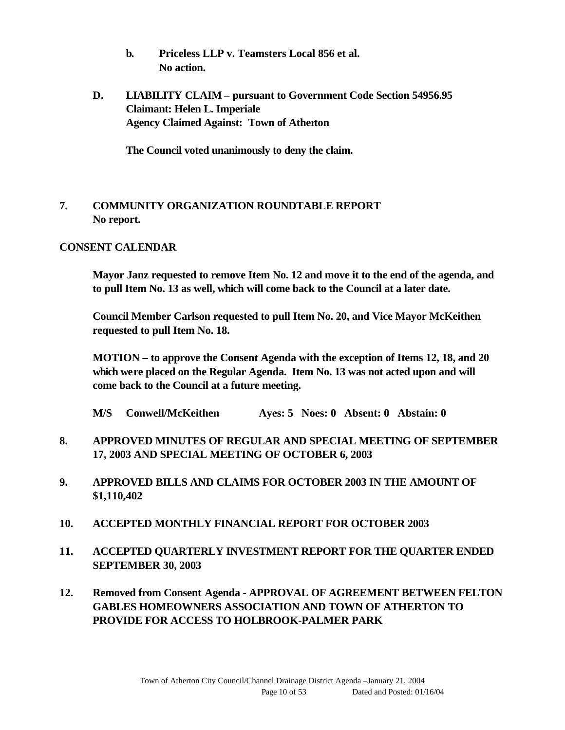- **b. Priceless LLP v. Teamsters Local 856 et al. No action.**
- **D. LIABILITY CLAIM pursuant to Government Code Section 54956.95 Claimant: Helen L. Imperiale Agency Claimed Against: Town of Atherton**

**The Council voted unanimously to deny the claim.**

### **7. COMMUNITY ORGANIZATION ROUNDTABLE REPORT No report.**

#### **CONSENT CALENDAR**

**Mayor Janz requested to remove Item No. 12 and move it to the end of the agenda, and to pull Item No. 13 as well, which will come back to the Council at a later date.**

**Council Member Carlson requested to pull Item No. 20, and Vice Mayor McKeithen requested to pull Item No. 18.**

**MOTION – to approve the Consent Agenda with the exception of Items 12, 18, and 20 which were placed on the Regular Agenda. Item No. 13 was not acted upon and will come back to the Council at a future meeting.**

- **M/S Conwell/McKeithen Ayes: 5 Noes: 0 Absent: 0 Abstain: 0**
- **8. APPROVED MINUTES OF REGULAR AND SPECIAL MEETING OF SEPTEMBER 17, 2003 AND SPECIAL MEETING OF OCTOBER 6, 2003**
- **9. APPROVED BILLS AND CLAIMS FOR OCTOBER 2003 IN THE AMOUNT OF \$1,110,402**
- **10. ACCEPTED MONTHLY FINANCIAL REPORT FOR OCTOBER 2003**
- **11. ACCEPTED QUARTERLY INVESTMENT REPORT FOR THE QUARTER ENDED SEPTEMBER 30, 2003**
- **12. Removed from Consent Agenda APPROVAL OF AGREEMENT BETWEEN FELTON GABLES HOMEOWNERS ASSOCIATION AND TOWN OF ATHERTON TO PROVIDE FOR ACCESS TO HOLBROOK-PALMER PARK**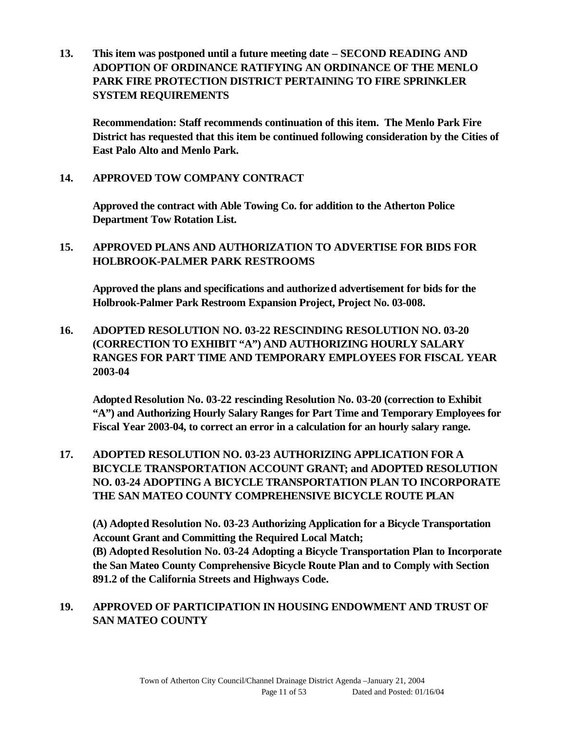**13. This item was postponed until a future meeting date – SECOND READING AND ADOPTION OF ORDINANCE RATIFYING AN ORDINANCE OF THE MENLO PARK FIRE PROTECTION DISTRICT PERTAINING TO FIRE SPRINKLER SYSTEM REQUIREMENTS**

**Recommendation: Staff recommends continuation of this item. The Menlo Park Fire District has requested that this item be continued following consideration by the Cities of East Palo Alto and Menlo Park.**

#### **14. APPROVED TOW COMPANY CONTRACT**

**Approved the contract with Able Towing Co. for addition to the Atherton Police Department Tow Rotation List.**

### **15. APPROVED PLANS AND AUTHORIZATION TO ADVERTISE FOR BIDS FOR HOLBROOK-PALMER PARK RESTROOMS**

**Approved the plans and specifications and authorized advertisement for bids for the Holbrook-Palmer Park Restroom Expansion Project, Project No. 03-008.**

**16. ADOPTED RESOLUTION NO. 03-22 RESCINDING RESOLUTION NO. 03-20 (CORRECTION TO EXHIBIT "A") AND AUTHORIZING HOURLY SALARY RANGES FOR PART TIME AND TEMPORARY EMPLOYEES FOR FISCAL YEAR 2003-04**

**Adopted Resolution No. 03-22 rescinding Resolution No. 03-20 (correction to Exhibit "A") and Authorizing Hourly Salary Ranges for Part Time and Temporary Employees for Fiscal Year 2003-04, to correct an error in a calculation for an hourly salary range.**

**17. ADOPTED RESOLUTION NO. 03-23 AUTHORIZING APPLICATION FOR A BICYCLE TRANSPORTATION ACCOUNT GRANT; and ADOPTED RESOLUTION NO. 03-24 ADOPTING A BICYCLE TRANSPORTATION PLAN TO INCORPORATE THE SAN MATEO COUNTY COMPREHENSIVE BICYCLE ROUTE PLAN**

**(A) Adopted Resolution No. 03-23 Authorizing Application for a Bicycle Transportation Account Grant and Committing the Required Local Match; (B) Adopted Resolution No. 03-24 Adopting a Bicycle Transportation Plan to Incorporate the San Mateo County Comprehensive Bicycle Route Plan and to Comply with Section 891.2 of the California Streets and Highways Code.**

#### **19. APPROVED OF PARTICIPATION IN HOUSING ENDOWMENT AND TRUST OF SAN MATEO COUNTY**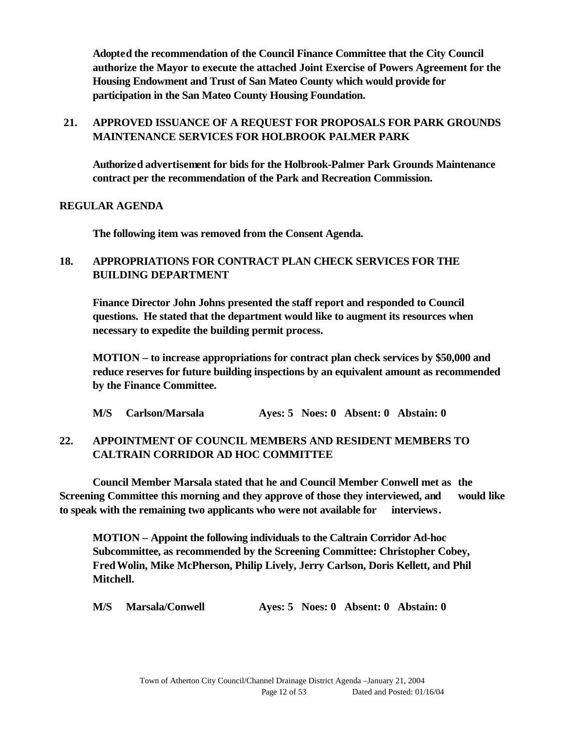**Adopted the recommendation of the Council Finance Committee that the City Council authorize the Mayor to execute the attached Joint Exercise of Powers Agreement for the Housing Endowment and Trust of San Mateo County which would provide for participation in the San Mateo County Housing Foundation.**

### **21. APPROVED ISSUANCE OF A REQUEST FOR PROPOSALS FOR PARK GROUNDS MAINTENANCE SERVICES FOR HOLBROOK PALMER PARK**

**Authorized advertisement for bids for the Holbrook-Palmer Park Grounds Maintenance contract per the recommendation of the Park and Recreation Commission.**

#### **REGULAR AGENDA**

**The following item was removed from the Consent Agenda.**

### **18. APPROPRIATIONS FOR CONTRACT PLAN CHECK SERVICES FOR THE BUILDING DEPARTMENT**

**Finance Director John Johns presented the staff report and responded to Council questions. He stated that the department would like to augment its resources when necessary to expedite the building permit process.**

**MOTION – to increase appropriations for contract plan check services by \$50,000 and reduce reserves for future building inspections by an equivalent amount as recommended by the Finance Committee.**

|  | M/S Carlson/Marsala |  |  |  | Ayes: 5 Noes: 0 Absent: 0 Abstain: 0 |
|--|---------------------|--|--|--|--------------------------------------|
|--|---------------------|--|--|--|--------------------------------------|

#### **22. APPOINTMENT OF COUNCIL MEMBERS AND RESIDENT MEMBERS TO CALTRAIN CORRIDOR AD HOC COMMITTEE**

**Council Member Marsala stated that he and Council Member Conwell met as the Screening Committee this morning and they approve of those they interviewed, and would like to speak with the remaining two applicants who were not available for interviews.**

**MOTION – Appoint the following individuals to the Caltrain Corridor Ad-hoc Subcommittee, as recommended by the Screening Committee: Christopher Cobey, Fred Wolin, Mike McPherson, Philip Lively, Jerry Carlson, Doris Kellett, and Phil Mitchell.**

**M/S Marsala/Conwell Ayes: 5 Noes: 0 Absent: 0 Abstain: 0**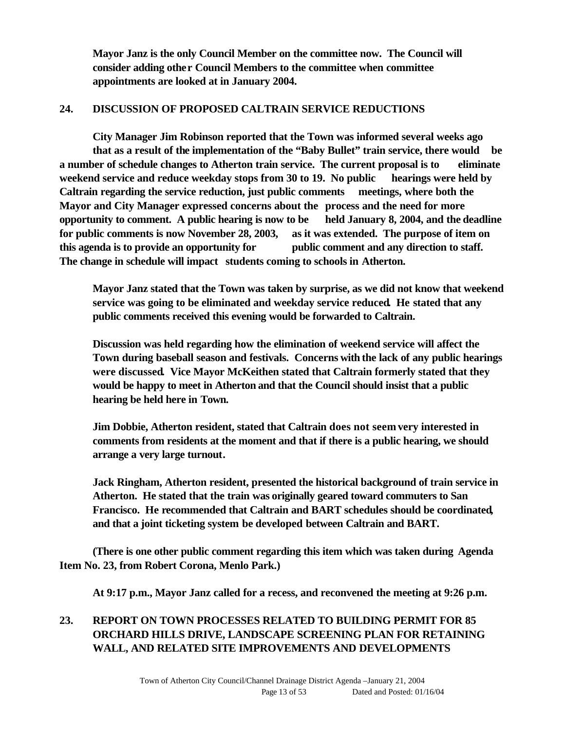**Mayor Janz is the only Council Member on the committee now. The Council will consider adding other Council Members to the committee when committee appointments are looked at in January 2004.**

#### **24. DISCUSSION OF PROPOSED CALTRAIN SERVICE REDUCTIONS**

**City Manager Jim Robinson reported that the Town was informed several weeks ago that as a result of the implementation of the "Baby Bullet" train service, there would be a number of schedule changes to Atherton train service. The current proposal is to eliminate weekend service and reduce weekday stops from 30 to 19. No public hearings were held by Caltrain regarding the service reduction, just public comments meetings, where both the Mayor and City Manager expressed concerns about the process and the need for more opportunity to comment. A public hearing is now to be held January 8, 2004, and the deadline for public comments is now November 28, 2003, as it was extended. The purpose of item on this agenda is to provide an opportunity for public comment and any direction to staff. The change in schedule will impact students coming to schools in Atherton.** 

**Mayor Janz stated that the Town was taken by surprise, as we did not know that weekend service was going to be eliminated and weekday service reduced. He stated that any public comments received this evening would be forwarded to Caltrain.**

**Discussion was held regarding how the elimination of weekend service will affect the Town during baseball season and festivals. Concerns with the lack of any public hearings were discussed. Vice Mayor McKeithen stated that Caltrain formerly stated that they would be happy to meet in Atherton and that the Council should insist that a public hearing be held here in Town.** 

**Jim Dobbie, Atherton resident, stated that Caltrain does not seem very interested in comments from residents at the moment and that if there is a public hearing, we should arrange a very large turnout.**

**Jack Ringham, Atherton resident, presented the historical background of train service in Atherton. He stated that the train was originally geared toward commuters to San Francisco. He recommended that Caltrain and BART schedules should be coordinated, and that a joint ticketing system be developed between Caltrain and BART.** 

**(There is one other public comment regarding this item which was taken during Agenda Item No. 23, from Robert Corona, Menlo Park.)**

**At 9:17 p.m., Mayor Janz called for a recess, and reconvened the meeting at 9:26 p.m.**

## **23. REPORT ON TOWN PROCESSES RELATED TO BUILDING PERMIT FOR 85 ORCHARD HILLS DRIVE, LANDSCAPE SCREENING PLAN FOR RETAINING WALL, AND RELATED SITE IMPROVEMENTS AND DEVELOPMENTS**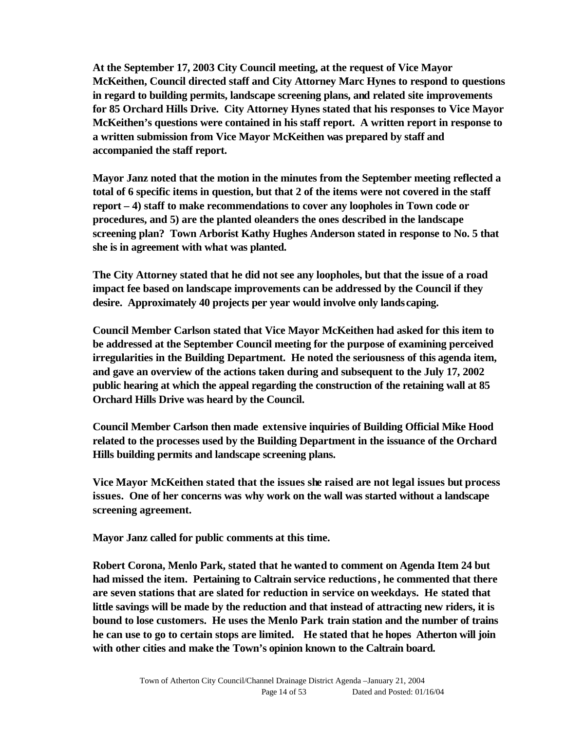**At the September 17, 2003 City Council meeting, at the request of Vice Mayor McKeithen, Council directed staff and City Attorney Marc Hynes to respond to questions in regard to building permits, landscape screening plans, and related site improvements for 85 Orchard Hills Drive. City Attorney Hynes stated that his responses to Vice Mayor McKeithen's questions were contained in his staff report. A written report in response to a written submission from Vice Mayor McKeithen was prepared by staff and accompanied the staff report.**

**Mayor Janz noted that the motion in the minutes from the September meeting reflected a total of 6 specific items in question, but that 2 of the items were not covered in the staff report – 4) staff to make recommendations to cover any loopholes in Town code or procedures, and 5) are the planted oleanders the ones described in the landscape screening plan? Town Arborist Kathy Hughes Anderson stated in response to No. 5 that she is in agreement with what was planted.**

**The City Attorney stated that he did not see any loopholes, but that the issue of a road impact fee based on landscape improvements can be addressed by the Council if they desire. Approximately 40 projects per year would involve only landscaping.** 

**Council Member Carlson stated that Vice Mayor McKeithen had asked for this item to be addressed at the September Council meeting for the purpose of examining perceived irregularities in the Building Department. He noted the seriousness of this agenda item, and gave an overview of the actions taken during and subsequent to the July 17, 2002 public hearing at which the appeal regarding the construction of the retaining wall at 85 Orchard Hills Drive was heard by the Council.** 

**Council Member Carlson then made extensive inquiries of Building Official Mike Hood related to the processes used by the Building Department in the issuance of the Orchard Hills building permits and landscape screening plans.**

**Vice Mayor McKeithen stated that the issues she raised are not legal issues but process issues. One of her concerns was why work on the wall was started without a landscape screening agreement.**

**Mayor Janz called for public comments at this time.**

**Robert Corona, Menlo Park, stated that he wanted to comment on Agenda Item 24 but had missed the item. Pertaining to Caltrain service reductions, he commented that there are seven stations that are slated for reduction in service on weekdays. He stated that little savings will be made by the reduction and that instead of attracting new riders, it is bound to lose customers. He uses the Menlo Park train station and the number of trains he can use to go to certain stops are limited. He stated that he hopes Atherton will join with other cities and make the Town's opinion known to the Caltrain board.**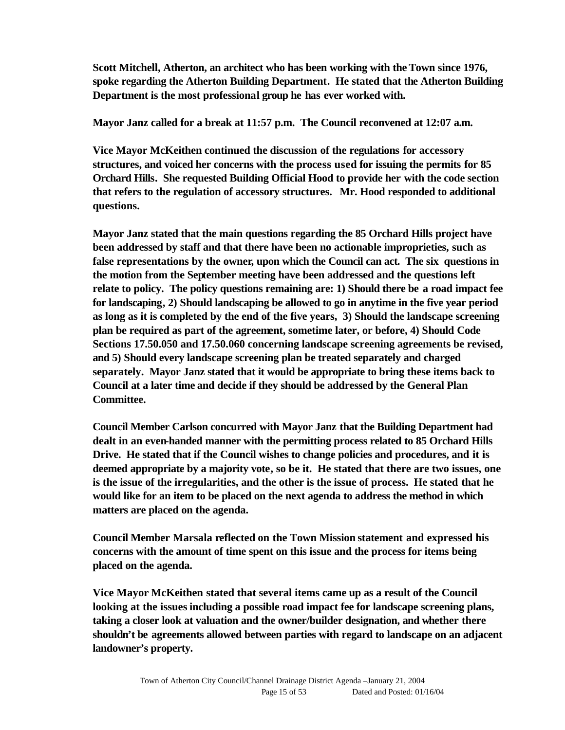**Scott Mitchell, Atherton, an architect who has been working with the Town since 1976, spoke regarding the Atherton Building Department. He stated that the Atherton Building Department is the most professional group he has ever worked with.** 

**Mayor Janz called for a break at 11:57 p.m. The Council reconvened at 12:07 a.m.**

**Vice Mayor McKeithen continued the discussion of the regulations for accessory structures, and voiced her concerns with the process used for issuing the permits for 85 Orchard Hills. She requested Building Official Hood to provide her with the code section that refers to the regulation of accessory structures. Mr. Hood responded to additional questions.**

**Mayor Janz stated that the main questions regarding the 85 Orchard Hills project have been addressed by staff and that there have been no actionable improprieties, such as false representations by the owner, upon which the Council can act. The six questions in the motion from the September meeting have been addressed and the questions left relate to policy. The policy questions remaining are: 1) Should there be a road impact fee for landscaping, 2) Should landscaping be allowed to go in anytime in the five year period as long as it is completed by the end of the five years, 3) Should the landscape screening plan be required as part of the agreement, sometime later, or before, 4) Should Code Sections 17.50.050 and 17.50.060 concerning landscape screening agreements be revised, and 5) Should every landscape screening plan be treated separately and charged separately. Mayor Janz stated that it would be appropriate to bring these items back to Council at a later time and decide if they should be addressed by the General Plan Committee.** 

**Council Member Carlson concurred with Mayor Janz that the Building Department had dealt in an even-handed manner with the permitting process related to 85 Orchard Hills Drive. He stated that if the Council wishes to change policies and procedures, and it is deemed appropriate by a majority vote, so be it. He stated that there are two issues, one is the issue of the irregularities, and the other is the issue of process. He stated that he would like for an item to be placed on the next agenda to address the method in which matters are placed on the agenda.**

**Council Member Marsala reflected on the Town Mission statement and expressed his concerns with the amount of time spent on this issue and the process for items being placed on the agenda.**

**Vice Mayor McKeithen stated that several items came up as a result of the Council looking at the issues including a possible road impact fee for landscape screening plans, taking a closer look at valuation and the owner/builder designation, and whether there shouldn't be agreements allowed between parties with regard to landscape on an adjacent landowner's property.**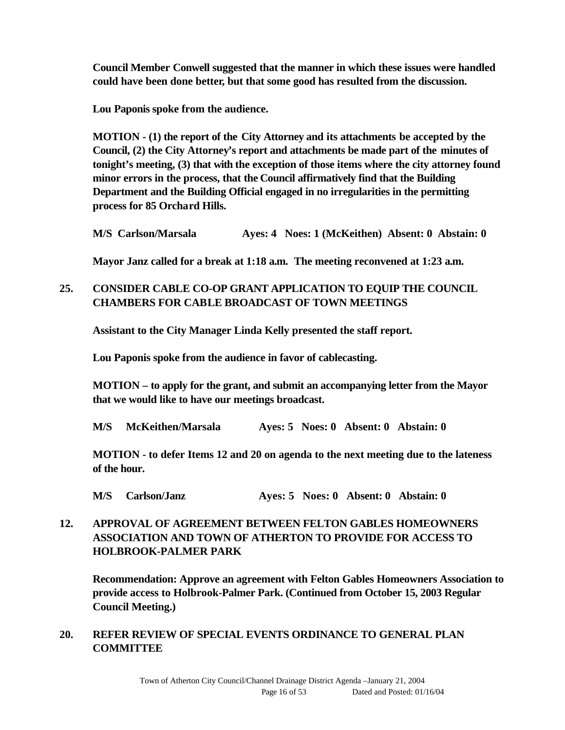**Council Member Conwell suggested that the manner in which these issues were handled could have been done better, but that some good has resulted from the discussion.**

**Lou Paponis spoke from the audience.** 

**MOTION - (1) the report of the City Attorney and its attachments be accepted by the Council, (2) the City Attorney's report and attachments be made part of the minutes of tonight's meeting, (3) that with the exception of those items where the city attorney found minor errors in the process, that the Council affirmatively find that the Building Department and the Building Official engaged in no irregularities in the permitting process for 85 Orchard Hills.**

**M/S Carlson/Marsala Ayes: 4 Noes: 1 (McKeithen) Absent: 0 Abstain: 0**

**Mayor Janz called for a break at 1:18 a.m. The meeting reconvened at 1:23 a.m.**

### **25. CONSIDER CABLE CO-OP GRANT APPLICATION TO EQUIP THE COUNCIL CHAMBERS FOR CABLE BROADCAST OF TOWN MEETINGS**

**Assistant to the City Manager Linda Kelly presented the staff report.**

**Lou Paponis spoke from the audience in favor of cablecasting.** 

**MOTION – to apply for the grant, and submit an accompanying letter from the Mayor that we would like to have our meetings broadcast.** 

**M/S McKeithen/Marsala Ayes: 5 Noes: 0 Absent: 0 Abstain: 0**

**MOTION - to defer Items 12 and 20 on agenda to the next meeting due to the lateness of the hour.**

**M/S Carlson/Janz Ayes: 5 Noes: 0 Absent: 0 Abstain: 0**

## **12. APPROVAL OF AGREEMENT BETWEEN FELTON GABLES HOMEOWNERS ASSOCIATION AND TOWN OF ATHERTON TO PROVIDE FOR ACCESS TO HOLBROOK-PALMER PARK**

**Recommendation: Approve an agreement with Felton Gables Homeowners Association to provide access to Holbrook-Palmer Park. (Continued from October 15, 2003 Regular Council Meeting.)**

#### **20. REFER REVIEW OF SPECIAL EVENTS ORDINANCE TO GENERAL PLAN COMMITTEE**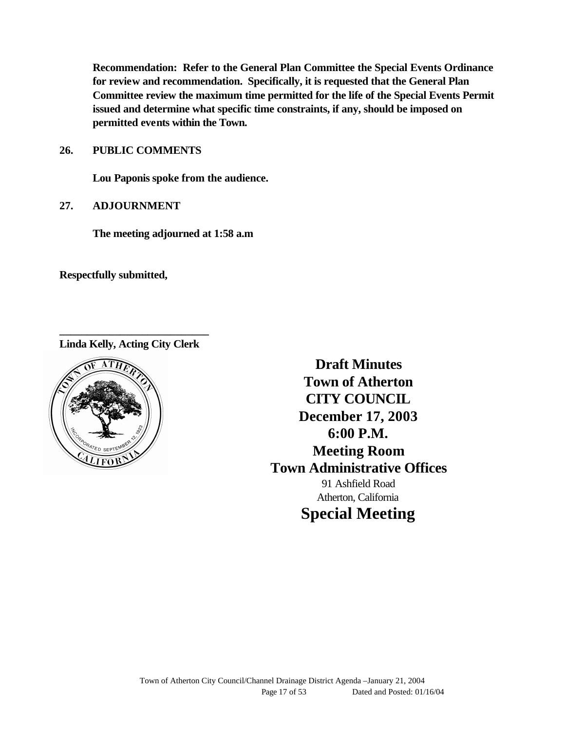**Recommendation: Refer to the General Plan Committee the Special Events Ordinance for review and recommendation. Specifically, it is requested that the General Plan Committee review the maximum time permitted for the life of the Special Events Permit issued and determine what specific time constraints, if any, should be imposed on permitted events within the Town.**

**26. PUBLIC COMMENTS**

**Lou Paponis spoke from the audience.**

**27. ADJOURNMENT**

**The meeting adjourned at 1:58 a.m**

**Respectfully submitted,**

**\_\_\_\_\_\_\_\_\_\_\_\_\_\_\_\_\_\_\_\_\_\_\_\_\_\_\_ Linda Kelly, Acting City Clerk**



**Draft Minutes Town of Atherton CITY COUNCIL December 17, 2003 6:00 P.M. Meeting Room Town Administrative Offices** 91 Ashfield Road Atherton, California **Special Meeting**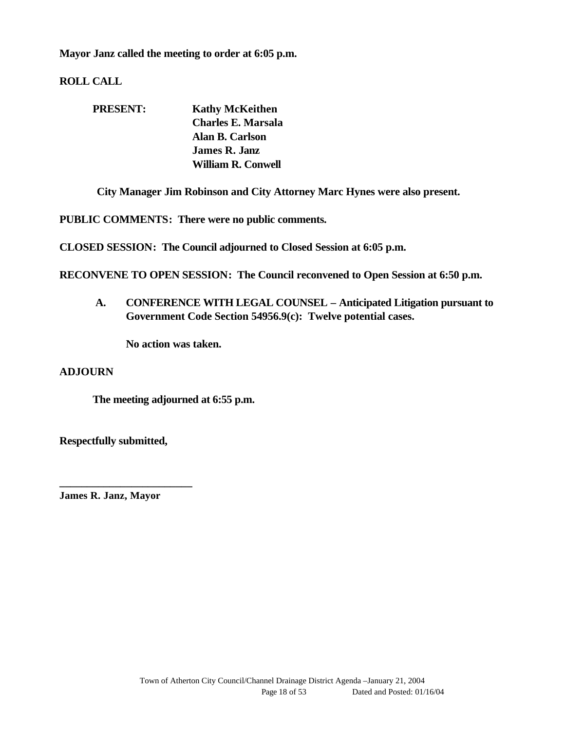**Mayor Janz called the meeting to order at 6:05 p.m.**

**ROLL CALL**

| <b>PRESENT:</b> | <b>Kathy McKeithen</b>    |
|-----------------|---------------------------|
|                 | Charles E. Marsala        |
|                 | Alan B. Carlson           |
|                 | <b>James R. Janz</b>      |
|                 | <b>William R. Conwell</b> |

**City Manager Jim Robinson and City Attorney Marc Hynes were also present.**

**PUBLIC COMMENTS: There were no public comments.**

**CLOSED SESSION: The Council adjourned to Closed Session at 6:05 p.m.**

**RECONVENE TO OPEN SESSION: The Council reconvened to Open Session at 6:50 p.m.**

**A. CONFERENCE WITH LEGAL COUNSEL – Anticipated Litigation pursuant to Government Code Section 54956.9(c): Twelve potential cases.**

**No action was taken.**

#### **ADJOURN**

**The meeting adjourned at 6:55 p.m.**

**Respectfully submitted,**

**James R. Janz, Mayor**

**\_\_\_\_\_\_\_\_\_\_\_\_\_\_\_\_\_\_\_\_\_\_\_\_**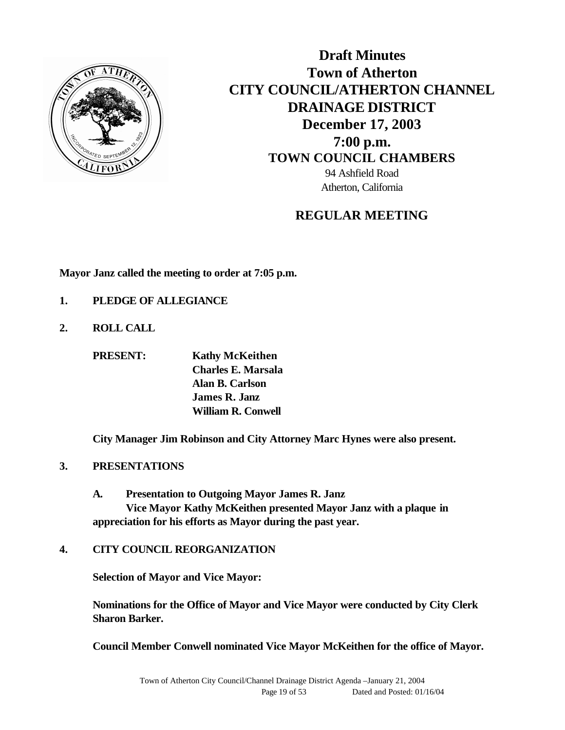

**Draft Minutes Town of Atherton CITY COUNCIL/ATHERTON CHANNEL DRAINAGE DISTRICT December 17, 2003 7:00 p.m. TOWN COUNCIL CHAMBERS** 94 Ashfield Road Atherton, California

## **REGULAR MEETING**

**Mayor Janz called the meeting to order at 7:05 p.m.**

- **1. PLEDGE OF ALLEGIANCE**
- **2. ROLL CALL**

**PRESENT: Kathy McKeithen Charles E. Marsala Alan B. Carlson James R. Janz William R. Conwell**

**City Manager Jim Robinson and City Attorney Marc Hynes were also present.**

#### **3. PRESENTATIONS**

**A. Presentation to Outgoing Mayor James R. Janz Vice Mayor Kathy McKeithen presented Mayor Janz with a plaque in appreciation for his efforts as Mayor during the past year.**

#### **4. CITY COUNCIL REORGANIZATION**

**Selection of Mayor and Vice Mayor:**

**Nominations for the Office of Mayor and Vice Mayor were conducted by City Clerk Sharon Barker.**

**Council Member Conwell nominated Vice Mayor McKeithen for the office of Mayor.**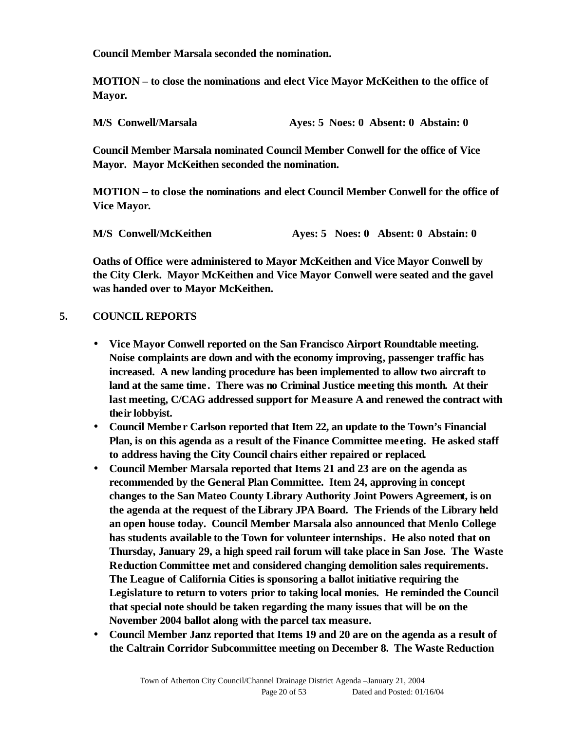**Council Member Marsala seconded the nomination.** 

**MOTION – to close the nominations and elect Vice Mayor McKeithen to the office of Mayor.**

| <b>M/S Conwell/Marsala</b> |  | Aves: 5 Noes: 0 Absent: 0 Abstain: 0 |  |
|----------------------------|--|--------------------------------------|--|
|                            |  |                                      |  |

**Council Member Marsala nominated Council Member Conwell for the office of Vice Mayor. Mayor McKeithen seconded the nomination.** 

**MOTION – to close the nominations and elect Council Member Conwell for the office of Vice Mayor.**

| M/S Conwell/McKeithen |  | Ayes: 5 Noes: 0 Absent: 0 Abstain: 0 |  |
|-----------------------|--|--------------------------------------|--|

**Oaths of Office were administered to Mayor McKeithen and Vice Mayor Conwell by the City Clerk. Mayor McKeithen and Vice Mayor Conwell were seated and the gavel was handed over to Mayor McKeithen.**

#### **5. COUNCIL REPORTS**

- **Vice Mayor Conwell reported on the San Francisco Airport Roundtable meeting. Noise complaints are down and with the economy improving, passenger traffic has increased. A new landing procedure has been implemented to allow two aircraft to land at the same time. There was no Criminal Justice meeting this month. At their last meeting, C/CAG addressed support for Measure A and renewed the contract with their lobbyist.**
- **Council Member Carlson reported that Item 22, an update to the Town's Financial Plan, is on this agenda as a result of the Finance Committee meeting. He asked staff to address having the City Council chairs either repaired or replaced.**
- **Council Member Marsala reported that Items 21 and 23 are on the agenda as recommended by the General Plan Committee. Item 24, approving in concept changes to the San Mateo County Library Authority Joint Powers Agreement, is on the agenda at the request of the Library JPA Board. The Friends of the Library held an open house today. Council Member Marsala also announced that Menlo College has students available to the Town for volunteer internships. He also noted that on Thursday, January 29, a high speed rail forum will take place in San Jose. The Waste Reduction Committee met and considered changing demolition sales requirements. The League of California Cities is sponsoring a ballot initiative requiring the Legislature to return to voters prior to taking local monies. He reminded the Council that special note should be taken regarding the many issues that will be on the November 2004 ballot along with the parcel tax measure.**
- **Council Member Janz reported that Items 19 and 20 are on the agenda as a result of the Caltrain Corridor Subcommittee meeting on December 8. The Waste Reduction**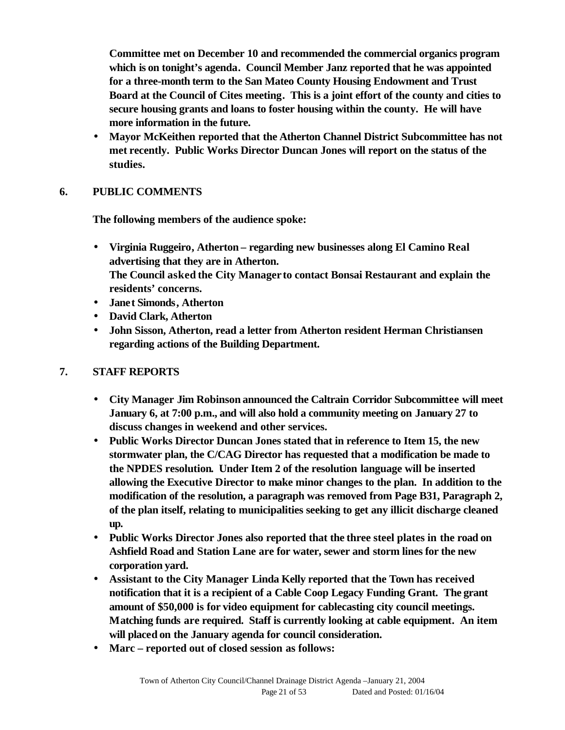**Committee met on December 10 and recommended the commercial organics program which is on tonight's agenda. Council Member Janz reported that he was appointed for a three-month term to the San Mateo County Housing Endowment and Trust Board at the Council of Cites meeting. This is a joint effort of the county and cities to secure housing grants and loans to foster housing within the county. He will have more information in the future.**

• **Mayor McKeithen reported that the Atherton Channel District Subcommittee has not met recently. Public Works Director Duncan Jones will report on the status of the studies.**

### **6. PUBLIC COMMENTS**

**The following members of the audience spoke:**

- **Virginia Ruggeiro, Atherton – regarding new businesses along El Camino Real advertising that they are in Atherton. The Council asked the City Manager to contact Bonsai Restaurant and explain the residents' concerns.**
- **Janet Simonds, Atherton**
- **David Clark, Atherton**
- **John Sisson, Atherton, read a letter from Atherton resident Herman Christiansen regarding actions of the Building Department.**

#### **7. STAFF REPORTS**

- **City Manager Jim Robinson announced the Caltrain Corridor Subcommittee will meet January 6, at 7:00 p.m., and will also hold a community meeting on January 27 to discuss changes in weekend and other services.**
- **Public Works Director Duncan Jones stated that in reference to Item 15, the new stormwater plan, the C/CAG Director has requested that a modification be made to the NPDES resolution. Under Item 2 of the resolution language will be inserted allowing the Executive Director to make minor changes to the plan. In addition to the modification of the resolution, a paragraph was removed from Page B31, Paragraph 2, of the plan itself, relating to municipalities seeking to get any illicit discharge cleaned up.**
- **Public Works Director Jones also reported that the three steel plates in the road on Ashfield Road and Station Lane are for water, sewer and storm lines for the new corporation yard.**
- **Assistant to the City Manager Linda Kelly reported that the Town has received notification that it is a recipient of a Cable Coop Legacy Funding Grant. The grant amount of \$50,000 is for video equipment for cablecasting city council meetings. Matching funds are required. Staff is currently looking at cable equipment. An item will placed on the January agenda for council consideration.**
- **Marc reported out of closed session as follows:**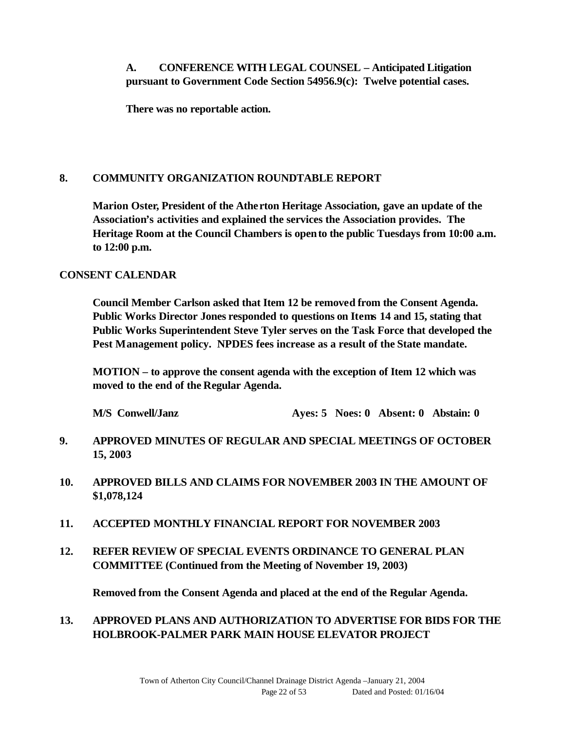### **A. CONFERENCE WITH LEGAL COUNSEL – Anticipated Litigation pursuant to Government Code Section 54956.9(c): Twelve potential cases.**

**There was no reportable action.**

#### **8. COMMUNITY ORGANIZATION ROUNDTABLE REPORT**

**Marion Oster, President of the Atherton Heritage Association, gave an update of the Association's activities and explained the services the Association provides. The Heritage Room at the Council Chambers is opento the public Tuesdays from 10:00 a.m. to 12:00 p.m.**

#### **CONSENT CALENDAR**

**Council Member Carlson asked that Item 12 be removed from the Consent Agenda. Public Works Director Jones responded to questions on Items 14 and 15, stating that Public Works Superintendent Steve Tyler serves on the Task Force that developed the Pest Management policy. NPDES fees increase as a result of the State mandate.**

**MOTION – to approve the consent agenda with the exception of Item 12 which was moved to the end of the Regular Agenda.** 

**M/S Conwell/Janz Ayes: 5 Noes: 0 Absent: 0 Abstain: 0**

- **9. APPROVED MINUTES OF REGULAR AND SPECIAL MEETINGS OF OCTOBER 15, 2003**
- **10. APPROVED BILLS AND CLAIMS FOR NOVEMBER 2003 IN THE AMOUNT OF \$1,078,124**
- **11. ACCEPTED MONTHLY FINANCIAL REPORT FOR NOVEMBER 2003**
- **12. REFER REVIEW OF SPECIAL EVENTS ORDINANCE TO GENERAL PLAN COMMITTEE (Continued from the Meeting of November 19, 2003)**

**Removed from the Consent Agenda and placed at the end of the Regular Agenda.**

### **13. APPROVED PLANS AND AUTHORIZATION TO ADVERTISE FOR BIDS FOR THE HOLBROOK-PALMER PARK MAIN HOUSE ELEVATOR PROJECT**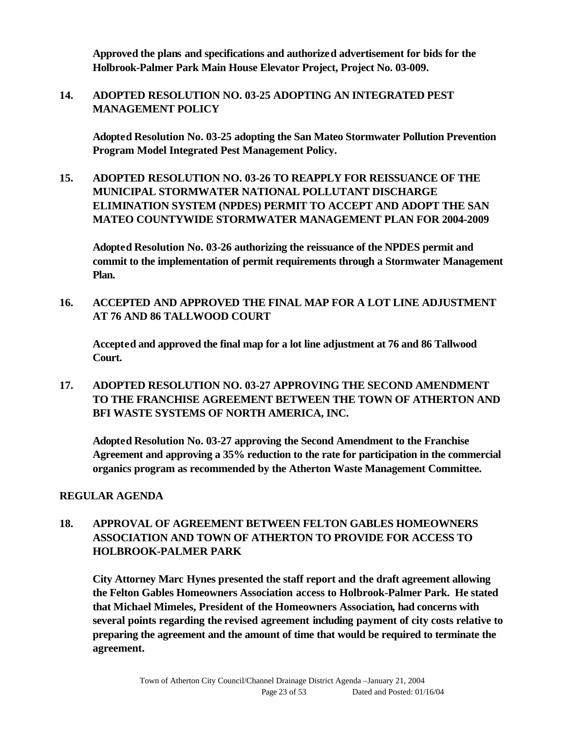**Approved the plans and specifications and authorized advertisement for bids for the Holbrook-Palmer Park Main House Elevator Project, Project No. 03-009.**

**14. ADOPTED RESOLUTION NO. 03-25 ADOPTING AN INTEGRATED PEST MANAGEMENT POLICY**

**Adopted Resolution No. 03-25 adopting the San Mateo Stormwater Pollution Prevention Program Model Integrated Pest Management Policy.**

**15. ADOPTED RESOLUTION NO. 03-26 TO REAPPLY FOR REISSUANCE OF THE MUNICIPAL STORMWATER NATIONAL POLLUTANT DISCHARGE ELIMINATION SYSTEM (NPDES) PERMIT TO ACCEPT AND ADOPT THE SAN MATEO COUNTYWIDE STORMWATER MANAGEMENT PLAN FOR 2004-2009**

**Adopted Resolution No. 03-26 authorizing the reissuance of the NPDES permit and commit to the implementation of permit requirements through a Stormwater Management Plan.**

**16. ACCEPTED AND APPROVED THE FINAL MAP FOR A LOT LINE ADJUSTMENT AT 76 AND 86 TALLWOOD COURT**

**Accepted and approved the final map for a lot line adjustment at 76 and 86 Tallwood Court.** 

**17. ADOPTED RESOLUTION NO. 03-27 APPROVING THE SECOND AMENDMENT TO THE FRANCHISE AGREEMENT BETWEEN THE TOWN OF ATHERTON AND BFI WASTE SYSTEMS OF NORTH AMERICA, INC.**

**Adopted Resolution No. 03-27 approving the Second Amendment to the Franchise Agreement and approving a 35% reduction to the rate for participation in the commercial organics program as recommended by the Atherton Waste Management Committee.**

#### **REGULAR AGENDA**

## **18. APPROVAL OF AGREEMENT BETWEEN FELTON GABLES HOMEOWNERS ASSOCIATION AND TOWN OF ATHERTON TO PROVIDE FOR ACCESS TO HOLBROOK-PALMER PARK**

**City Attorney Marc Hynes presented the staff report and the draft agreement allowing the Felton Gables Homeowners Association access to Holbrook-Palmer Park. He stated that Michael Mimeles, President of the Homeowners Association, had concerns with several points regarding the revised agreement including payment of city costs relative to preparing the agreement and the amount of time that would be required to terminate the agreement.**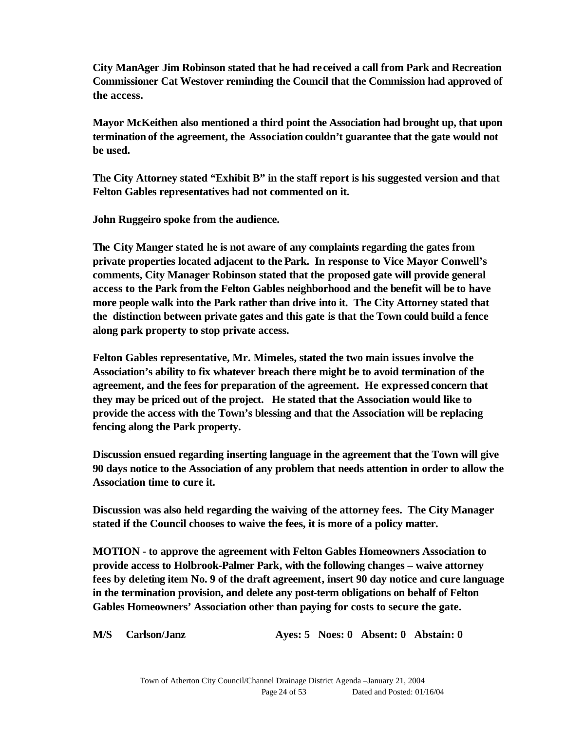**City ManAger Jim Robinson stated that he had received a call from Park and Recreation Commissioner Cat Westover reminding the Council that the Commission had approved of the access.**

**Mayor McKeithen also mentioned a third point the Association had brought up, that upon termination of the agreement, the Association couldn't guarantee that the gate would not be used.**

**The City Attorney stated "Exhibit B" in the staff report is his suggested version and that Felton Gables representatives had not commented on it.**

**John Ruggeiro spoke from the audience.**

**The City Manger stated he is not aware of any complaints regarding the gates from private properties located adjacent to the Park. In response to Vice Mayor Conwell's comments, City Manager Robinson stated that the proposed gate will provide general access to the Park from the Felton Gables neighborhood and the benefit will be to have more people walk into the Park rather than drive into it. The City Attorney stated that the distinction between private gates and this gate is that the Town could build a fence along park property to stop private access.**

**Felton Gables representative, Mr. Mimeles, stated the two main issues involve the Association's ability to fix whatever breach there might be to avoid termination of the agreement, and the fees for preparation of the agreement. He expressed concern that they may be priced out of the project. He stated that the Association would like to provide the access with the Town's blessing and that the Association will be replacing fencing along the Park property.**

**Discussion ensued regarding inserting language in the agreement that the Town will give 90 days notice to the Association of any problem that needs attention in order to allow the Association time to cure it.** 

**Discussion was also held regarding the waiving of the attorney fees. The City Manager stated if the Council chooses to waive the fees, it is more of a policy matter.**

**MOTION - to approve the agreement with Felton Gables Homeowners Association to provide access to Holbrook-Palmer Park, with the following changes – waive attorney fees by deleting item No. 9 of the draft agreement, insert 90 day notice and cure language in the termination provision, and delete any post-term obligations on behalf of Felton Gables Homeowners' Association other than paying for costs to secure the gate.**

**M/S Carlson/Janz Ayes: 5 Noes: 0 Absent: 0 Abstain: 0**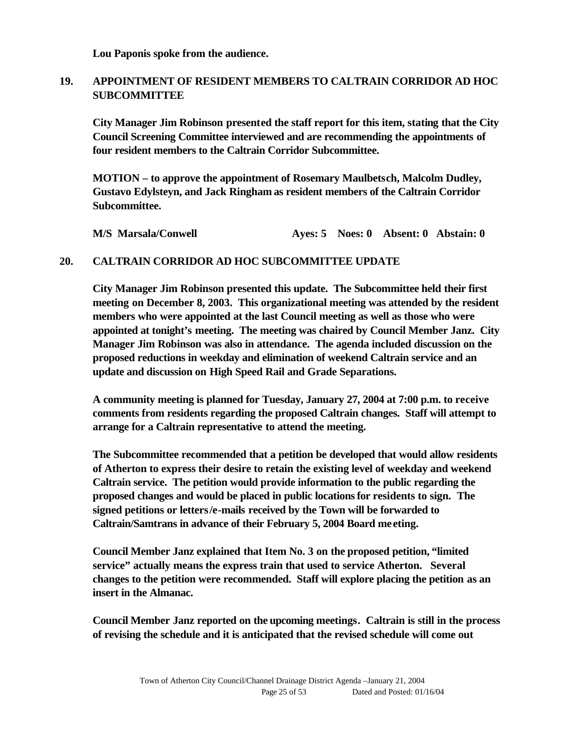**Lou Paponis spoke from the audience.**

#### **19. APPOINTMENT OF RESIDENT MEMBERS TO CALTRAIN CORRIDOR AD HOC SUBCOMMITTEE**

**City Manager Jim Robinson presented the staff report for this item, stating that the City Council Screening Committee interviewed and are recommending the appointments of four resident members to the Caltrain Corridor Subcommittee.**

**MOTION – to approve the appointment of Rosemary Maulbetsch, Malcolm Dudley, Gustavo Edylsteyn, and Jack Ringham as resident members of the Caltrain Corridor Subcommittee.**

**M/S Marsala/Conwell Ayes: 5 Noes: 0 Absent: 0 Abstain: 0**

#### **20. CALTRAIN CORRIDOR AD HOC SUBCOMMITTEE UPDATE**

**City Manager Jim Robinson presented this update. The Subcommittee held their first meeting on December 8, 2003. This organizational meeting was attended by the resident members who were appointed at the last Council meeting as well as those who were appointed at tonight's meeting. The meeting was chaired by Council Member Janz. City Manager Jim Robinson was also in attendance. The agenda included discussion on the proposed reductions in weekday and elimination of weekend Caltrain service and an update and discussion on High Speed Rail and Grade Separations.** 

**A community meeting is planned for Tuesday, January 27, 2004 at 7:00 p.m. to receive comments from residents regarding the proposed Caltrain changes. Staff will attempt to arrange for a Caltrain representative to attend the meeting.**

**The Subcommittee recommended that a petition be developed that would allow residents of Atherton to express their desire to retain the existing level of weekday and weekend Caltrain service. The petition would provide information to the public regarding the proposed changes and would be placed in public locations for residents to sign. The signed petitions or letters/e-mails received by the Town will be forwarded to Caltrain/Samtrans in advance of their February 5, 2004 Board meeting.**

**Council Member Janz explained that Item No. 3 on the proposed petition, "limited service" actually means the express train that used to service Atherton. Several changes to the petition were recommended. Staff will explore placing the petition as an insert in the Almanac.**

**Council Member Janz reported on the upcoming meetings. Caltrain is still in the process of revising the schedule and it is anticipated that the revised schedule will come out**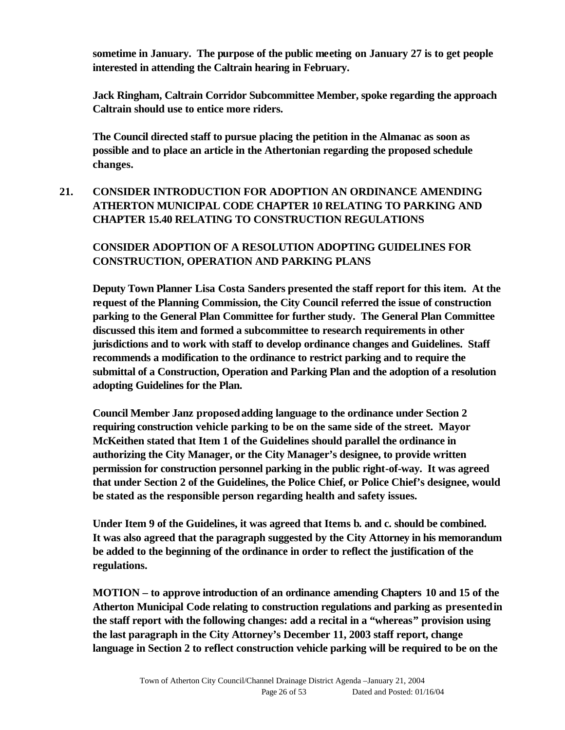**sometime in January. The purpose of the public meeting on January 27 is to get people interested in attending the Caltrain hearing in February.**

**Jack Ringham, Caltrain Corridor Subcommittee Member, spoke regarding the approach Caltrain should use to entice more riders.**

**The Council directed staff to pursue placing the petition in the Almanac as soon as possible and to place an article in the Athertonian regarding the proposed schedule changes.**

## **21. CONSIDER INTRODUCTION FOR ADOPTION AN ORDINANCE AMENDING ATHERTON MUNICIPAL CODE CHAPTER 10 RELATING TO PARKING AND CHAPTER 15.40 RELATING TO CONSTRUCTION REGULATIONS**

## **CONSIDER ADOPTION OF A RESOLUTION ADOPTING GUIDELINES FOR CONSTRUCTION, OPERATION AND PARKING PLANS**

**Deputy Town Planner Lisa Costa Sanders presented the staff report for this item. At the request of the Planning Commission, the City Council referred the issue of construction parking to the General Plan Committee for further study. The General Plan Committee discussed this item and formed a subcommittee to research requirements in other jurisdictions and to work with staff to develop ordinance changes and Guidelines. Staff recommends a modification to the ordinance to restrict parking and to require the submittal of a Construction, Operation and Parking Plan and the adoption of a resolution adopting Guidelines for the Plan.**

**Council Member Janz proposed adding language to the ordinance under Section 2 requiring construction vehicle parking to be on the same side of the street. Mayor McKeithen stated that Item 1 of the Guidelines should parallel the ordinance in authorizing the City Manager, or the City Manager's designee, to provide written permission for construction personnel parking in the public right-of-way. It was agreed that under Section 2 of the Guidelines, the Police Chief, or Police Chief's designee, would be stated as the responsible person regarding health and safety issues.** 

**Under Item 9 of the Guidelines, it was agreed that Items b. and c. should be combined. It was also agreed that the paragraph suggested by the City Attorney in his memorandum be added to the beginning of the ordinance in order to reflect the justification of the regulations.**

**MOTION – to approve introduction of an ordinance amending Chapters 10 and 15 of the Atherton Municipal Code relating to construction regulations and parking as presented in the staff report with the following changes: add a recital in a "whereas" provision using the last paragraph in the City Attorney's December 11, 2003 staff report, change language in Section 2 to reflect construction vehicle parking will be required to be on the**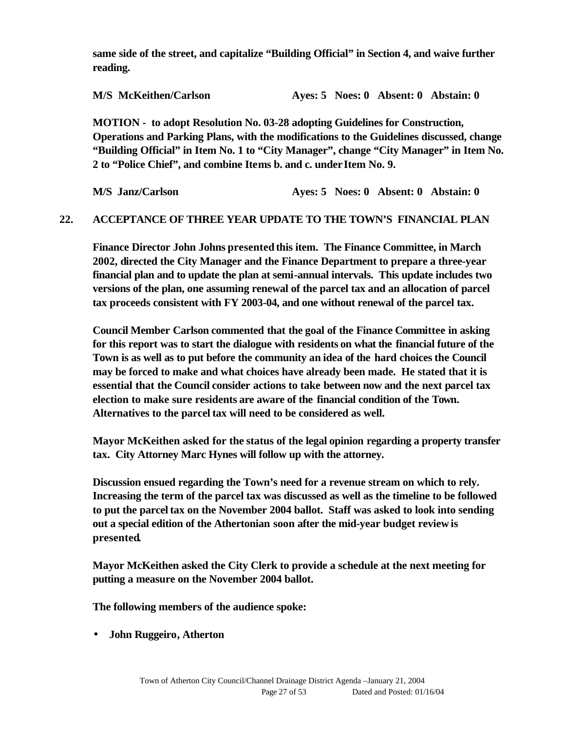**same side of the street, and capitalize "Building Official" in Section 4, and waive further reading.**

**M/S McKeithen/Carlson Ayes: 5 Noes: 0 Absent: 0 Abstain: 0**

**MOTION - to adopt Resolution No. 03-28 adopting Guidelines for Construction, Operations and Parking Plans, with the modifications to the Guidelines discussed, change "Building Official" in Item No. 1 to "City Manager", change "City Manager" in Item No. 2 to "Police Chief", and combine Items b. and c. under Item No. 9.**

**M/S Janz/Carlson Ayes: 5 Noes: 0 Absent: 0 Abstain: 0**

#### **22. ACCEPTANCE OF THREE YEAR UPDATE TO THE TOWN'S FINANCIAL PLAN**

**Finance Director John Johns presented this item. The Finance Committee, in March 2002, directed the City Manager and the Finance Department to prepare a three-year financial plan and to update the plan at semi-annual intervals. This update includes two versions of the plan, one assuming renewal of the parcel tax and an allocation of parcel tax proceeds consistent with FY 2003-04, and one without renewal of the parcel tax.** 

**Council Member Carlson commented that the goal of the Finance Committee in asking for this report was to start the dialogue with residents on what the financial future of the Town is as well as to put before the community an idea of the hard choices the Council may be forced to make and what choices have already been made. He stated that it is essential that the Council consider actions to take between now and the next parcel tax election to make sure residents are aware of the financial condition of the Town. Alternatives to the parcel tax will need to be considered as well.**

**Mayor McKeithen asked for the status of the legal opinion regarding a property transfer tax. City Attorney Marc Hynes will follow up with the attorney.** 

**Discussion ensued regarding the Town's need for a revenue stream on which to rely. Increasing the term of the parcel tax was discussed as well as the timeline to be followed to put the parcel tax on the November 2004 ballot. Staff was asked to look into sending out a special edition of the Athertonian soon after the mid-year budget review is presented.** 

**Mayor McKeithen asked the City Clerk to provide a schedule at the next meeting for putting a measure on the November 2004 ballot.**

**The following members of the audience spoke:**

• **John Ruggeiro, Atherton**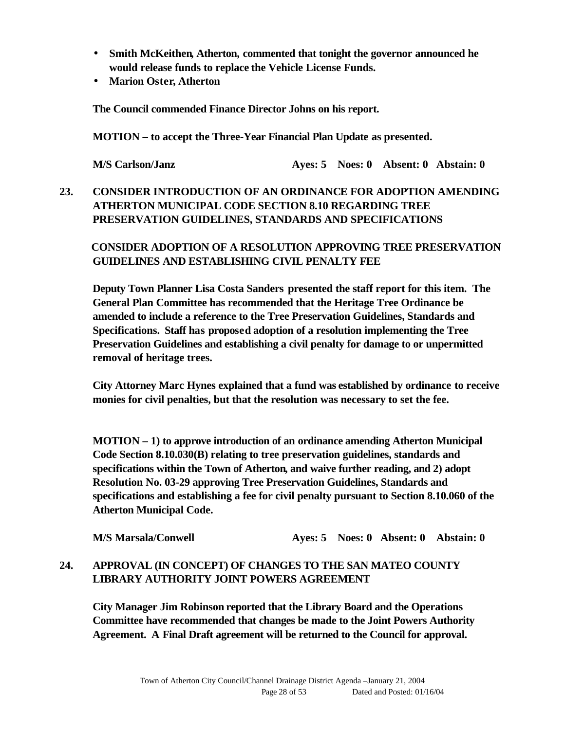- **Smith McKeithen, Atherton, commented that tonight the governor announced he would release funds to replace the Vehicle License Funds.**
- **Marion Oster, Atherton**

**The Council commended Finance Director Johns on his report.**

**MOTION – to accept the Three-Year Financial Plan Update as presented.**

**M/S Carlson/Janz Ayes: 5 Noes: 0 Absent: 0 Abstain: 0**

## **23. CONSIDER INTRODUCTION OF AN ORDINANCE FOR ADOPTION AMENDING ATHERTON MUNICIPAL CODE SECTION 8.10 REGARDING TREE PRESERVATION GUIDELINES, STANDARDS AND SPECIFICATIONS**

## **CONSIDER ADOPTION OF A RESOLUTION APPROVING TREE PRESERVATION GUIDELINES AND ESTABLISHING CIVIL PENALTY FEE**

**Deputy Town Planner Lisa Costa Sanders presented the staff report for this item. The General Plan Committee has recommended that the Heritage Tree Ordinance be amended to include a reference to the Tree Preservation Guidelines, Standards and Specifications. Staff has proposed adoption of a resolution implementing the Tree Preservation Guidelines and establishing a civil penalty for damage to or unpermitted removal of heritage trees.**

**City Attorney Marc Hynes explained that a fund was established by ordinance to receive monies for civil penalties, but that the resolution was necessary to set the fee.** 

**MOTION – 1) to approve introduction of an ordinance amending Atherton Municipal Code Section 8.10.030(B) relating to tree preservation guidelines, standards and specifications within the Town of Atherton, and waive further reading, and 2) adopt Resolution No. 03-29 approving Tree Preservation Guidelines, Standards and specifications and establishing a fee for civil penalty pursuant to Section 8.10.060 of the Atherton Municipal Code.**

**M/S Marsala/Conwell Ayes: 5 Noes: 0 Absent: 0 Abstain: 0**

## **24. APPROVAL (IN CONCEPT) OF CHANGES TO THE SAN MATEO COUNTY LIBRARY AUTHORITY JOINT POWERS AGREEMENT**

**City Manager Jim Robinson reported that the Library Board and the Operations Committee have recommended that changes be made to the Joint Powers Authority Agreement. A Final Draft agreement will be returned to the Council for approval.**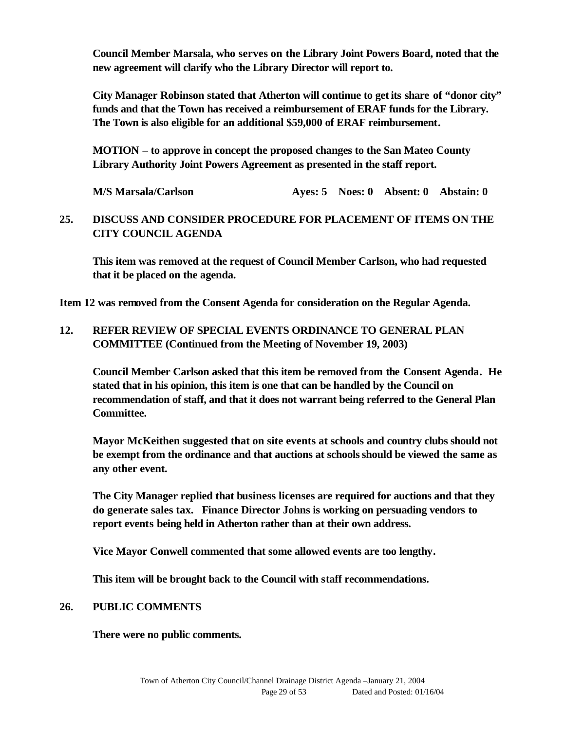**Council Member Marsala, who serves on the Library Joint Powers Board, noted that the new agreement will clarify who the Library Director will report to.**

**City Manager Robinson stated that Atherton will continue to get its share of "donor city" funds and that the Town has received a reimbursement of ERAF funds for the Library. The Town is also eligible for an additional \$59,000 of ERAF reimbursement.**

**MOTION – to approve in concept the proposed changes to the San Mateo County Library Authority Joint Powers Agreement as presented in the staff report.**

**M/S Marsala/Carlson Ayes: 5 Noes: 0 Absent: 0 Abstain: 0**

#### **25. DISCUSS AND CONSIDER PROCEDURE FOR PLACEMENT OF ITEMS ON THE CITY COUNCIL AGENDA**

**This item was removed at the request of Council Member Carlson, who had requested that it be placed on the agenda.** 

**Item 12 was removed from the Consent Agenda for consideration on the Regular Agenda.**

### **12. REFER REVIEW OF SPECIAL EVENTS ORDINANCE TO GENERAL PLAN COMMITTEE (Continued from the Meeting of November 19, 2003)**

**Council Member Carlson asked that this item be removed from the Consent Agenda. He stated that in his opinion, this item is one that can be handled by the Council on recommendation of staff, and that it does not warrant being referred to the General Plan Committee.** 

**Mayor McKeithen suggested that on site events at schools and country clubs should not be exempt from the ordinance and that auctions at schools should be viewed the same as any other event.**

**The City Manager replied that business licenses are required for auctions and that they do generate sales tax. Finance Director Johns is working on persuading vendors to report events being held in Atherton rather than at their own address.** 

**Vice Mayor Conwell commented that some allowed events are too lengthy.**

**This item will be brought back to the Council with staff recommendations.**

#### **26. PUBLIC COMMENTS**

**There were no public comments.**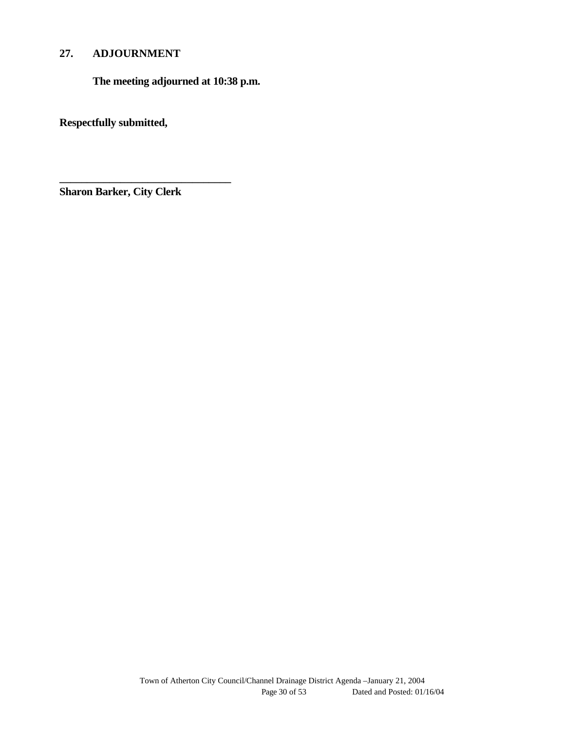## **27. ADJOURNMENT**

**The meeting adjourned at 10:38 p.m.**

**Respectfully submitted,**

**Sharon Barker, City Clerk**

**\_\_\_\_\_\_\_\_\_\_\_\_\_\_\_\_\_\_\_\_\_\_\_\_\_\_\_\_\_\_\_**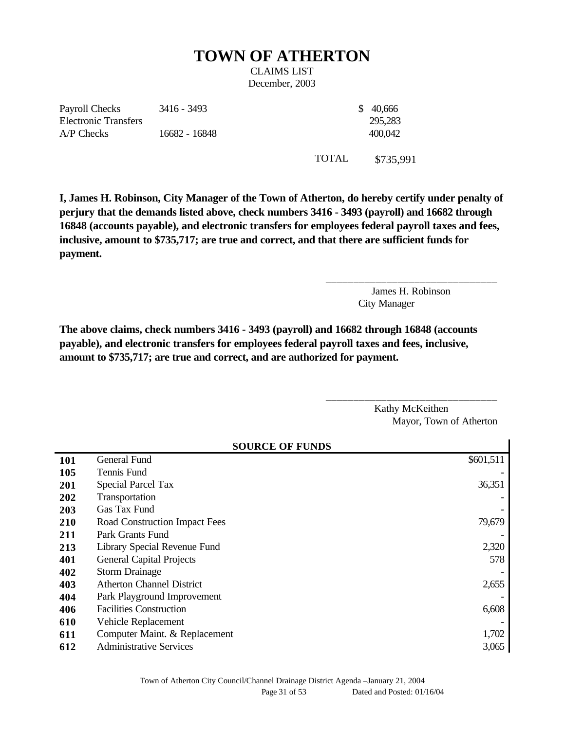# **TOWN OF ATHERTON**

CLAIMS LIST December, 2003

Payroll Checks Electronic Transfers 3416 - 3493 \$ 40,666 A/P Checks 16682 - 16848 400,042

295,283

TOTAL \$735,991

**I, James H. Robinson, City Manager of the Town of Atherton, do hereby certify under penalty of perjury that the demands listed above, check numbers 3416 - 3493 (payroll) and 16682 through 16848 (accounts payable), and electronic transfers for employees federal payroll taxes and fees, inclusive, amount to \$735,717; are true and correct, and that there are sufficient funds for payment.**

> James H. Robinson City Manager

\_\_\_\_\_\_\_\_\_\_\_\_\_\_\_\_\_\_\_\_\_\_\_\_\_\_\_\_\_\_\_

\_\_\_\_\_\_\_\_\_\_\_\_\_\_\_\_\_\_\_\_\_\_\_\_\_\_\_\_\_\_\_

**The above claims, check numbers 3416 - 3493 (payroll) and 16682 through 16848 (accounts payable), and electronic transfers for employees federal payroll taxes and fees, inclusive, amount to \$735,717; are true and correct, and are authorized for payment.**

> Kathy McKeithen Mayor, Town of Atherton

| <b>SOURCE OF FUNDS</b> |                                  |           |  |  |
|------------------------|----------------------------------|-----------|--|--|
| 101                    | General Fund                     | \$601,511 |  |  |
| 105                    | Tennis Fund                      |           |  |  |
| 201                    | <b>Special Parcel Tax</b>        | 36,351    |  |  |
| 202                    | Transportation                   |           |  |  |
| 203                    | Gas Tax Fund                     |           |  |  |
| 210                    | Road Construction Impact Fees    | 79,679    |  |  |
| 211                    | Park Grants Fund                 |           |  |  |
| 213                    | Library Special Revenue Fund     | 2,320     |  |  |
| 401                    | <b>General Capital Projects</b>  | 578       |  |  |
| 402                    | <b>Storm Drainage</b>            |           |  |  |
| 403                    | <b>Atherton Channel District</b> | 2,655     |  |  |
| 404                    | Park Playground Improvement      |           |  |  |
| 406                    | <b>Facilities Construction</b>   | 6,608     |  |  |
| 610                    | Vehicle Replacement              |           |  |  |
| 611                    | Computer Maint. & Replacement    | 1,702     |  |  |
| 612                    | <b>Administrative Services</b>   | 3,065     |  |  |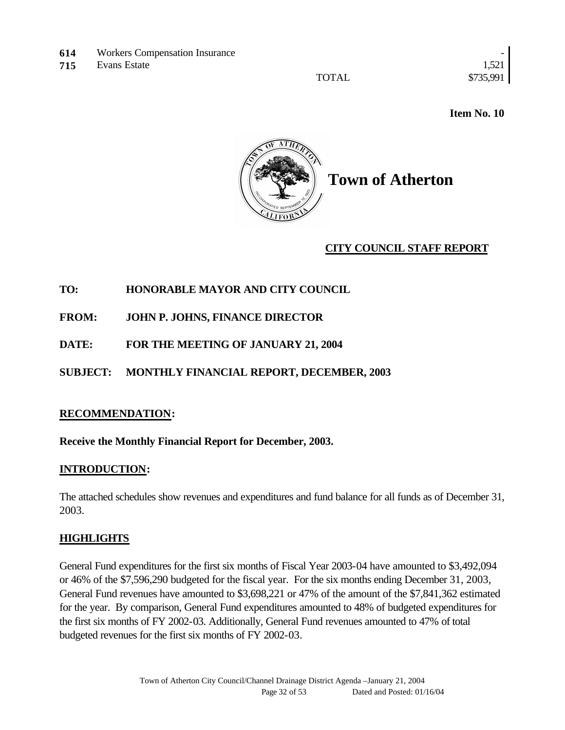- **614** Workers Compensation Insurance
- **715** Evans Estate 1,521

TOTAL \$735,991

 **Item No. 10** 



### **CITY COUNCIL STAFF REPORT**

### **TO: HONORABLE MAYOR AND CITY COUNCIL**

**FROM: JOHN P. JOHNS, FINANCE DIRECTOR**

**DATE: FOR THE MEETING OF JANUARY 21, 2004**

## **SUBJECT: MONTHLY FINANCIAL REPORT, DECEMBER, 2003**

#### **RECOMMENDATION:**

#### **Receive the Monthly Financial Report for December, 2003.**

#### **INTRODUCTION:**

The attached schedules show revenues and expenditures and fund balance for all funds as of December 31, 2003.

#### **HIGHLIGHTS**

General Fund expenditures for the first six months of Fiscal Year 2003-04 have amounted to \$3,492,094 or 46% of the \$7,596,290 budgeted for the fiscal year. For the six months ending December 31, 2003, General Fund revenues have amounted to \$3,698,221 or 47% of the amount of the \$7,841,362 estimated for the year. By comparison, General Fund expenditures amounted to 48% of budgeted expenditures for the first six months of FY 2002-03. Additionally, General Fund revenues amounted to 47% of total budgeted revenues for the first six months of FY 2002-03.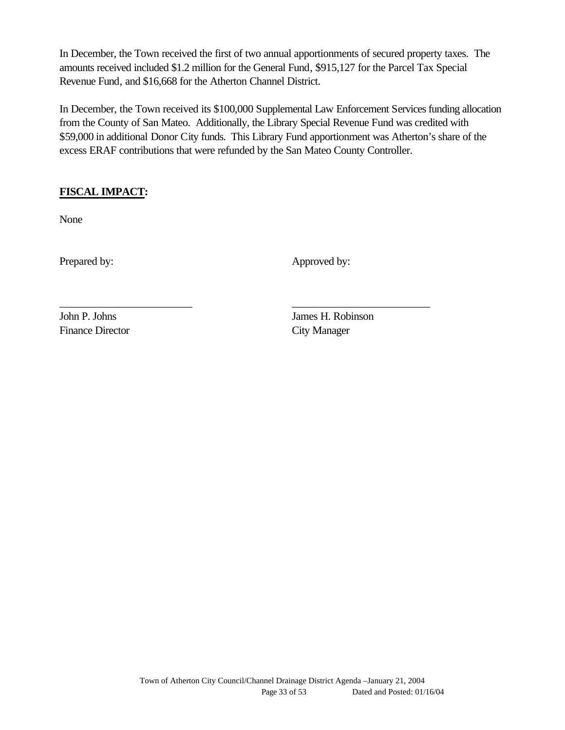In December, the Town received the first of two annual apportionments of secured property taxes. The amounts received included \$1.2 million for the General Fund, \$915,127 for the Parcel Tax Special Revenue Fund, and \$16,668 for the Atherton Channel District.

In December, the Town received its \$100,000 Supplemental Law Enforcement Services funding allocation from the County of San Mateo. Additionally, the Library Special Revenue Fund was credited with \$59,000 in additional Donor City funds. This Library Fund apportionment was Atherton's share of the excess ERAF contributions that were refunded by the San Mateo County Controller.

\_\_\_\_\_\_\_\_\_\_\_\_\_\_\_\_\_\_\_\_\_\_\_\_ \_\_\_\_\_\_\_\_\_\_\_\_\_\_\_\_\_\_\_\_\_\_\_\_\_

## **FISCAL IMPACT:**

None

Prepared by: Approved by:

Finance Director City Manager

John P. Johns James H. Robinson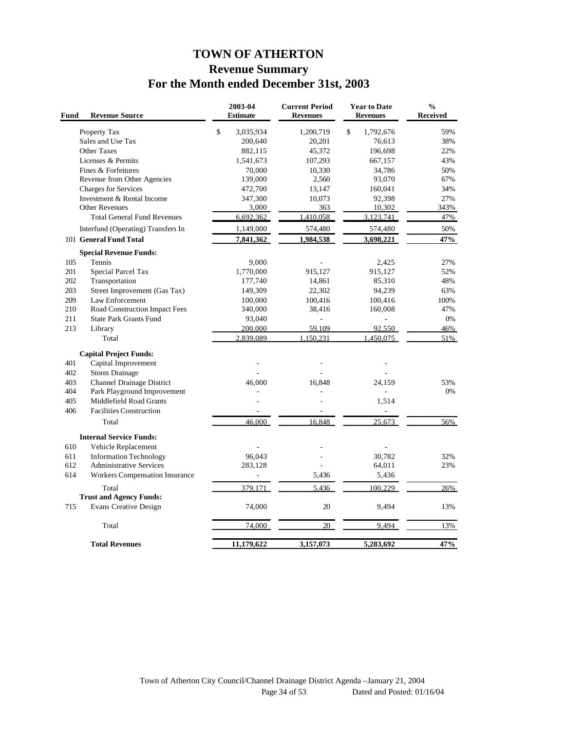## **TOWN OF ATHERTON Revenue Summary For the Month ended December 31st, 2003**

| Fund       | <b>Revenue Source</b>                                       |              | 2003-04<br><b>Estimate</b> | <b>Current Period</b><br><b>Revenues</b> | <b>Year to Date</b><br><b>Revenues</b> | $\frac{0}{0}$<br>Received |
|------------|-------------------------------------------------------------|--------------|----------------------------|------------------------------------------|----------------------------------------|---------------------------|
|            | Property Tax                                                | $\mathbb{S}$ | 3,035,934                  | 1,200,719                                | $\mathbb{S}$<br>1,792,676              | 59%                       |
|            | Sales and Use Tax                                           |              | 200,640                    | 20,201                                   | 76,613                                 | 38%                       |
|            | <b>Other Taxes</b>                                          |              | 882,115                    | 45,372                                   | 196,698                                | 22%                       |
|            | Licenses & Permits                                          |              | 1,541,673                  | 107,293                                  | 667,157                                | 43%                       |
|            | Fines & Forfeitures                                         |              | 70,000                     | 10,330                                   | 34,786                                 | 50%                       |
|            | Revenue from Other Agencies                                 |              | 139,000                    | 2,560                                    | 93,070                                 | 67%                       |
|            | Charges for Services                                        |              | 472,700                    | 13,147                                   | 160,041                                | 34%                       |
|            | Investment & Rental Income                                  |              | 347,300                    | 10,073                                   | 92,398                                 | 27%                       |
|            | <b>Other Revenues</b><br><b>Total General Fund Revenues</b> |              | 3,000<br>6,692,362         | 363<br>1,410,058                         | 10,302<br>3,123,741                    | 343%<br>47%               |
|            |                                                             |              |                            |                                          |                                        |                           |
|            | Interfund (Operating) Transfers In                          |              | 1,149,000                  | 574,480                                  | 574,480                                | 50%<br>47%                |
|            | 101 General Fund Total                                      |              | 7,841,362                  | 1,984,538                                | 3,698,221                              |                           |
|            | <b>Special Revenue Funds:</b>                               |              |                            |                                          |                                        |                           |
| 105        | Tennis                                                      |              | 9,000                      | ä,                                       | 2,425                                  | 27%                       |
| 201        | Special Parcel Tax                                          |              | 1,770,000                  | 915,127                                  | 915,127                                | 52%                       |
| 202<br>203 | Transportation                                              |              | 177,740                    | 14,861<br>22,302                         | 85,310                                 | 48%<br>63%                |
| 209        | Street Improvement (Gas Tax)<br>Law Enforcement             |              | 149,309<br>100,000         | 100,416                                  | 94,239<br>100,416                      | 100%                      |
| 210        | Road Construction Impact Fees                               |              | 340,000                    | 38,416                                   | 160,008                                | 47%                       |
| 211        | <b>State Park Grants Fund</b>                               |              | 93,040                     | L,                                       |                                        | 0%                        |
| 213        | Library                                                     |              | 200,000                    | 59.109                                   | 92,550                                 | 46%                       |
|            | Total                                                       |              | 2,839,089                  | 1,150,231                                | 1,450,075                              | 51%                       |
|            |                                                             |              |                            |                                          |                                        |                           |
| 401        | <b>Capital Project Funds:</b><br>Capital Improvement        |              |                            |                                          |                                        |                           |
| 402        | Storm Drainage                                              |              |                            |                                          |                                        |                           |
| 403        | Channel Drainage District                                   |              | 46,000                     | 16,848                                   | 24,159                                 | 53%                       |
| 404        | Park Playground Improvement                                 |              |                            |                                          |                                        | 0%                        |
| 405        | Middlefield Road Grants                                     |              |                            |                                          | 1,514                                  |                           |
| 406        | <b>Facilities Construction</b>                              |              | $\overline{\phantom{a}}$   |                                          |                                        |                           |
|            | Total                                                       |              | 46.000                     | 16.848                                   | 25.673                                 | 56%                       |
|            | <b>Internal Service Funds:</b>                              |              |                            |                                          |                                        |                           |
| 610        | Vehicle Replacement                                         |              |                            |                                          |                                        |                           |
| 611        | <b>Information Technology</b>                               |              | 96,043                     |                                          | 30,782                                 | 32%                       |
| 612        | <b>Administrative Services</b>                              |              | 283,128                    |                                          | 64,011                                 | 23%                       |
| 614        | Workers Compensation Insurance                              |              |                            | 5,436                                    | 5,436                                  |                           |
|            | Total                                                       |              | 379,171                    | 5,436                                    | 100,229                                | 26%                       |
|            | <b>Trust and Agency Funds:</b>                              |              |                            |                                          |                                        |                           |
| 715        | <b>Evans Creative Design</b>                                |              | 74,000                     | 20                                       | 9,494                                  | 13%                       |
|            | Total                                                       |              | 74,000                     | 20                                       | 9,494                                  | 13%                       |
|            | <b>Total Revenues</b>                                       |              | 11,179,622                 | 3,157,073                                | 5,283,692                              | 47%                       |
|            |                                                             |              |                            |                                          |                                        |                           |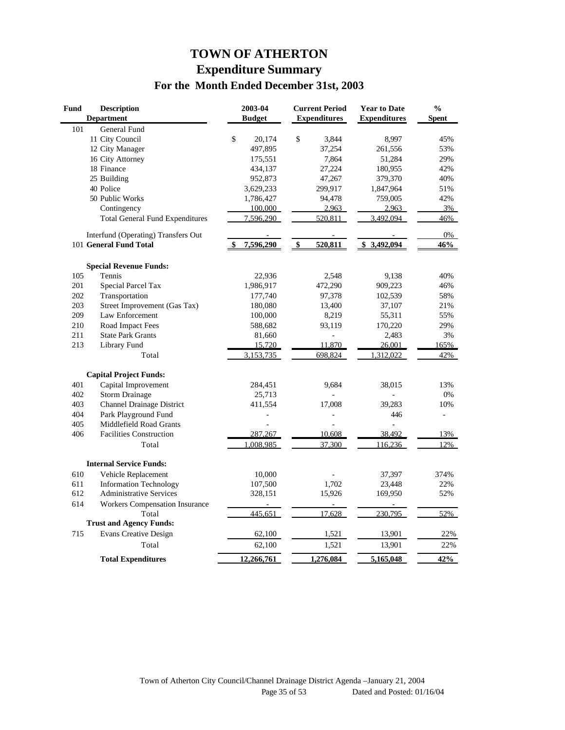## **TOWN OF ATHERTON Expenditure Summary For the Month Ended December 31st, 2003**

| <b>Fund</b> | <b>Description</b>                     | 2003-04       | <b>Current Period</b> | <b>Year to Date</b> | $\frac{0}{0}$  |
|-------------|----------------------------------------|---------------|-----------------------|---------------------|----------------|
|             | <b>Department</b>                      | <b>Budget</b> | <b>Expenditures</b>   | <b>Expenditures</b> | <b>Spent</b>   |
| 101         | <b>General Fund</b>                    |               |                       |                     |                |
|             | 11 City Council                        | \$<br>20,174  | \$<br>3,844           | 8,997               | 45%            |
|             | 12 City Manager                        | 497,895       | 37,254                | 261,556             | 53%            |
|             | 16 City Attorney                       | 175,551       | 7,864                 | 51,284              | 29%            |
|             | 18 Finance                             | 434,137       | 27,224                | 180,955             | 42%            |
|             | 25 Building                            | 952,873       | 47,267                | 379,370             | 40%            |
|             | 40 Police                              | 3,629,233     | 299,917               | 1,847,964           | 51%            |
|             | 50 Public Works                        | 1,786,427     | 94,478                | 759,005             | 42%            |
|             | Contingency                            | 100,000       | 2,963                 | 2,963               | 3%             |
|             | <b>Total General Fund Expenditures</b> | 7,596,290     | 520,811               | 3,492,094           | 46%            |
|             | Interfund (Operating) Transfers Out    |               |                       |                     | 0%             |
|             | 101 General Fund Total                 | 7,596,290     | 520,811<br>\$         | \$3,492,094         | 46%            |
|             | <b>Special Revenue Funds:</b>          |               |                       |                     |                |
| 105         | Tennis                                 | 22,936        | 2,548                 | 9,138               | 40%            |
| 201         | Special Parcel Tax                     | 1,986,917     | 472,290               | 909,223             | 46%            |
| 202         | Transportation                         | 177,740       | 97,378                | 102,539             | 58%            |
| 203         | Street Improvement (Gas Tax)           | 180,080       | 13,400                | 37,107              | 21%            |
| 209         | Law Enforcement                        | 100,000       | 8,219                 | 55,311              | 55%            |
| 210         | Road Impact Fees                       | 588,682       | 93,119                | 170,220             | 29%            |
| 211         | <b>State Park Grants</b>               | 81,660        |                       | 2,483               | 3%             |
| 213         | Library Fund                           | 15,720        | 11,870                | 26,001              | 165%           |
|             | Total                                  | 3,153,735     | 698,824               | 1,312,022           | 42%            |
|             | <b>Capital Project Funds:</b>          |               |                       |                     |                |
| 401         | Capital Improvement                    | 284,451       | 9,684                 | 38,015              | 13%            |
| 402         | <b>Storm Drainage</b>                  | 25,713        |                       |                     | 0%             |
| 403         | Channel Drainage District              | 411,554       | 17,008                | 39,283              | 10%            |
| 404         | Park Playground Fund                   |               |                       | 446                 | $\overline{a}$ |
| 405         | Middlefield Road Grants                |               |                       | $\overline{a}$      |                |
| 406         | <b>Facilities Construction</b>         | 287,267       | 10,608                | 38,492              | 13%            |
|             | Total                                  | 1,008,985     | 37,300                | 116,236             | 12%            |
|             | <b>Internal Service Funds:</b>         |               |                       |                     |                |
| 610         | Vehicle Replacement                    | 10,000        |                       | 37,397              | 374%           |
| 611         | <b>Information Technology</b>          | 107,500       | 1,702                 | 23,448              | 22%            |
| 612         | <b>Administrative Services</b>         | 328,151       | 15,926                | 169,950             | 52%            |
| 614         | <b>Workers Compensation Insurance</b>  |               |                       |                     |                |
|             | Total                                  | 445,651       | 17,628                | 230,795             | 52%            |
|             | <b>Trust and Agency Funds:</b>         |               |                       |                     |                |
| 715         | <b>Evans Creative Design</b>           | 62,100        | 1,521                 | 13,901              | 22%            |
|             | Total                                  | 62,100        | 1,521                 | 13,901              | 22%            |
|             | <b>Total Expenditures</b>              | 12,266,761    | 1,276,084             | 5,165,048           | 42%            |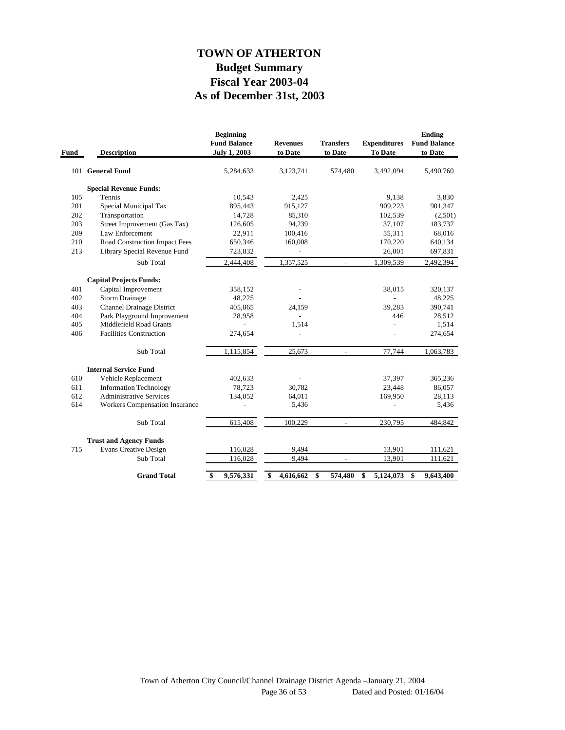## **As of December 31st, 2003 Fiscal Year 2003-04 Budget Summary TOWN OF ATHERTON**

| Fund | <b>Description</b>                    | <b>Beginning</b><br><b>Fund Balance</b><br><b>July 1, 2003</b> | <b>Revenues</b><br>to Date | <b>Transfers</b><br>to Date | <b>Expenditures</b><br>To Date | <b>Ending</b><br><b>Fund Balance</b><br>to Date |
|------|---------------------------------------|----------------------------------------------------------------|----------------------------|-----------------------------|--------------------------------|-------------------------------------------------|
|      | 101 General Fund                      | 5,284,633                                                      | 3,123,741                  | 574,480                     | 3,492,094                      | 5,490,760                                       |
|      | <b>Special Revenue Funds:</b>         |                                                                |                            |                             |                                |                                                 |
| 105  | Tennis                                | 10,543                                                         | 2,425                      |                             | 9,138                          | 3,830                                           |
| 201  | Special Municipal Tax                 | 895,443                                                        | 915,127                    |                             | 909,223                        | 901,347                                         |
| 202  | Transportation                        | 14.728                                                         | 85,310                     |                             | 102,539                        | (2,501)                                         |
| 203  | Street Improvement (Gas Tax)          | 126,605                                                        | 94,239                     |                             | 37,107                         | 183,737                                         |
| 209  | Law Enforcement                       | 22,911                                                         | 100,416                    |                             | 55,311                         | 68,016                                          |
| 210  | Road Construction Impact Fees         | 650,346                                                        | 160,008                    |                             | 170,220                        | 640,134                                         |
| 213  | Library Special Revenue Fund          | 723,832                                                        |                            |                             | 26,001                         | 697,831                                         |
|      | Sub Total                             | 2,444,408                                                      | 1,357,525                  | $\overline{\phantom{a}}$    | 1,309,539                      | 2,492,394                                       |
|      | <b>Capital Projects Funds:</b>        |                                                                |                            |                             |                                |                                                 |
| 401  | Capital Improvement                   | 358,152                                                        |                            |                             | 38,015                         | 320,137                                         |
| 402  | <b>Storm Drainage</b>                 | 48,225                                                         |                            |                             |                                | 48,225                                          |
| 403  | <b>Channel Drainage District</b>      | 405,865                                                        | 24,159                     |                             | 39,283                         | 390,741                                         |
| 404  | Park Playground Improvement           | 28,958                                                         |                            |                             | 446                            | 28,512                                          |
| 405  | Middlefield Road Grants               |                                                                | 1,514                      |                             |                                | 1,514                                           |
| 406  | <b>Facilities Construction</b>        | 274,654                                                        |                            |                             |                                | 274,654                                         |
|      | Sub Total                             | 1,115,854                                                      | 25,673                     | $\overline{\phantom{a}}$    | 77,744                         | 1,063,783                                       |
|      | <b>Internal Service Fund</b>          |                                                                |                            |                             |                                |                                                 |
| 610  | Vehicle Replacement                   | 402,633                                                        |                            |                             | 37,397                         | 365,236                                         |
| 611  | <b>Information Technology</b>         | 78,723                                                         | 30,782                     |                             | 23,448                         | 86,057                                          |
| 612  | <b>Administrative Services</b>        | 134,052                                                        | 64,011                     |                             | 169,950                        | 28,113                                          |
| 614  | <b>Workers Compensation Insurance</b> |                                                                | 5,436                      |                             | $\overline{a}$                 | 5,436                                           |
|      | Sub Total                             | 615,408                                                        | 100,229                    | $\overline{\phantom{a}}$    | 230,795                        | 484,842                                         |
|      | <b>Trust and Agency Funds</b>         |                                                                |                            |                             |                                |                                                 |
| 715  | <b>Evans Creative Design</b>          | 116,028                                                        | 9,494                      |                             | 13,901                         | 111,621                                         |
|      | Sub Total                             | 116,028                                                        | 9,494                      | $\overline{a}$              | 13,901                         | 111,621                                         |
|      | <b>Grand Total</b>                    | $\mathbf{\$}$<br>9,576,331                                     | \$<br>4,616,662            | \$<br>574,480               | \$<br>5,124,073                | \$<br>9,643,400                                 |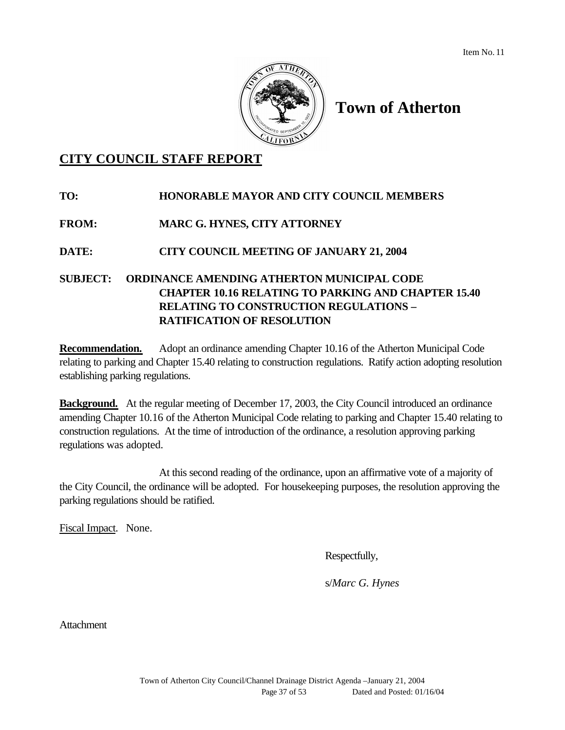

# **Town of Atherton**

# **CITY COUNCIL STAFF REPORT**

# **TO: HONORABLE MAYOR AND CITY COUNCIL MEMBERS FROM: MARC G. HYNES, CITY ATTORNEY DATE: CITY COUNCIL MEETING OF JANUARY 21, 2004 SUBJECT: ORDINANCE AMENDING ATHERTON MUNICIPAL CODE CHAPTER 10.16 RELATING TO PARKING AND CHAPTER 15.40 RELATING TO CONSTRUCTION REGULATIONS – RATIFICATION OF RESOLUTION**

**Recommendation.** Adopt an ordinance amending Chapter 10.16 of the Atherton Municipal Code relating to parking and Chapter 15.40 relating to construction regulations. Ratify action adopting resolution establishing parking regulations.

**Background.** At the regular meeting of December 17, 2003, the City Council introduced an ordinance amending Chapter 10.16 of the Atherton Municipal Code relating to parking and Chapter 15.40 relating to construction regulations. At the time of introduction of the ordinance, a resolution approving parking regulations was adopted.

At this second reading of the ordinance, upon an affirmative vote of a majority of the City Council, the ordinance will be adopted. For housekeeping purposes, the resolution approving the parking regulations should be ratified.

Fiscal Impact. None.

Respectfully,

s/*Marc G. Hynes*

Attachment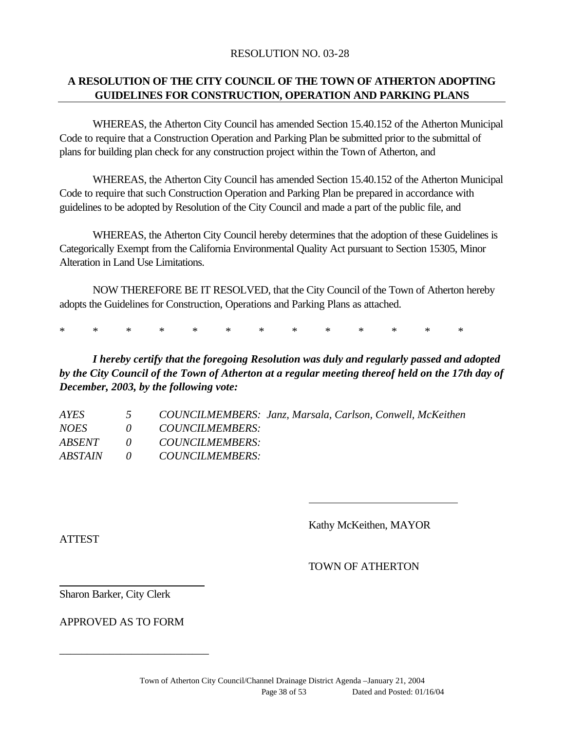#### RESOLUTION NO. 03-28

#### **A RESOLUTION OF THE CITY COUNCIL OF THE TOWN OF ATHERTON ADOPTING GUIDELINES FOR CONSTRUCTION, OPERATION AND PARKING PLANS**

WHEREAS, the Atherton City Council has amended Section 15.40.152 of the Atherton Municipal Code to require that a Construction Operation and Parking Plan be submitted prior to the submittal of plans for building plan check for any construction project within the Town of Atherton, and

WHEREAS, the Atherton City Council has amended Section 15.40.152 of the Atherton Municipal Code to require that such Construction Operation and Parking Plan be prepared in accordance with guidelines to be adopted by Resolution of the City Council and made a part of the public file, and

WHEREAS, the Atherton City Council hereby determines that the adoption of these Guidelines is Categorically Exempt from the California Environmental Quality Act pursuant to Section 15305, Minor Alteration in Land Use Limitations.

NOW THEREFORE BE IT RESOLVED, that the City Council of the Town of Atherton hereby adopts the Guidelines for Construction, Operations and Parking Plans as attached.

\* \* \* \* \* \* \* \* \* \* \* \* \*

*I hereby certify that the foregoing Resolution was duly and regularly passed and adopted by the City Council of the Town of Atherton at a regular meeting thereof held on the 17th day of December, 2003, by the following vote:*

| <i>AYES</i>   |               | COUNCILMEMBERS: Janz, Marsala, Carlson, Conwell, McKeithen |
|---------------|---------------|------------------------------------------------------------|
| <i>NOES</i>   | $\mathcal{O}$ | <i>COUNCILMEMBERS:</i>                                     |
| <i>ABSENT</i> |               | 0 COUNCILMEMBERS:                                          |
| ABSTAIN       | $\theta$      | <i>COUNCILMEMBERS:</i>                                     |

Kathy McKeithen, MAYOR

**ATTEST** 

TOWN OF ATHERTON

Sharon Barker, City Clerk

APPROVED AS TO FORM

\_\_\_\_\_\_\_\_\_\_\_\_\_\_\_\_\_\_\_\_\_\_\_\_\_\_\_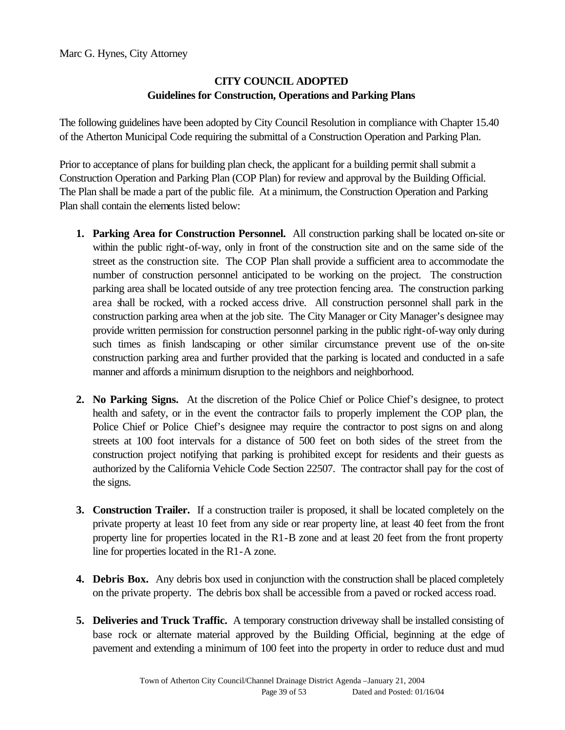### **CITY COUNCIL ADOPTED Guidelines for Construction, Operations and Parking Plans**

The following guidelines have been adopted by City Council Resolution in compliance with Chapter 15.40 of the Atherton Municipal Code requiring the submittal of a Construction Operation and Parking Plan.

Prior to acceptance of plans for building plan check, the applicant for a building permit shall submit a Construction Operation and Parking Plan (COP Plan) for review and approval by the Building Official. The Plan shall be made a part of the public file. At a minimum, the Construction Operation and Parking Plan shall contain the elements listed below:

- **1. Parking Area for Construction Personnel.** All construction parking shall be located on-site or within the public right-of-way, only in front of the construction site and on the same side of the street as the construction site. The COP Plan shall provide a sufficient area to accommodate the number of construction personnel anticipated to be working on the project. The construction parking area shall be located outside of any tree protection fencing area. The construction parking area shall be rocked, with a rocked access drive. All construction personnel shall park in the construction parking area when at the job site. The City Manager or City Manager's designee may provide written permission for construction personnel parking in the public right-of-way only during such times as finish landscaping or other similar circumstance prevent use of the on-site construction parking area and further provided that the parking is located and conducted in a safe manner and affords a minimum disruption to the neighbors and neighborhood.
- **2. No Parking Signs.** At the discretion of the Police Chief or Police Chief's designee, to protect health and safety, or in the event the contractor fails to properly implement the COP plan, the Police Chief or Police Chief's designee may require the contractor to post signs on and along streets at 100 foot intervals for a distance of 500 feet on both sides of the street from the construction project notifying that parking is prohibited except for residents and their guests as authorized by the California Vehicle Code Section 22507. The contractor shall pay for the cost of the signs.
- **3. Construction Trailer.** If a construction trailer is proposed, it shall be located completely on the private property at least 10 feet from any side or rear property line, at least 40 feet from the front property line for properties located in the R1-B zone and at least 20 feet from the front property line for properties located in the R1-A zone.
- **4. Debris Box.** Any debris box used in conjunction with the construction shall be placed completely on the private property. The debris box shall be accessible from a paved or rocked access road.
- **5. Deliveries and Truck Traffic.** A temporary construction driveway shall be installed consisting of base rock or alternate material approved by the Building Official, beginning at the edge of pavement and extending a minimum of 100 feet into the property in order to reduce dust and mud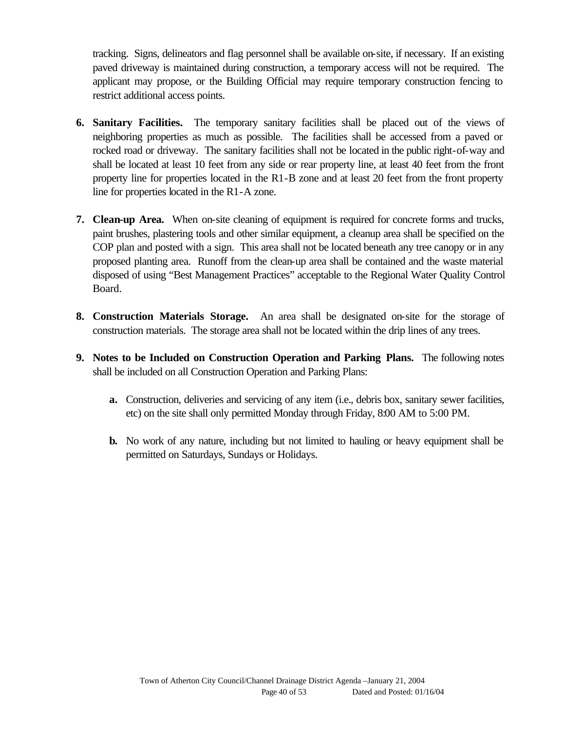tracking. Signs, delineators and flag personnel shall be available on-site, if necessary. If an existing paved driveway is maintained during construction, a temporary access will not be required. The applicant may propose, or the Building Official may require temporary construction fencing to restrict additional access points.

- **6. Sanitary Facilities.** The temporary sanitary facilities shall be placed out of the views of neighboring properties as much as possible. The facilities shall be accessed from a paved or rocked road or driveway. The sanitary facilities shall not be located in the public right-of-way and shall be located at least 10 feet from any side or rear property line, at least 40 feet from the front property line for properties located in the R1-B zone and at least 20 feet from the front property line for properties located in the R1-A zone.
- **7. Clean-up Area.** When on-site cleaning of equipment is required for concrete forms and trucks, paint brushes, plastering tools and other similar equipment, a cleanup area shall be specified on the COP plan and posted with a sign. This area shall not be located beneath any tree canopy or in any proposed planting area. Runoff from the clean-up area shall be contained and the waste material disposed of using "Best Management Practices" acceptable to the Regional Water Quality Control Board.
- **8. Construction Materials Storage.** An area shall be designated on-site for the storage of construction materials. The storage area shall not be located within the drip lines of any trees.
- **9. Notes to be Included on Construction Operation and Parking Plans.** The following notes shall be included on all Construction Operation and Parking Plans:
	- **a.** Construction, deliveries and servicing of any item (i.e., debris box, sanitary sewer facilities, etc) on the site shall only permitted Monday through Friday, 8:00 AM to 5:00 PM.
	- **b.** No work of any nature, including but not limited to hauling or heavy equipment shall be permitted on Saturdays, Sundays or Holidays.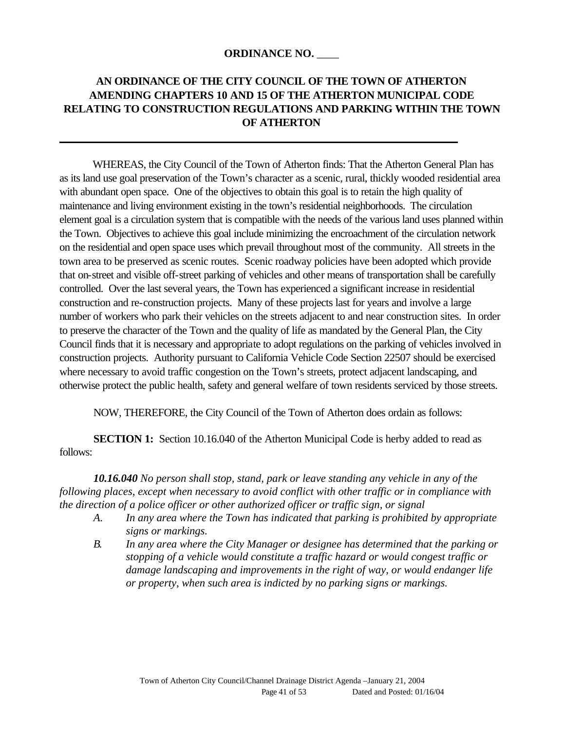#### **ORDINANCE NO.** \_\_\_\_

## **AN ORDINANCE OF THE CITY COUNCIL OF THE TOWN OF ATHERTON AMENDING CHAPTERS 10 AND 15 OF THE ATHERTON MUNICIPAL CODE RELATING TO CONSTRUCTION REGULATIONS AND PARKING WITHIN THE TOWN OF ATHERTON**

WHEREAS, the City Council of the Town of Atherton finds: That the Atherton General Plan has as its land use goal preservation of the Town's character as a scenic, rural, thickly wooded residential area with abundant open space. One of the objectives to obtain this goal is to retain the high quality of maintenance and living environment existing in the town's residential neighborhoods. The circulation element goal is a circulation system that is compatible with the needs of the various land uses planned within the Town. Objectives to achieve this goal include minimizing the encroachment of the circulation network on the residential and open space uses which prevail throughout most of the community. All streets in the town area to be preserved as scenic routes. Scenic roadway policies have been adopted which provide that on-street and visible off-street parking of vehicles and other means of transportation shall be carefully controlled. Over the last several years, the Town has experienced a significant increase in residential construction and re-construction projects. Many of these projects last for years and involve a large number of workers who park their vehicles on the streets adjacent to and near construction sites. In order to preserve the character of the Town and the quality of life as mandated by the General Plan, the City Council finds that it is necessary and appropriate to adopt regulations on the parking of vehicles involved in construction projects. Authority pursuant to California Vehicle Code Section 22507 should be exercised where necessary to avoid traffic congestion on the Town's streets, protect adjacent landscaping, and otherwise protect the public health, safety and general welfare of town residents serviced by those streets.

NOW, THEREFORE, the City Council of the Town of Atherton does ordain as follows:

**SECTION 1:** Section 10.16.040 of the Atherton Municipal Code is herby added to read as follows:

*10.16.040 No person shall stop, stand, park or leave standing any vehicle in any of the following places, except when necessary to avoid conflict with other traffic or in compliance with the direction of a police officer or other authorized officer or traffic sign, or signal*

- *A. In any area where the Town has indicated that parking is prohibited by appropriate signs or markings.*
- *B. In any area where the City Manager or designee has determined that the parking or stopping of a vehicle would constitute a traffic hazard or would congest traffic or damage landscaping and improvements in the right of way, or would endanger life or property, when such area is indicted by no parking signs or markings.*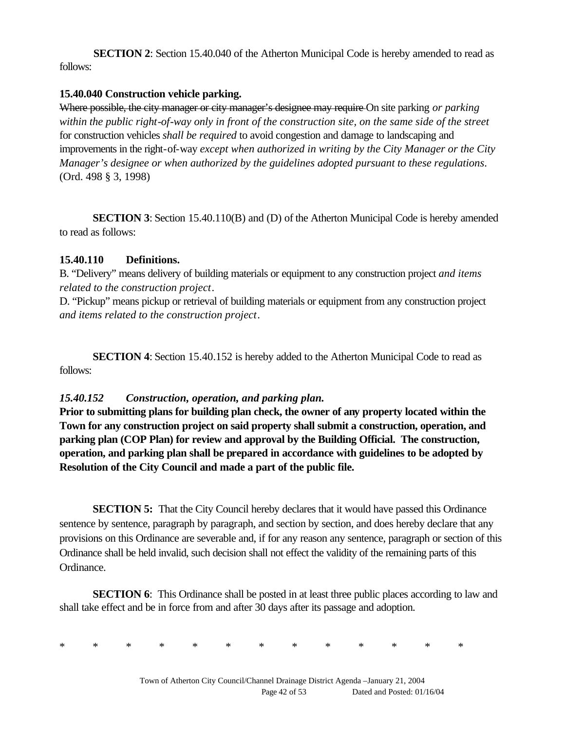**SECTION 2**: Section 15.40.040 of the Atherton Municipal Code is hereby amended to read as follows:

#### **15.40.040 Construction vehicle parking.**

Where possible, the city manager or city manager's designee may require On site parking *or parking within the public right-of-way only in front of the construction site, on the same side of the street*  for construction vehicles *shall be required* to avoid congestion and damage to landscaping and improvements in the right-of-way *except when authorized in writing by the City Manager or the City Manager's designee or when authorized by the guidelines adopted pursuant to these regulations*. (Ord. 498 § 3, 1998)

**SECTION 3**: Section 15.40.110(B) and (D) of the Atherton Municipal Code is hereby amended to read as follows:

#### **15.40.110 Definitions.**

B. "Delivery" means delivery of building materials or equipment to any construction project *and items related to the construction project*.

D. "Pickup" means pickup or retrieval of building materials or equipment from any construction project *and items related to the construction project*.

**SECTION 4**: Section 15.40.152 is hereby added to the Atherton Municipal Code to read as follows:

## *15.40.152 Construction, operation, and parking plan.*

**Prior to submitting plans for building plan check, the owner of any property located within the Town for any construction project on said property shall submit a construction, operation, and parking plan (COP Plan) for review and approval by the Building Official. The construction, operation, and parking plan shall be prepared in accordance with guidelines to be adopted by Resolution of the City Council and made a part of the public file.**

**SECTION 5:** That the City Council hereby declares that it would have passed this Ordinance sentence by sentence, paragraph by paragraph, and section by section, and does hereby declare that any provisions on this Ordinance are severable and, if for any reason any sentence, paragraph or section of this Ordinance shall be held invalid, such decision shall not effect the validity of the remaining parts of this Ordinance.

**SECTION 6**: This Ordinance shall be posted in at least three public places according to law and shall take effect and be in force from and after 30 days after its passage and adoption.

\* \* \* \* \* \* \* \* \* \* \* \* \*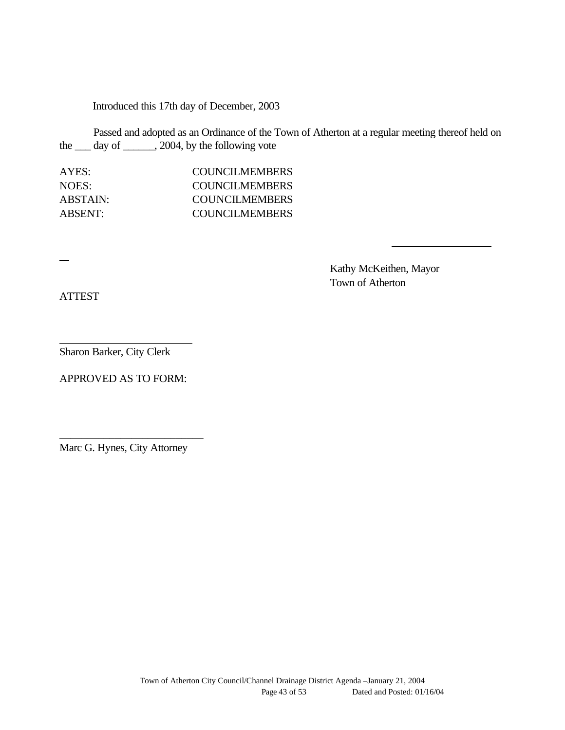Introduced this 17th day of December, 2003

Passed and adopted as an Ordinance of the Town of Atherton at a regular meeting thereof held on the \_\_\_ day of \_\_\_\_\_\_, 2004, by the following vote

| AYES:          | <b>COUNCILMEMBERS</b>  |
|----------------|------------------------|
| NOES:          | <b>COUNCILMEMBERS</b>  |
| ABSTAIN:       | COUNCILMEMBERS         |
| <b>ABSENT:</b> | <b>COUNCIL MEMBERS</b> |

Kathy McKeithen, Mayor Town of Atherton

ATTEST

Sharon Barker, City Clerk

APPROVED AS TO FORM:

Marc G. Hynes, City Attorney

\_\_\_\_\_\_\_\_\_\_\_\_\_\_\_\_\_\_\_\_\_\_\_\_\_\_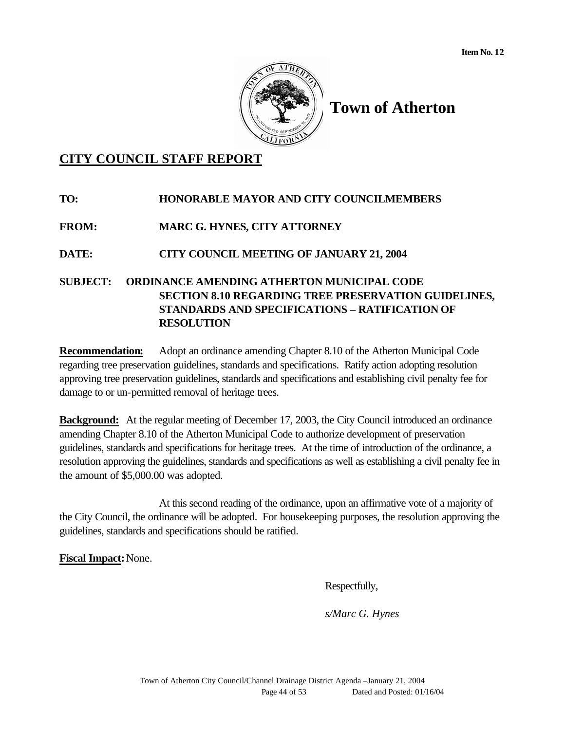

# **Town of Atherton**

# **CITY COUNCIL STAFF REPORT**

**TO: HONORABLE MAYOR AND CITY COUNCILMEMBERS FROM: MARC G. HYNES, CITY ATTORNEY DATE: CITY COUNCIL MEETING OF JANUARY 21, 2004 SUBJECT: ORDINANCE AMENDING ATHERTON MUNICIPAL CODE SECTION 8.10 REGARDING TREE PRESERVATION GUIDELINES, STANDARDS AND SPECIFICATIONS – RATIFICATION OF RESOLUTION**

**Recommendation:** Adopt an ordinance amending Chapter 8.10 of the Atherton Municipal Code regarding tree preservation guidelines, standards and specifications. Ratify action adopting resolution approving tree preservation guidelines, standards and specifications and establishing civil penalty fee for damage to or un-permitted removal of heritage trees.

**Background:** At the regular meeting of December 17, 2003, the City Council introduced an ordinance amending Chapter 8.10 of the Atherton Municipal Code to authorize development of preservation guidelines, standards and specifications for heritage trees. At the time of introduction of the ordinance, a resolution approving the guidelines, standards and specifications as well as establishing a civil penalty fee in the amount of \$5,000.00 was adopted.

At this second reading of the ordinance, upon an affirmative vote of a majority of the City Council, the ordinance will be adopted. For housekeeping purposes, the resolution approving the guidelines, standards and specifications should be ratified.

**Fiscal Impact:**None.

Respectfully,

*s/Marc G. Hynes*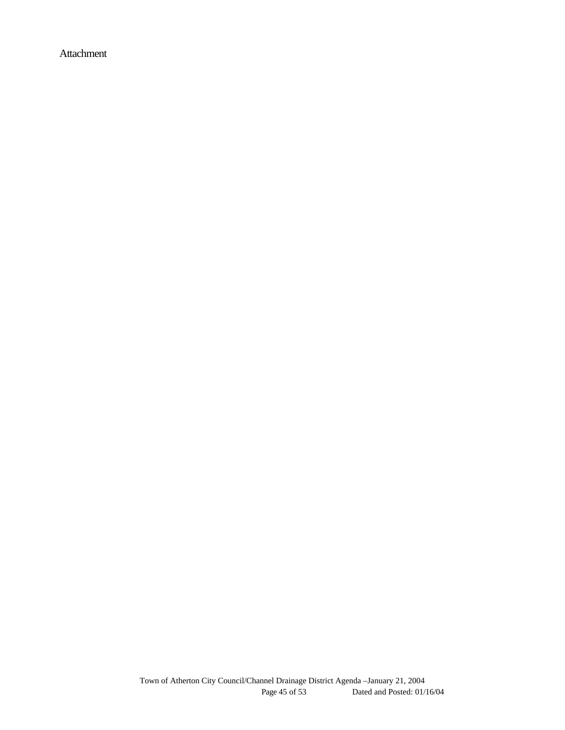Attachment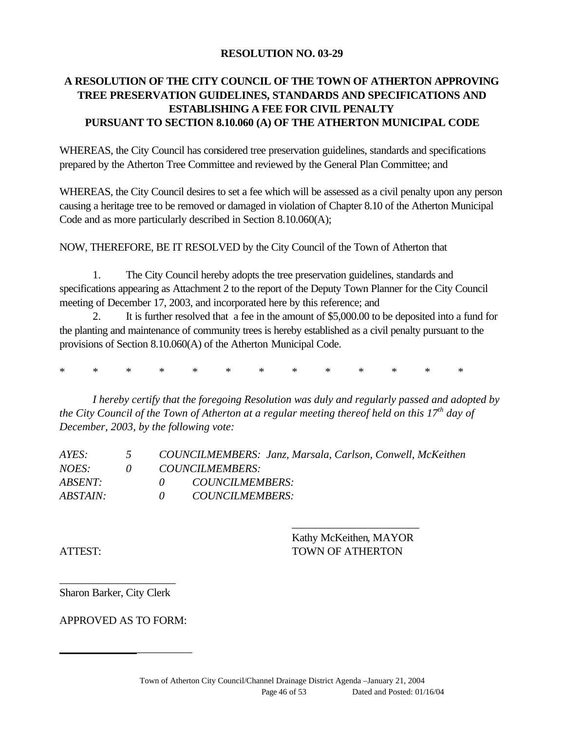#### **RESOLUTION NO. 03-29**

## **A RESOLUTION OF THE CITY COUNCIL OF THE TOWN OF ATHERTON APPROVING TREE PRESERVATION GUIDELINES, STANDARDS AND SPECIFICATIONS AND ESTABLISHING A FEE FOR CIVIL PENALTY PURSUANT TO SECTION 8.10.060 (A) OF THE ATHERTON MUNICIPAL CODE**

WHEREAS, the City Council has considered tree preservation guidelines, standards and specifications prepared by the Atherton Tree Committee and reviewed by the General Plan Committee; and

WHEREAS, the City Council desires to set a fee which will be assessed as a civil penalty upon any person causing a heritage tree to be removed or damaged in violation of Chapter 8.10 of the Atherton Municipal Code and as more particularly described in Section 8.10.060(A);

NOW, THEREFORE, BE IT RESOLVED by the City Council of the Town of Atherton that

1. The City Council hereby adopts the tree preservation guidelines, standards and specifications appearing as Attachment 2 to the report of the Deputy Town Planner for the City Council meeting of December 17, 2003, and incorporated here by this reference; and

2. It is further resolved that a fee in the amount of \$5,000.00 to be deposited into a fund for the planting and maintenance of community trees is hereby established as a civil penalty pursuant to the provisions of Section 8.10.060(A) of the Atherton Municipal Code.

\* \* \* \* \* \* \* \* \* \* \* \* \*

*I hereby certify that the foregoing Resolution was duly and regularly passed and adopted by the City Council of the Town of Atherton at a regular meeting thereof held on this 17th day of December, 2003, by the following vote:*

| $\mathcal{L}$ | COUNCILMEMBERS: Janz, Marsala, Carlson, Conwell, McKeithen |
|---------------|------------------------------------------------------------|
|               | <i>COUNCILMEMBERS:</i>                                     |
|               | <i>COUNCILMEMBERS:</i>                                     |
|               | <i>COUNCILMEMBERS:</i>                                     |
|               |                                                            |

Kathy McKeithen, MAYOR ATTEST: TOWN OF ATHERTON

\_\_\_\_\_\_\_\_\_\_\_\_\_\_\_\_\_\_\_\_\_\_\_

\_\_\_\_\_\_\_\_\_\_\_\_\_\_\_\_\_\_\_\_\_ Sharon Barker, City Clerk

APPROVED AS TO FORM:

*\_\_\_\_\_\_\_\_\_\_\_\_\_\_*\_\_\_\_\_\_\_\_\_\_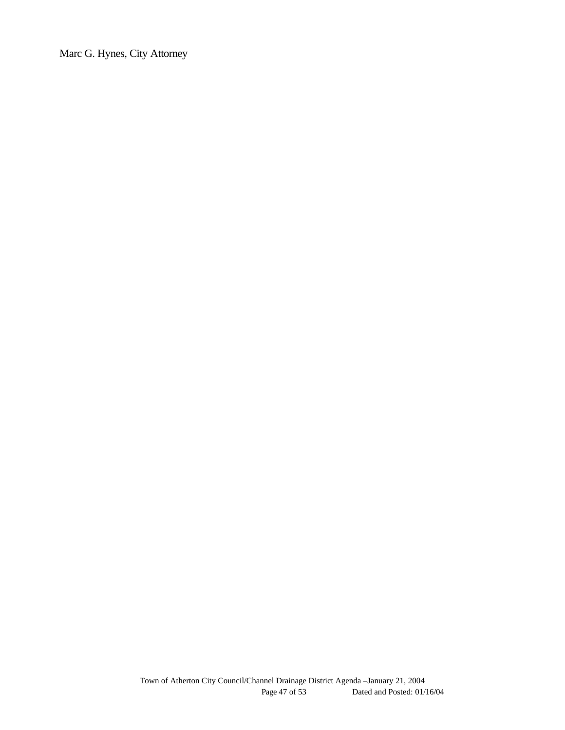Marc G. Hynes, City Attorney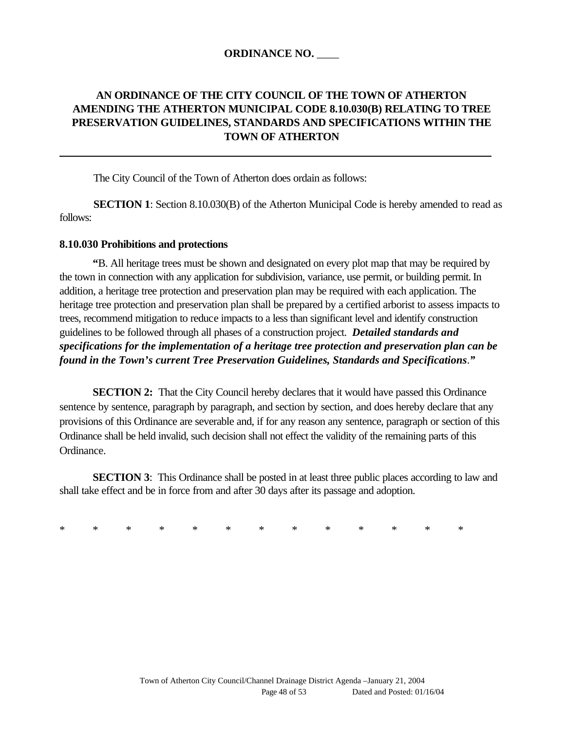#### **ORDINANCE NO.** \_\_\_\_

## **AN ORDINANCE OF THE CITY COUNCIL OF THE TOWN OF ATHERTON AMENDING THE ATHERTON MUNICIPAL CODE 8.10.030(B) RELATING TO TREE PRESERVATION GUIDELINES, STANDARDS AND SPECIFICATIONS WITHIN THE TOWN OF ATHERTON**

The City Council of the Town of Atherton does ordain as follows:

**SECTION 1**: Section 8.10.030(B) of the Atherton Municipal Code is hereby amended to read as follows:

#### **8.10.030 Prohibitions and protections**

**"**B. All heritage trees must be shown and designated on every plot map that may be required by the town in connection with any application for subdivision, variance, use permit, or building permit. In addition, a heritage tree protection and preservation plan may be required with each application. The heritage tree protection and preservation plan shall be prepared by a certified arborist to assess impacts to trees, recommend mitigation to reduce impacts to a less than significant level and identify construction guidelines to be followed through all phases of a construction project. *Detailed standards and specifications for the implementation of a heritage tree protection and preservation plan can be found in the Town's current Tree Preservation Guidelines, Standards and Specifications*.*"*

**SECTION 2:** That the City Council hereby declares that it would have passed this Ordinance sentence by sentence, paragraph by paragraph, and section by section, and does hereby declare that any provisions of this Ordinance are severable and, if for any reason any sentence, paragraph or section of this Ordinance shall be held invalid, such decision shall not effect the validity of the remaining parts of this Ordinance.

**SECTION 3**: This Ordinance shall be posted in at least three public places according to law and shall take effect and be in force from and after 30 days after its passage and adoption.

\* \* \* \* \* \* \* \* \* \* \* \* \*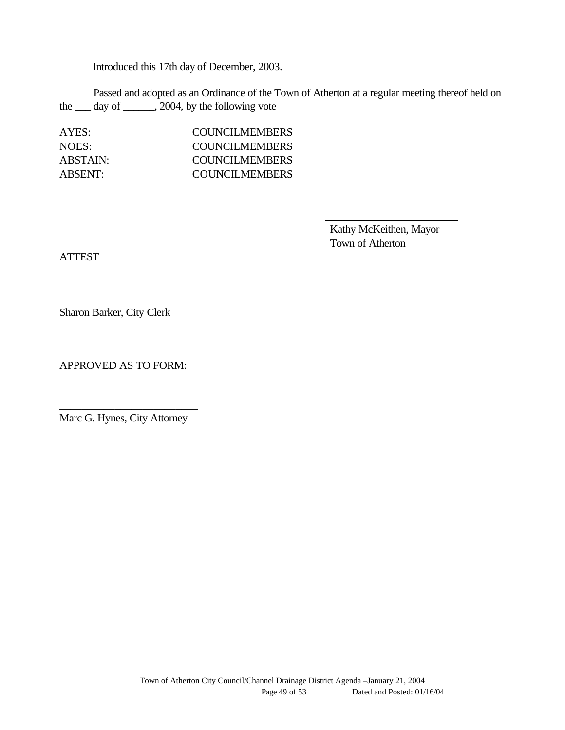Introduced this 17th day of December, 2003.

Passed and adopted as an Ordinance of the Town of Atherton at a regular meeting thereof held on the  $\_\_\_$  day of  $\_\_\_\_$ , 2004, by the following vote

AYES: COUNCILMEMBERS NOES: COUNCILMEMBERS ABSTAIN: COUNCILMEMBERS ABSENT: COUNCILMEMBERS

> Kathy McKeithen, Mayor Town of Atherton

ATTEST

Sharon Barker, City Clerk

APPROVED AS TO FORM:

\_\_\_\_\_\_\_\_\_\_\_\_\_\_\_\_\_\_\_\_\_\_\_\_\_ Marc G. Hynes, City Attorney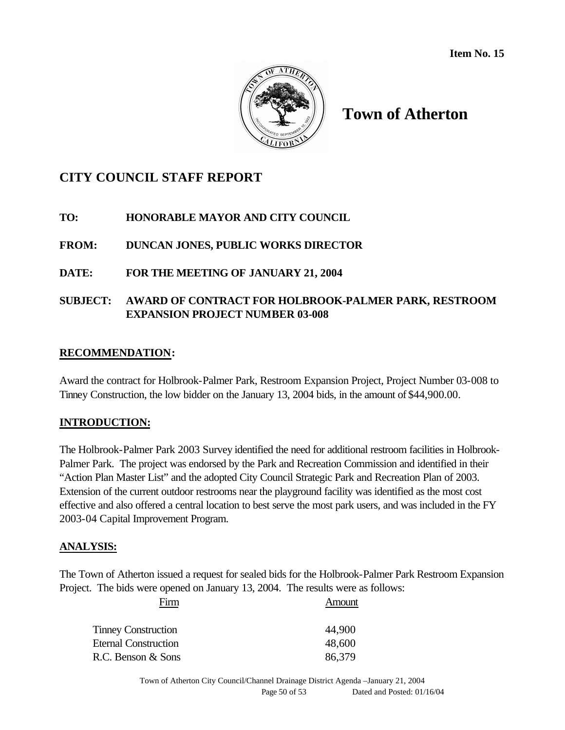

# **Town of Atherton**

# **CITY COUNCIL STAFF REPORT**

#### **TO: HONORABLE MAYOR AND CITY COUNCIL**

## **FROM: DUNCAN JONES, PUBLIC WORKS DIRECTOR**

#### **DATE: FOR THE MEETING OF JANUARY 21, 2004**

## **SUBJECT: AWARD OF CONTRACT FOR HOLBROOK-PALMER PARK, RESTROOM EXPANSION PROJECT NUMBER 03-008**

#### **RECOMMENDATION:**

Award the contract for Holbrook-Palmer Park, Restroom Expansion Project, Project Number 03-008 to Tinney Construction, the low bidder on the January 13, 2004 bids, in the amount of \$44,900.00.

#### **INTRODUCTION:**

The Holbrook-Palmer Park 2003 Survey identified the need for additional restroom facilities in Holbrook-Palmer Park. The project was endorsed by the Park and Recreation Commission and identified in their "Action Plan Master List" and the adopted City Council Strategic Park and Recreation Plan of 2003. Extension of the current outdoor restrooms near the playground facility was identified as the most cost effective and also offered a central location to best serve the most park users, and was included in the FY 2003-04 Capital Improvement Program.

#### **ANALYSIS:**

The Town of Atherton issued a request for sealed bids for the Holbrook-Palmer Park Restroom Expansion Project. The bids were opened on January 13, 2004. The results were as follows:

Firm Amount

| <b>Tinney Construction</b>  | 44,900 |
|-----------------------------|--------|
| <b>Eternal Construction</b> | 48,600 |
| R.C. Benson & Sons          | 86,379 |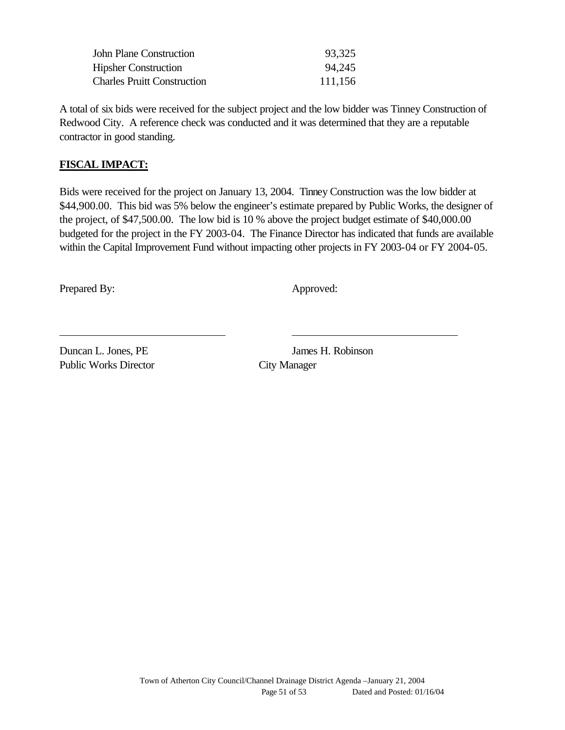| 93,325  |
|---------|
| 94,245  |
| 111,156 |
|         |

A total of six bids were received for the subject project and the low bidder was Tinney Construction of Redwood City. A reference check was conducted and it was determined that they are a reputable contractor in good standing.

### **FISCAL IMPACT:**

Bids were received for the project on January 13, 2004. Tinney Construction was the low bidder at \$44,900.00. This bid was 5% below the engineer's estimate prepared by Public Works, the designer of the project, of \$47,500.00. The low bid is 10 % above the project budget estimate of \$40,000.00 budgeted for the project in the FY 2003-04. The Finance Director has indicated that funds are available within the Capital Improvement Fund without impacting other projects in FY 2003-04 or FY 2004-05.

Prepared By: Approved:

Public Works Director City Manager

Duncan L. Jones, PE James H. Robinson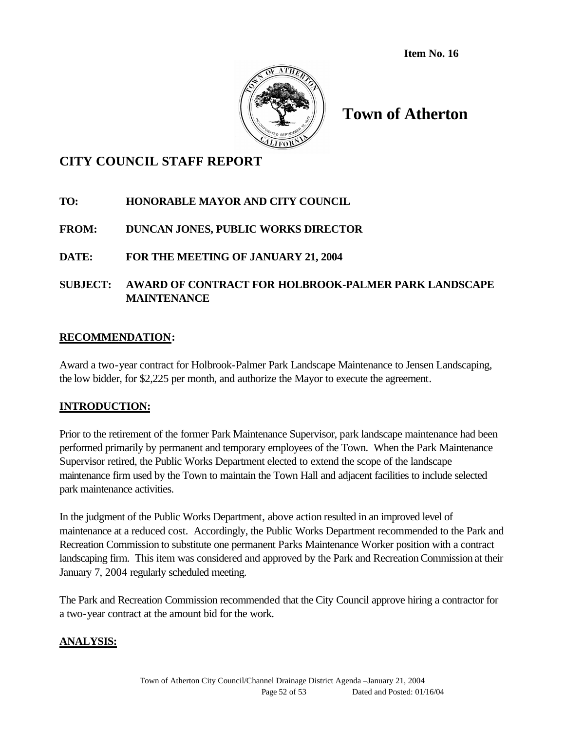**Item No. 16**



# **Town of Atherton**

# **CITY COUNCIL STAFF REPORT**

## **TO: HONORABLE MAYOR AND CITY COUNCIL**

## **FROM: DUNCAN JONES, PUBLIC WORKS DIRECTOR**

## **DATE: FOR THE MEETING OF JANUARY 21, 2004**

## **SUBJECT: AWARD OF CONTRACT FOR HOLBROOK-PALMER PARK LANDSCAPE MAINTENANCE**

#### **RECOMMENDATION:**

Award a two-year contract for Holbrook-Palmer Park Landscape Maintenance to Jensen Landscaping, the low bidder, for \$2,225 per month, and authorize the Mayor to execute the agreement.

#### **INTRODUCTION:**

Prior to the retirement of the former Park Maintenance Supervisor, park landscape maintenance had been performed primarily by permanent and temporary employees of the Town. When the Park Maintenance Supervisor retired, the Public Works Department elected to extend the scope of the landscape maintenance firm used by the Town to maintain the Town Hall and adjacent facilities to include selected park maintenance activities.

In the judgment of the Public Works Department, above action resulted in an improved level of maintenance at a reduced cost. Accordingly, the Public Works Department recommended to the Park and Recreation Commission to substitute one permanent Parks Maintenance Worker position with a contract landscaping firm. This item was considered and approved by the Park and Recreation Commission at their January 7, 2004 regularly scheduled meeting.

The Park and Recreation Commission recommended that the City Council approve hiring a contractor for a two-year contract at the amount bid for the work.

#### **ANALYSIS:**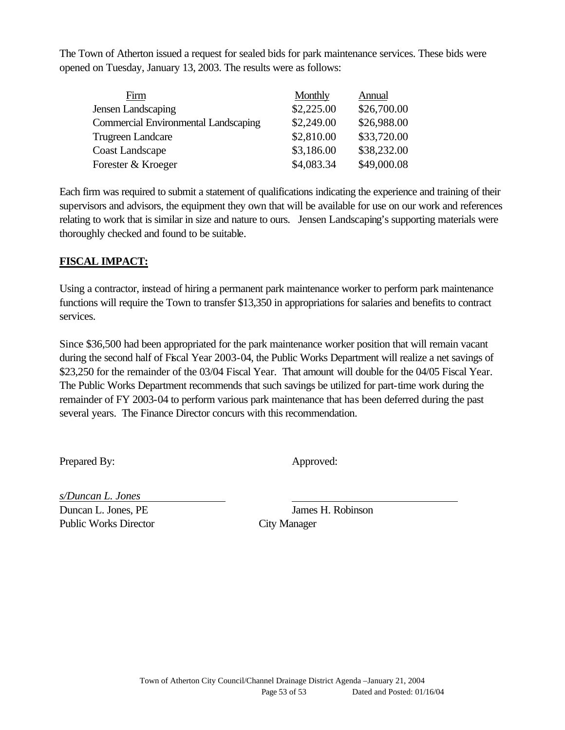The Town of Atherton issued a request for sealed bids for park maintenance services. These bids were opened on Tuesday, January 13, 2003. The results were as follows:

| Firm                                        | Monthly    | Annual      |
|---------------------------------------------|------------|-------------|
| <b>Jensen Landscaping</b>                   | \$2,225.00 | \$26,700.00 |
| <b>Commercial Environmental Landscaping</b> | \$2,249.00 | \$26,988.00 |
| <b>Trugreen Landcare</b>                    | \$2,810.00 | \$33,720.00 |
| <b>Coast Landscape</b>                      | \$3,186.00 | \$38,232.00 |
| Forester & Kroeger                          | \$4,083.34 | \$49,000.08 |

Each firm was required to submit a statement of qualifications indicating the experience and training of their supervisors and advisors, the equipment they own that will be available for use on our work and references relating to work that is similar in size and nature to ours. Jensen Landscaping's supporting materials were thoroughly checked and found to be suitable.

## **FISCAL IMPACT:**

Using a contractor, instead of hiring a permanent park maintenance worker to perform park maintenance functions will require the Town to transfer \$13,350 in appropriations for salaries and benefits to contract services.

Since \$36,500 had been appropriated for the park maintenance worker position that will remain vacant during the second half of Fiscal Year 2003-04, the Public Works Department will realize a net savings of \$23,250 for the remainder of the 03/04 Fiscal Year. That amount will double for the 04/05 Fiscal Year. The Public Works Department recommends that such savings be utilized for part-time work during the remainder of FY 2003-04 to perform various park maintenance that has been deferred during the past several years. The Finance Director concurs with this recommendation.

Prepared By: Approved:

*s/Duncan L. Jones* Duncan L. Jones, PE James H. Robinson Public Works Director City Manager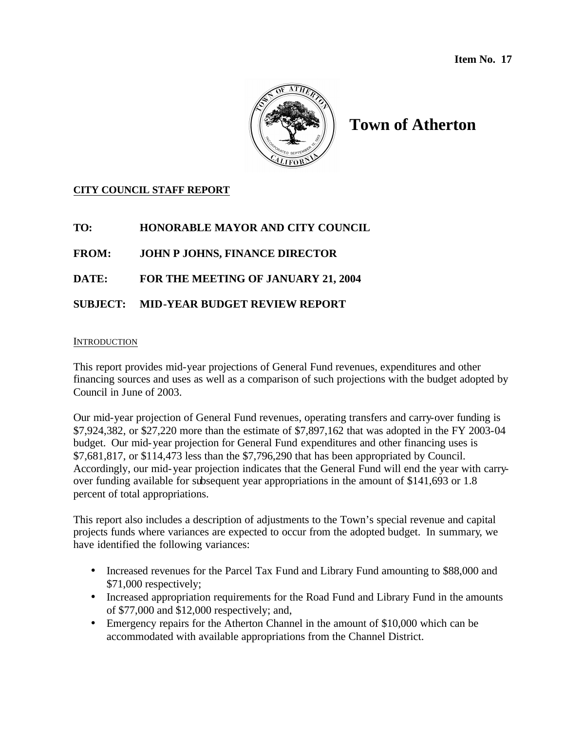

# **Town of Atherton**

#### **CITY COUNCIL STAFF REPORT**

**TO: HONORABLE MAYOR AND CITY COUNCIL**

**FROM: JOHN P JOHNS, FINANCE DIRECTOR**

**DATE: FOR THE MEETING OF JANUARY 21, 2004**

#### **SUBJECT: MID-YEAR BUDGET REVIEW REPORT**

#### INTRODUCTION

This report provides mid-year projections of General Fund revenues, expenditures and other financing sources and uses as well as a comparison of such projections with the budget adopted by Council in June of 2003.

Our mid-year projection of General Fund revenues, operating transfers and carry-over funding is \$7,924,382, or \$27,220 more than the estimate of \$7,897,162 that was adopted in the FY 2003-04 budget. Our mid-year projection for General Fund expenditures and other financing uses is \$7,681,817, or \$114,473 less than the \$7,796,290 that has been appropriated by Council. Accordingly, our mid-year projection indicates that the General Fund will end the year with carryover funding available for subsequent year appropriations in the amount of \$141,693 or 1.8 percent of total appropriations.

This report also includes a description of adjustments to the Town's special revenue and capital projects funds where variances are expected to occur from the adopted budget. In summary, we have identified the following variances:

- Increased revenues for the Parcel Tax Fund and Library Fund amounting to \$88,000 and \$71,000 respectively;
- Increased appropriation requirements for the Road Fund and Library Fund in the amounts of \$77,000 and \$12,000 respectively; and,
- Emergency repairs for the Atherton Channel in the amount of \$10,000 which can be accommodated with available appropriations from the Channel District.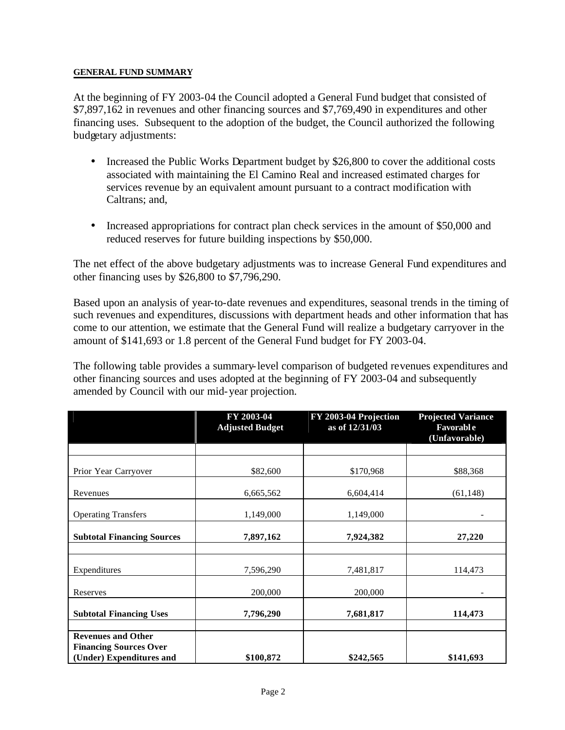#### **GENERAL FUND SUMMARY**

At the beginning of FY 2003-04 the Council adopted a General Fund budget that consisted of \$7,897,162 in revenues and other financing sources and \$7,769,490 in expenditures and other financing uses. Subsequent to the adoption of the budget, the Council authorized the following budgetary adjustments:

- Increased the Public Works Department budget by \$26,800 to cover the additional costs associated with maintaining the El Camino Real and increased estimated charges for services revenue by an equivalent amount pursuant to a contract modification with Caltrans; and,
- Increased appropriations for contract plan check services in the amount of \$50,000 and reduced reserves for future building inspections by \$50,000.

The net effect of the above budgetary adjustments was to increase General Fund expenditures and other financing uses by \$26,800 to \$7,796,290.

Based upon an analysis of year-to-date revenues and expenditures, seasonal trends in the timing of such revenues and expenditures, discussions with department heads and other information that has come to our attention, we estimate that the General Fund will realize a budgetary carryover in the amount of \$141,693 or 1.8 percent of the General Fund budget for FY 2003-04.

The following table provides a summary-level comparison of budgeted revenues expenditures and other financing sources and uses adopted at the beginning of FY 2003-04 and subsequently amended by Council with our mid-year projection.

|                                                                                        | FY 2003-04<br><b>Adjusted Budget</b> | FY 2003-04 Projection<br>as of 12/31/03 | <b>Projected Variance</b><br><b>Favorable</b><br>(Unfavorable) |
|----------------------------------------------------------------------------------------|--------------------------------------|-----------------------------------------|----------------------------------------------------------------|
|                                                                                        |                                      |                                         |                                                                |
| Prior Year Carryover                                                                   | \$82,600                             | \$170,968                               | \$88,368                                                       |
| Revenues                                                                               | 6,665,562                            | 6,604,414                               | (61, 148)                                                      |
| <b>Operating Transfers</b>                                                             | 1,149,000                            | 1,149,000                               |                                                                |
| <b>Subtotal Financing Sources</b>                                                      | 7,897,162                            | 7,924,382                               | 27,220                                                         |
| Expenditures                                                                           | 7,596,290                            | 7,481,817                               | 114,473                                                        |
| Reserves                                                                               | 200,000                              | 200,000                                 |                                                                |
| <b>Subtotal Financing Uses</b>                                                         | 7,796,290                            | 7,681,817                               | 114,473                                                        |
| <b>Revenues and Other</b><br><b>Financing Sources Over</b><br>(Under) Expenditures and | \$100,872                            | \$242,565                               | \$141,693                                                      |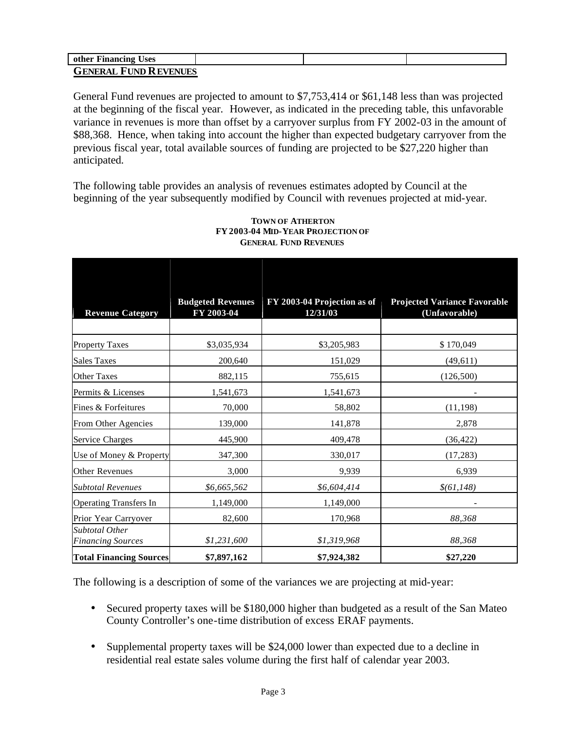| other Financing Uses         |  |  |
|------------------------------|--|--|
| <b>GENERAL FUND REVENUES</b> |  |  |

General Fund revenues are projected to amount to \$7,753,414 or \$61,148 less than was projected at the beginning of the fiscal year. However, as indicated in the preceding table, this unfavorable variance in revenues is more than offset by a carryover surplus from FY 2002-03 in the amount of \$88,368. Hence, when taking into account the higher than expected budgetary carryover from the previous fiscal year, total available sources of funding are projected to be \$27,220 higher than anticipated.

The following table provides an analysis of revenues estimates adopted by Council at the beginning of the year subsequently modified by Council with revenues projected at mid-year.

| <b>Revenue Category</b>                    | <b>Budgeted Revenues</b><br>FY 2003-04 | FY 2003-04 Projection as of<br>12/31/03 | <b>Projected Variance Favorable</b><br>(Unfavorable) |
|--------------------------------------------|----------------------------------------|-----------------------------------------|------------------------------------------------------|
|                                            |                                        |                                         |                                                      |
| <b>Property Taxes</b>                      | \$3,035,934                            | \$3,205,983                             | \$170,049                                            |
| <b>Sales Taxes</b>                         | 200,640                                | 151,029                                 | (49, 611)                                            |
| <b>Other Taxes</b>                         | 882,115                                | 755,615                                 | (126,500)                                            |
| Permits & Licenses                         | 1,541,673                              | 1,541,673                               |                                                      |
| Fines & Forfeitures                        | 70,000                                 | 58,802                                  | (11, 198)                                            |
| From Other Agencies                        | 139,000                                | 141,878                                 | 2,878                                                |
| Service Charges                            | 445,900                                | 409,478                                 | (36, 422)                                            |
| Use of Money & Property                    | 347,300                                | 330,017                                 | (17, 283)                                            |
| <b>Other Revenues</b>                      | 3,000                                  | 9,939                                   | 6,939                                                |
| <b>Subtotal Revenues</b>                   | \$6,665,562                            | \$6,604,414                             | \$(61, 148)                                          |
| <b>Operating Transfers In</b>              | 1,149,000                              | 1,149,000                               |                                                      |
| Prior Year Carryover                       | 82,600                                 | 170,968                                 | 88,368                                               |
| Subtotal Other<br><b>Financing Sources</b> | \$1,231,600                            | \$1,319,968                             | 88,368                                               |
| <b>Total Financing Sources</b>             | \$7,897,162                            | \$7,924,382                             | \$27,220                                             |

#### **TOWN OF ATHERTON FY2003-04 MID-YEAR PROJECTION OF GENERAL FUND REVENUES**

The following is a description of some of the variances we are projecting at mid-year:

- Secured property taxes will be \$180,000 higher than budgeted as a result of the San Mateo County Controller's one-time distribution of excess ERAF payments.
- Supplemental property taxes will be \$24,000 lower than expected due to a decline in residential real estate sales volume during the first half of calendar year 2003.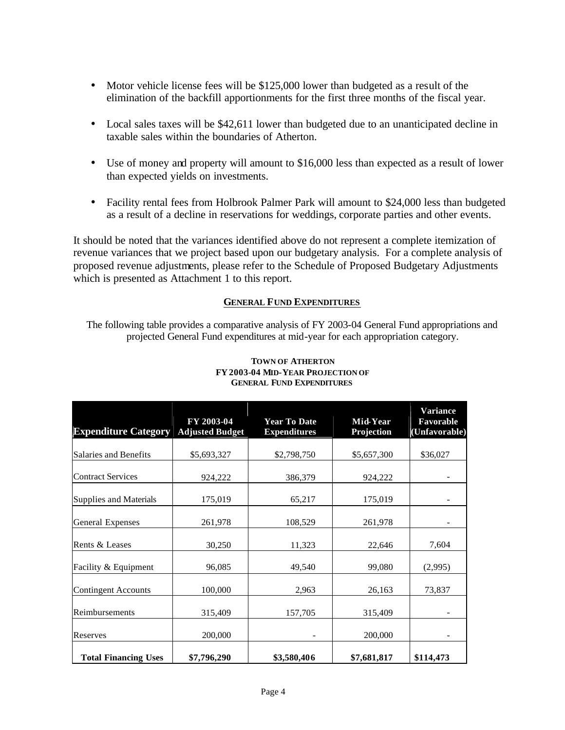- Motor vehicle license fees will be \$125,000 lower than budgeted as a result of the elimination of the backfill apportionments for the first three months of the fiscal year.
- Local sales taxes will be \$42,611 lower than budgeted due to an unanticipated decline in taxable sales within the boundaries of Atherton.
- Use of money and property will amount to \$16,000 less than expected as a result of lower than expected yields on investments.
- Facility rental fees from Holbrook Palmer Park will amount to \$24,000 less than budgeted as a result of a decline in reservations for weddings, corporate parties and other events.

It should be noted that the variances identified above do not represent a complete itemization of revenue variances that we project based upon our budgetary analysis. For a complete analysis of proposed revenue adjustments, please refer to the Schedule of Proposed Budgetary Adjustments which is presented as Attachment 1 to this report.

#### **GENERAL FUND EXPENDITURES**

The following table provides a comparative analysis of FY 2003-04 General Fund appropriations and projected General Fund expenditures at mid-year for each appropriation category.

| <b>Expenditure Category</b> | FY 2003-04<br><b>Adjusted Budget</b> | <b>Year To Date</b><br><b>Expenditures</b> | Mid-Year<br>Projection | <b>Variance</b><br>Favorable<br>(Unfavorable) |
|-----------------------------|--------------------------------------|--------------------------------------------|------------------------|-----------------------------------------------|
| Salaries and Benefits       | \$5,693,327                          | \$2,798,750                                | \$5,657,300            | \$36,027                                      |
| <b>Contract Services</b>    | 924,222                              | 386,379                                    | 924,222                |                                               |
| Supplies and Materials      | 175,019                              | 65,217                                     | 175,019                |                                               |
| <b>General Expenses</b>     | 261,978                              | 108,529                                    | 261,978                |                                               |
| Rents & Leases              | 30,250                               | 11,323                                     | 22,646                 | 7,604                                         |
| Facility & Equipment        | 96,085                               | 49,540                                     | 99,080                 | (2,995)                                       |
| <b>Contingent Accounts</b>  | 100,000                              | 2,963                                      | 26,163                 | 73,837                                        |
| Reimbursements              | 315,409                              | 157,705                                    | 315,409                |                                               |
| Reserves                    | 200,000                              |                                            | 200,000                |                                               |
| <b>Total Financing Uses</b> | \$7,796,290                          | \$3,580,406                                | \$7,681,817            | \$114,473                                     |

#### **TOWN OF ATHERTON FY2003-04 MID-YEAR PROJECTION OF GENERAL FUND EXPENDITURES**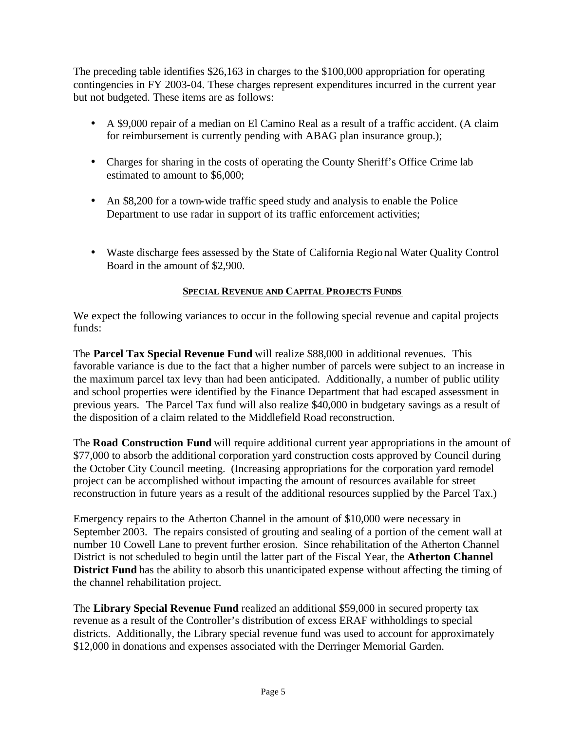The preceding table identifies \$26,163 in charges to the \$100,000 appropriation for operating contingencies in FY 2003-04. These charges represent expenditures incurred in the current year but not budgeted. These items are as follows:

- A \$9,000 repair of a median on El Camino Real as a result of a traffic accident. (A claim for reimbursement is currently pending with ABAG plan insurance group.);
- Charges for sharing in the costs of operating the County Sheriff's Office Crime lab estimated to amount to \$6,000;
- An \$8,200 for a town-wide traffic speed study and analysis to enable the Police Department to use radar in support of its traffic enforcement activities;
- Waste discharge fees assessed by the State of California Regional Water Quality Control Board in the amount of \$2,900.

#### **SPECIAL REVENUE AND CAPITAL PROJECTS FUNDS**

We expect the following variances to occur in the following special revenue and capital projects funds:

The **Parcel Tax Special Revenue Fund** will realize \$88,000 in additional revenues. This favorable variance is due to the fact that a higher number of parcels were subject to an increase in the maximum parcel tax levy than had been anticipated. Additionally, a number of public utility and school properties were identified by the Finance Department that had escaped assessment in previous years. The Parcel Tax fund will also realize \$40,000 in budgetary savings as a result of the disposition of a claim related to the Middlefield Road reconstruction.

The **Road Construction Fund** will require additional current year appropriations in the amount of \$77,000 to absorb the additional corporation yard construction costs approved by Council during the October City Council meeting. (Increasing appropriations for the corporation yard remodel project can be accomplished without impacting the amount of resources available for street reconstruction in future years as a result of the additional resources supplied by the Parcel Tax.)

Emergency repairs to the Atherton Channel in the amount of \$10,000 were necessary in September 2003. The repairs consisted of grouting and sealing of a portion of the cement wall at number 10 Cowell Lane to prevent further erosion. Since rehabilitation of the Atherton Channel District is not scheduled to begin until the latter part of the Fiscal Year, the **Atherton Channel District Fund** has the ability to absorb this unanticipated expense without affecting the timing of the channel rehabilitation project.

The **Library Special Revenue Fund** realized an additional \$59,000 in secured property tax revenue as a result of the Controller's distribution of excess ERAF withholdings to special districts. Additionally, the Library special revenue fund was used to account for approximately \$12,000 in donations and expenses associated with the Derringer Memorial Garden.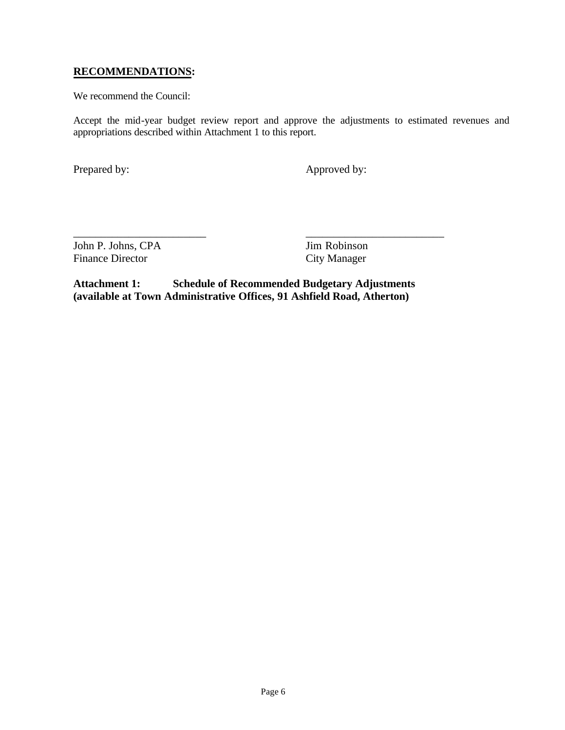#### **RECOMMENDATIONS:**

We recommend the Council:

Accept the mid-year budget review report and approve the adjustments to estimated revenues and appropriations described within Attachment 1 to this report.

Prepared by: Approved by:

John P. Johns, CPA Jim Robinson Finance Director City Manager

**Attachment 1: Schedule of Recommended Budgetary Adjustments (available at Town Administrative Offices, 91 Ashfield Road, Atherton)**

\_\_\_\_\_\_\_\_\_\_\_\_\_\_\_\_\_\_\_\_\_\_\_\_ \_\_\_\_\_\_\_\_\_\_\_\_\_\_\_\_\_\_\_\_\_\_\_\_\_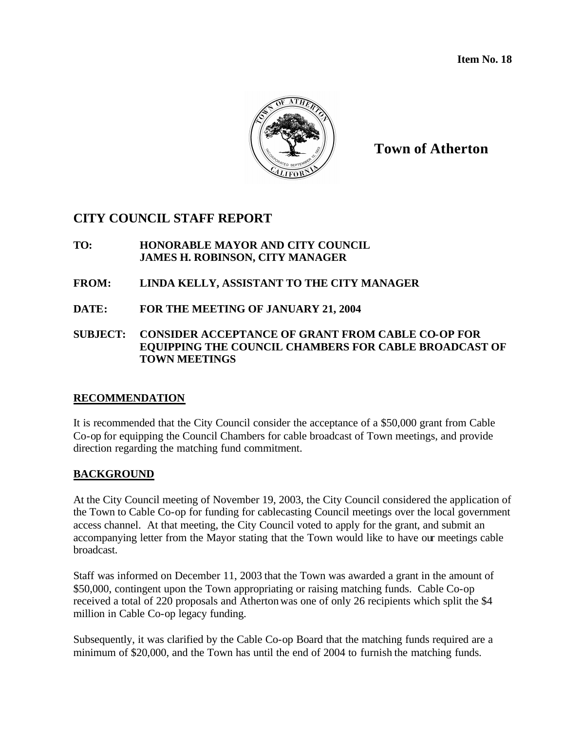**Item No. 18**



**Town of Atherton**

## **CITY COUNCIL STAFF REPORT**

#### **TO: HONORABLE MAYOR AND CITY COUNCIL JAMES H. ROBINSON, CITY MANAGER**

#### **FROM: LINDA KELLY, ASSISTANT TO THE CITY MANAGER**

**DATE: FOR THE MEETING OF JANUARY 21, 2004**

#### **SUBJECT: CONSIDER ACCEPTANCE OF GRANT FROM CABLE CO-OP FOR EQUIPPING THE COUNCIL CHAMBERS FOR CABLE BROADCAST OF TOWN MEETINGS**

#### **RECOMMENDATION**

It is recommended that the City Council consider the acceptance of a \$50,000 grant from Cable Co-op for equipping the Council Chambers for cable broadcast of Town meetings, and provide direction regarding the matching fund commitment.

#### **BACKGROUND**

At the City Council meeting of November 19, 2003, the City Council considered the application of the Town to Cable Co-op for funding for cablecasting Council meetings over the local government access channel. At that meeting, the City Council voted to apply for the grant, and submit an accompanying letter from the Mayor stating that the Town would like to have our meetings cable broadcast.

Staff was informed on December 11, 2003 that the Town was awarded a grant in the amount of \$50,000, contingent upon the Town appropriating or raising matching funds. Cable Co-op received a total of 220 proposals and Atherton was one of only 26 recipients which split the \$4 million in Cable Co-op legacy funding.

Subsequently, it was clarified by the Cable Co-op Board that the matching funds required are a minimum of \$20,000, and the Town has until the end of 2004 to furnish the matching funds.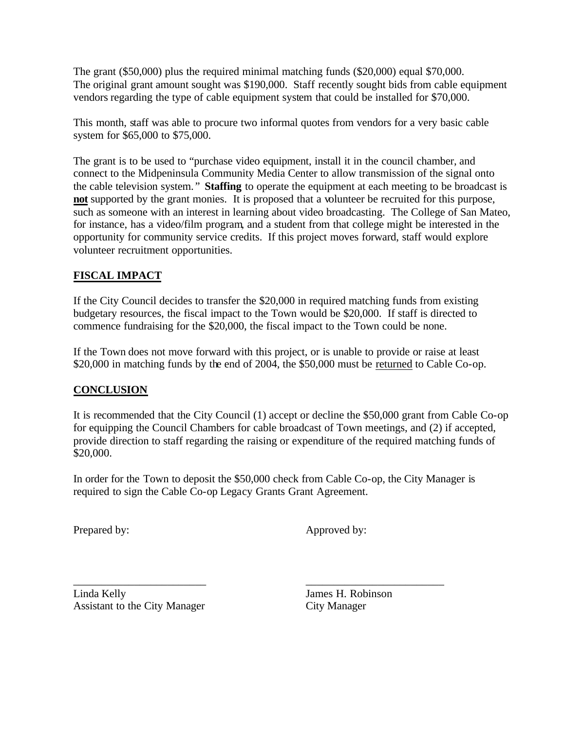The grant (\$50,000) plus the required minimal matching funds (\$20,000) equal \$70,000. The original grant amount sought was \$190,000. Staff recently sought bids from cable equipment vendors regarding the type of cable equipment system that could be installed for \$70,000.

This month, staff was able to procure two informal quotes from vendors for a very basic cable system for \$65,000 to \$75,000.

The grant is to be used to "purchase video equipment, install it in the council chamber, and connect to the Midpeninsula Community Media Center to allow transmission of the signal onto the cable television system. " **Staffing** to operate the equipment at each meeting to be broadcast is **not** supported by the grant monies. It is proposed that a volunteer be recruited for this purpose, such as someone with an interest in learning about video broadcasting. The College of San Mateo, for instance, has a video/film program, and a student from that college might be interested in the opportunity for community service credits. If this project moves forward, staff would explore volunteer recruitment opportunities.

## **FISCAL IMPACT**

If the City Council decides to transfer the \$20,000 in required matching funds from existing budgetary resources, the fiscal impact to the Town would be \$20,000. If staff is directed to commence fundraising for the \$20,000, the fiscal impact to the Town could be none.

If the Town does not move forward with this project, or is unable to provide or raise at least \$20,000 in matching funds by the end of 2004, the \$50,000 must be returned to Cable Co-op.

#### **CONCLUSION**

It is recommended that the City Council (1) accept or decline the \$50,000 grant from Cable Co-op for equipping the Council Chambers for cable broadcast of Town meetings, and (2) if accepted, provide direction to staff regarding the raising or expenditure of the required matching funds of \$20,000.

In order for the Town to deposit the \$50,000 check from Cable Co-op, the City Manager is required to sign the Cable Co-op Legacy Grants Grant Agreement.

\_\_\_\_\_\_\_\_\_\_\_\_\_\_\_\_\_\_\_\_\_\_\_\_ \_\_\_\_\_\_\_\_\_\_\_\_\_\_\_\_\_\_\_\_\_\_\_\_\_

Prepared by: Approved by:

Linda Kelly James H. Robinson Assistant to the City Manager City Manager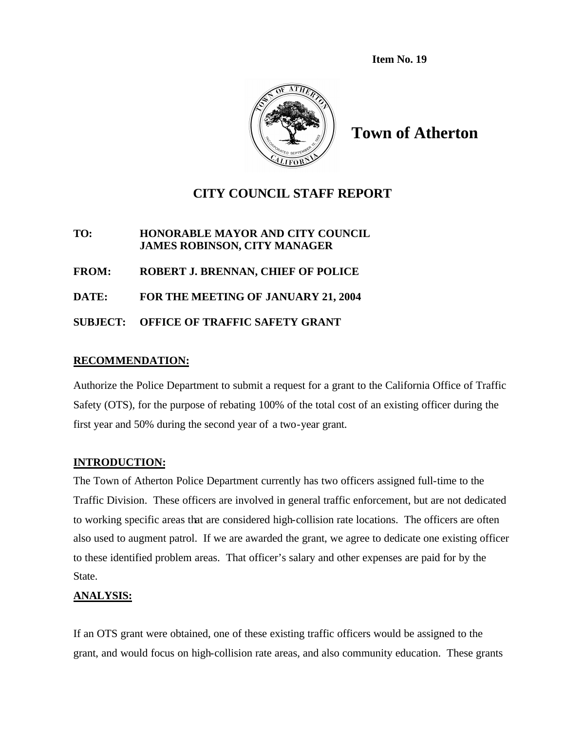**Item No. 19**



**Town of Atherton**

## **CITY COUNCIL STAFF REPORT**

**TO: HONORABLE MAYOR AND CITY COUNCIL JAMES ROBINSON, CITY MANAGER**

**FROM: ROBERT J. BRENNAN, CHIEF OF POLICE**

**DATE: FOR THE MEETING OF JANUARY 21, 2004**

**SUBJECT: OFFICE OF TRAFFIC SAFETY GRANT**

#### **RECOMMENDATION:**

Authorize the Police Department to submit a request for a grant to the California Office of Traffic Safety (OTS), for the purpose of rebating 100% of the total cost of an existing officer during the first year and 50% during the second year of a two-year grant.

#### **INTRODUCTION:**

The Town of Atherton Police Department currently has two officers assigned full-time to the Traffic Division. These officers are involved in general traffic enforcement, but are not dedicated to working specific areas that are considered high-collision rate locations. The officers are often also used to augment patrol. If we are awarded the grant, we agree to dedicate one existing officer to these identified problem areas. That officer's salary and other expenses are paid for by the State.

#### **ANALYSIS:**

If an OTS grant were obtained, one of these existing traffic officers would be assigned to the grant, and would focus on high-collision rate areas, and also community education. These grants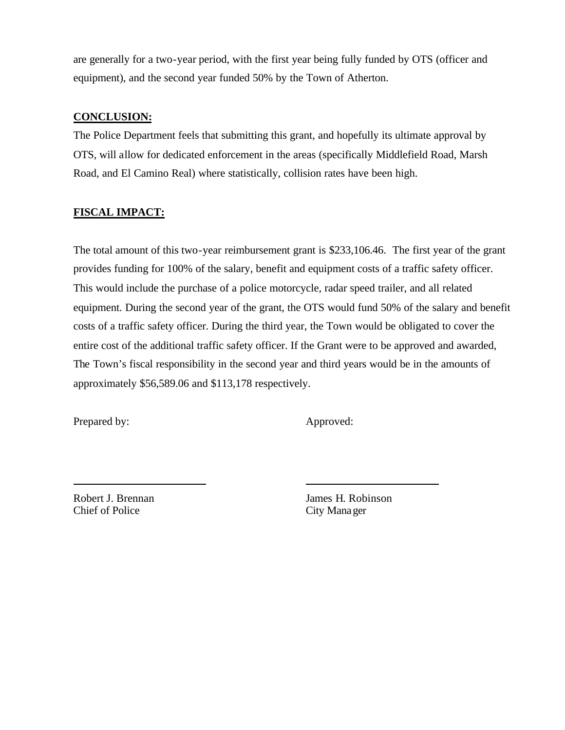are generally for a two-year period, with the first year being fully funded by OTS (officer and equipment), and the second year funded 50% by the Town of Atherton.

#### **CONCLUSION:**

The Police Department feels that submitting this grant, and hopefully its ultimate approval by OTS, will allow for dedicated enforcement in the areas (specifically Middlefield Road, Marsh Road, and El Camino Real) where statistically, collision rates have been high.

#### **FISCAL IMPACT:**

The total amount of this two-year reimbursement grant is \$233,106.46. The first year of the grant provides funding for 100% of the salary, benefit and equipment costs of a traffic safety officer. This would include the purchase of a police motorcycle, radar speed trailer, and all related equipment. During the second year of the grant, the OTS would fund 50% of the salary and benefit costs of a traffic safety officer. During the third year, the Town would be obligated to cover the entire cost of the additional traffic safety officer. If the Grant were to be approved and awarded, The Town's fiscal responsibility in the second year and third years would be in the amounts of approximately \$56,589.06 and \$113,178 respectively.

Prepared by: Approved:

Chief of Police City Manager

Robert J. Brennan James H. Robinson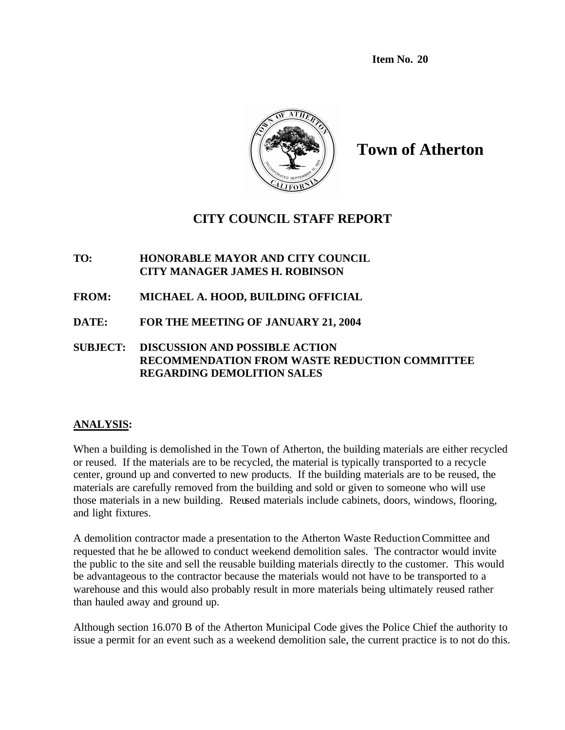**Item No. 20**



**Town of Atherton**

# **CITY COUNCIL STAFF REPORT**

#### **TO: HONORABLE MAYOR AND CITY COUNCIL CITY MANAGER JAMES H. ROBINSON**

- **FROM: MICHAEL A. HOOD, BUILDING OFFICIAL**
- **DATE: FOR THE MEETING OF JANUARY 21, 2004**

#### **SUBJECT: DISCUSSION AND POSSIBLE ACTION RECOMMENDATION FROM WASTE REDUCTION COMMITTEE REGARDING DEMOLITION SALES**

#### **ANALYSIS:**

When a building is demolished in the Town of Atherton, the building materials are either recycled or reused. If the materials are to be recycled, the material is typically transported to a recycle center, ground up and converted to new products. If the building materials are to be reused, the materials are carefully removed from the building and sold or given to someone who will use those materials in a new building. Reused materials include cabinets, doors, windows, flooring, and light fixtures.

A demolition contractor made a presentation to the Atherton Waste Reduction Committee and requested that he be allowed to conduct weekend demolition sales. The contractor would invite the public to the site and sell the reusable building materials directly to the customer. This would be advantageous to the contractor because the materials would not have to be transported to a warehouse and this would also probably result in more materials being ultimately reused rather than hauled away and ground up.

Although section 16.070 B of the Atherton Municipal Code gives the Police Chief the authority to issue a permit for an event such as a weekend demolition sale, the current practice is to not do this.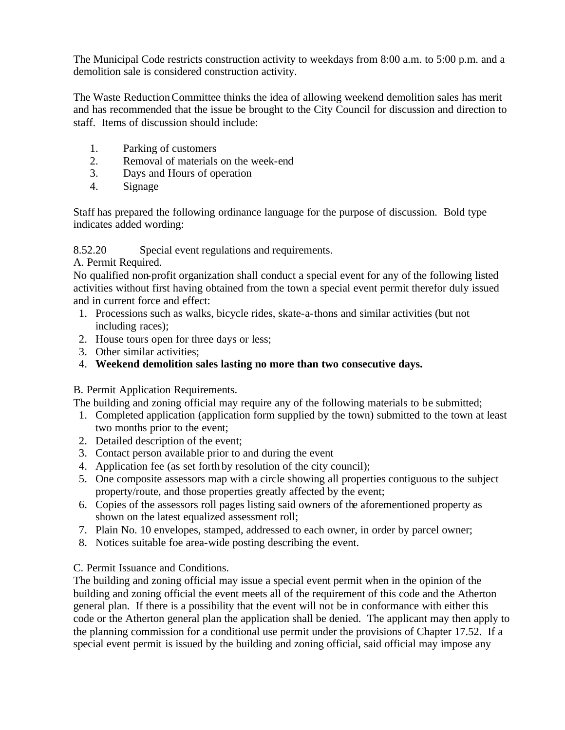The Municipal Code restricts construction activity to weekdays from 8:00 a.m. to 5:00 p.m. and a demolition sale is considered construction activity.

The Waste Reduction Committee thinks the idea of allowing weekend demolition sales has merit and has recommended that the issue be brought to the City Council for discussion and direction to staff. Items of discussion should include:

- 1. Parking of customers
- 2. Removal of materials on the week-end
- 3. Days and Hours of operation
- 4. Signage

Staff has prepared the following ordinance language for the purpose of discussion. Bold type indicates added wording:

#### 8.52.20 Special event regulations and requirements.

A. Permit Required.

No qualified non-profit organization shall conduct a special event for any of the following listed activities without first having obtained from the town a special event permit therefor duly issued and in current force and effect:

- 1. Processions such as walks, bicycle rides, skate-a-thons and similar activities (but not including races);
- 2. House tours open for three days or less;
- 3. Other similar activities;
- 4. **Weekend demolition sales lasting no more than two consecutive days.**

#### B. Permit Application Requirements.

The building and zoning official may require any of the following materials to be submitted;

- 1. Completed application (application form supplied by the town) submitted to the town at least two months prior to the event;
- 2. Detailed description of the event;
- 3. Contact person available prior to and during the event
- 4. Application fee (as set forth by resolution of the city council);
- 5. One composite assessors map with a circle showing all properties contiguous to the subject property/route, and those properties greatly affected by the event;
- 6. Copies of the assessors roll pages listing said owners of the aforementioned property as shown on the latest equalized assessment roll;
- 7. Plain No. 10 envelopes, stamped, addressed to each owner, in order by parcel owner;
- 8. Notices suitable foe area-wide posting describing the event.

#### C. Permit Issuance and Conditions.

The building and zoning official may issue a special event permit when in the opinion of the building and zoning official the event meets all of the requirement of this code and the Atherton general plan. If there is a possibility that the event will not be in conformance with either this code or the Atherton general plan the application shall be denied. The applicant may then apply to the planning commission for a conditional use permit under the provisions of Chapter 17.52. If a special event permit is issued by the building and zoning official, said official may impose any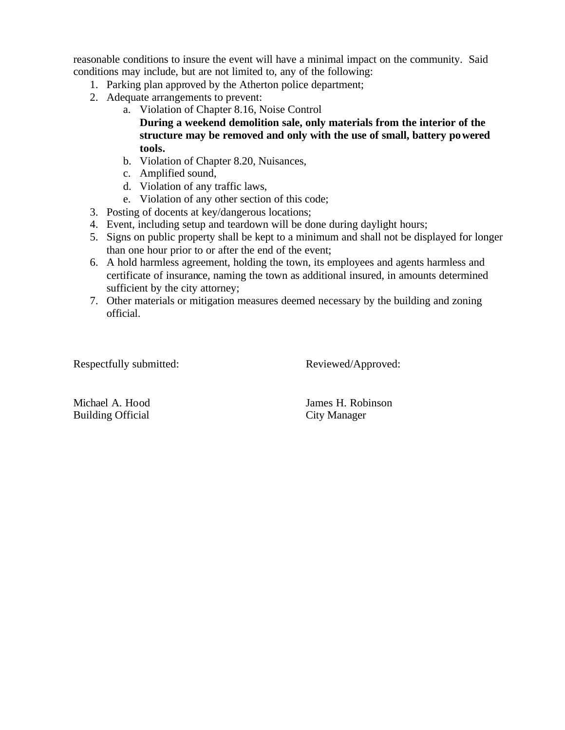reasonable conditions to insure the event will have a minimal impact on the community. Said conditions may include, but are not limited to, any of the following:

- 1. Parking plan approved by the Atherton police department;
- 2. Adequate arrangements to prevent:
	- a. Violation of Chapter 8.16, Noise Control **During a weekend demolition sale, only materials from the interior of the structure may be removed and only with the use of small, battery powered tools.**
	- b. Violation of Chapter 8.20, Nuisances,
	- c. Amplified sound,
	- d. Violation of any traffic laws,
	- e. Violation of any other section of this code;
- 3. Posting of docents at key/dangerous locations;
- 4. Event, including setup and teardown will be done during daylight hours;
- 5. Signs on public property shall be kept to a minimum and shall not be displayed for longer than one hour prior to or after the end of the event;
- 6. A hold harmless agreement, holding the town, its employees and agents harmless and certificate of insurance, naming the town as additional insured, in amounts determined sufficient by the city attorney;
- 7. Other materials or mitigation measures deemed necessary by the building and zoning official.

Respectfully submitted: Reviewed/Approved:

Building Official City Manager

Michael A. Hood James H. Robinson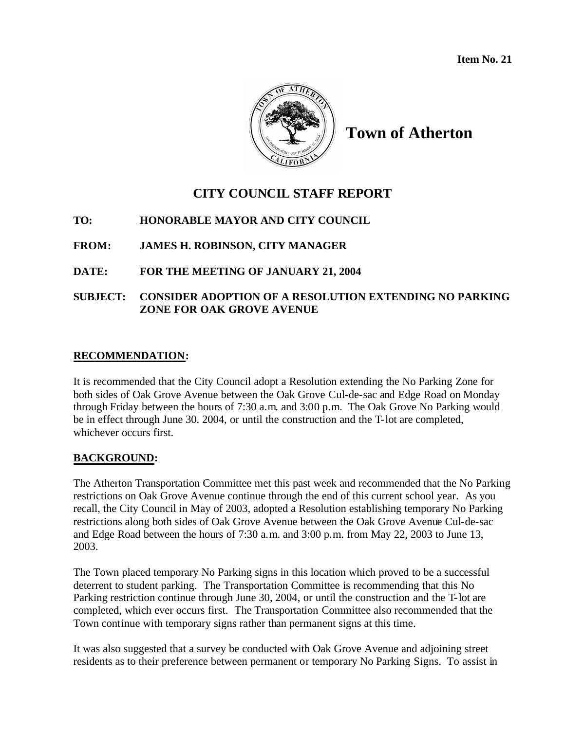**Item No. 21**



**Town of Atherton**

# **CITY COUNCIL STAFF REPORT**

## **TO: HONORABLE MAYOR AND CITY COUNCIL**

## **FROM: JAMES H. ROBINSON, CITY MANAGER**

## **DATE: FOR THE MEETING OF JANUARY 21, 2004**

### **SUBJECT: CONSIDER ADOPTION OF A RESOLUTION EXTENDING NO PARKING ZONE FOR OAK GROVE AVENUE**

#### **RECOMMENDATION:**

It is recommended that the City Council adopt a Resolution extending the No Parking Zone for both sides of Oak Grove Avenue between the Oak Grove Cul-de-sac and Edge Road on Monday through Friday between the hours of 7:30 a.m. and 3:00 p.m. The Oak Grove No Parking would be in effect through June 30. 2004, or until the construction and the T-lot are completed, whichever occurs first.

#### **BACKGROUND:**

The Atherton Transportation Committee met this past week and recommended that the No Parking restrictions on Oak Grove Avenue continue through the end of this current school year. As you recall, the City Council in May of 2003, adopted a Resolution establishing temporary No Parking restrictions along both sides of Oak Grove Avenue between the Oak Grove Avenue Cul-de-sac and Edge Road between the hours of 7:30 a.m. and 3:00 p.m. from May 22, 2003 to June 13, 2003.

The Town placed temporary No Parking signs in this location which proved to be a successful deterrent to student parking. The Transportation Committee is recommending that this No Parking restriction continue through June 30, 2004, or until the construction and the T-lot are completed, which ever occurs first. The Transportation Committee also recommended that the Town continue with temporary signs rather than permanent signs at this time.

It was also suggested that a survey be conducted with Oak Grove Avenue and adjoining street residents as to their preference between permanent or temporary No Parking Signs. To assist in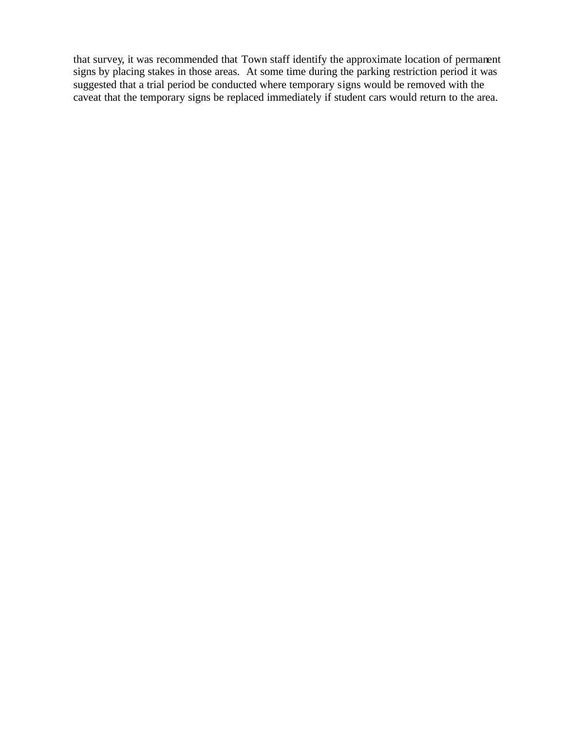that survey, it was recommended that Town staff identify the approximate location of permanent signs by placing stakes in those areas. At some time during the parking restriction period it was suggested that a trial period be conducted where temporary signs would be removed with the caveat that the temporary signs be replaced immediately if student cars would return to the area.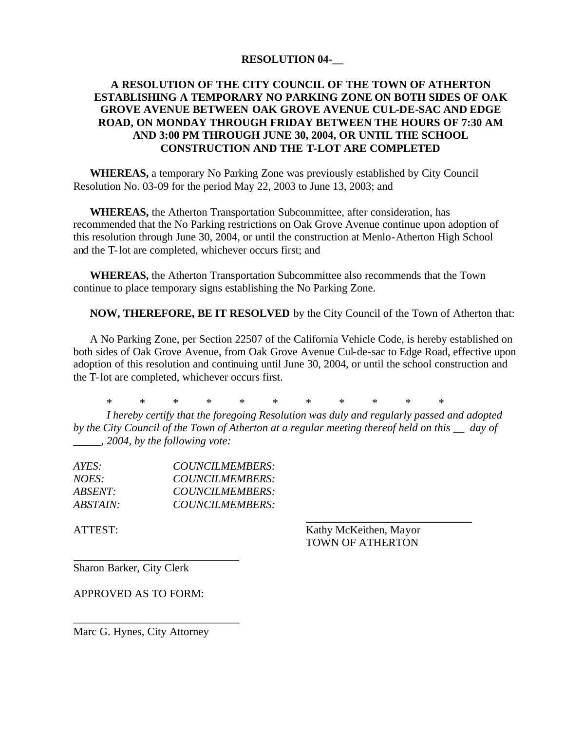#### **RESOLUTION 04-\_\_**

#### **A RESOLUTION OF THE CITY COUNCIL OF THE TOWN OF ATHERTON ESTABLISHING A TEMPORARY NO PARKING ZONE ON BOTH SIDES OF OAK GROVE AVENUE BETWEEN OAK GROVE AVENUE CUL-DE-SAC AND EDGE ROAD, ON MONDAY THROUGH FRIDAY BETWEEN THE HOURS OF 7:30 AM AND 3:00 PM THROUGH JUNE 30, 2004, OR UNTIL THE SCHOOL CONSTRUCTION AND THE T-LOT ARE COMPLETED**

**WHEREAS,** a temporary No Parking Zone was previously established by City Council Resolution No. 03-09 for the period May 22, 2003 to June 13, 2003; and

**WHEREAS,** the Atherton Transportation Subcommittee, after consideration, has recommended that the No Parking restrictions on Oak Grove Avenue continue upon adoption of this resolution through June 30, 2004, or until the construction at Menlo-Atherton High School and the T-lot are completed, whichever occurs first; and

**WHEREAS,** the Atherton Transportation Subcommittee also recommends that the Town continue to place temporary signs establishing the No Parking Zone.

**NOW, THEREFORE, BE IT RESOLVED** by the City Council of the Town of Atherton that:

A No Parking Zone, per Section 22507 of the California Vehicle Code, is hereby established on both sides of Oak Grove Avenue, from Oak Grove Avenue Cul-de-sac to Edge Road, effective upon adoption of this resolution and continuing until June 30, 2004, or until the school construction and the T-lot are completed, whichever occurs first.

\* \* \* \* \* \* \* \* \* \* \*

*I hereby certify that the foregoing Resolution was duly and regularly passed and adopted by the City Council of the Town of Atherton at a regular meeting thereof held on this \_\_ day of \_\_\_\_\_, 2004, by the following vote:*

| AYES:                  | COUNCILMEMBERS: |
|------------------------|-----------------|
| NOES:                  | COUNCILMEMBERS: |
| ABSENT:                | COUNCILMEMBERS: |
| <i><b>ABSTAIN:</b></i> | COUNCILMEMBERS: |

ATTEST: Kathy McKeithen, Mayor TOWN OF ATHERTON

Sharon Barker, City Clerk

APPROVED AS TO FORM:

Marc G. Hynes, City Attorney

\_\_\_\_\_\_\_\_\_\_\_\_\_\_\_\_\_\_\_\_\_\_\_\_\_\_\_\_\_\_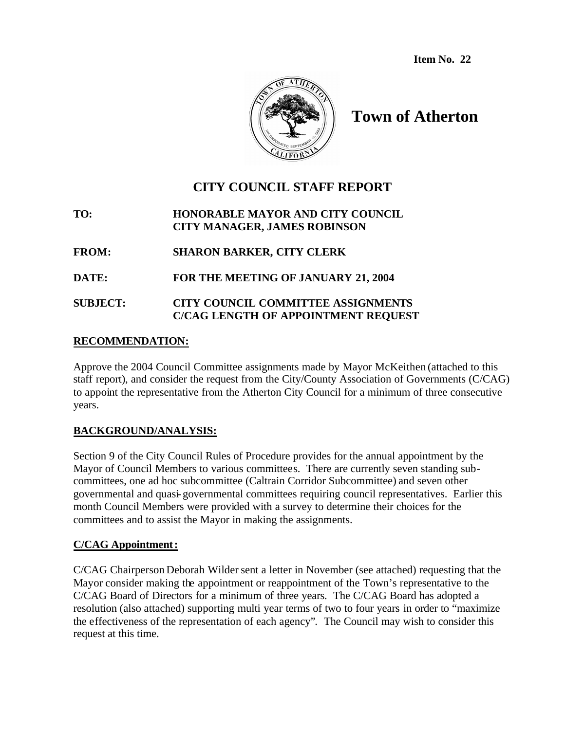**Item No. 22**



# **Town of Atherton**

# **CITY COUNCIL STAFF REPORT**

**TO: HONORABLE MAYOR AND CITY COUNCIL CITY MANAGER, JAMES ROBINSON**

**FROM: SHARON BARKER, CITY CLERK**

**DATE: FOR THE MEETING OF JANUARY 21, 2004**

#### **SUBJECT: CITY COUNCIL COMMITTEE ASSIGNMENTS C/CAG LENGTH OF APPOINTMENT REQUEST**

#### **RECOMMENDATION:**

Approve the 2004 Council Committee assignments made by Mayor McKeithen (attached to this staff report), and consider the request from the City/County Association of Governments (C/CAG) to appoint the representative from the Atherton City Council for a minimum of three consecutive years.

#### **BACKGROUND/ANALYSIS:**

Section 9 of the City Council Rules of Procedure provides for the annual appointment by the Mayor of Council Members to various committees. There are currently seven standing subcommittees, one ad hoc subcommittee (Caltrain Corridor Subcommittee) and seven other governmental and quasi-governmental committees requiring council representatives. Earlier this month Council Members were provided with a survey to determine their choices for the committees and to assist the Mayor in making the assignments.

#### **C/CAG Appointment:**

C/CAG Chairperson Deborah Wilder sent a letter in November (see attached) requesting that the Mayor consider making the appointment or reappointment of the Town's representative to the C/CAG Board of Directors for a minimum of three years. The C/CAG Board has adopted a resolution (also attached) supporting multi year terms of two to four years in order to "maximize the effectiveness of the representation of each agency". The Council may wish to consider this request at this time.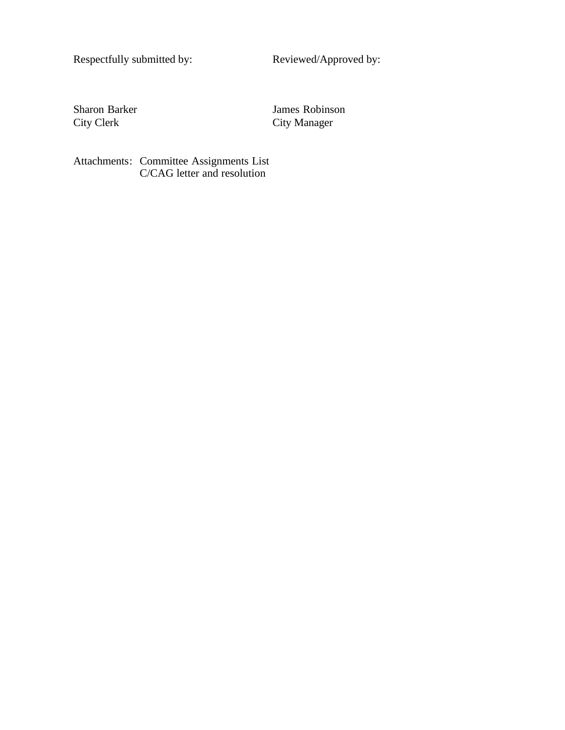Respectfully submitted by: <br> Reviewed/Approved by:

Sharon Barker James Robinson<br>City Clerk City Manager City Manager

Attachments: Committee Assignments List C/CAG letter and resolution